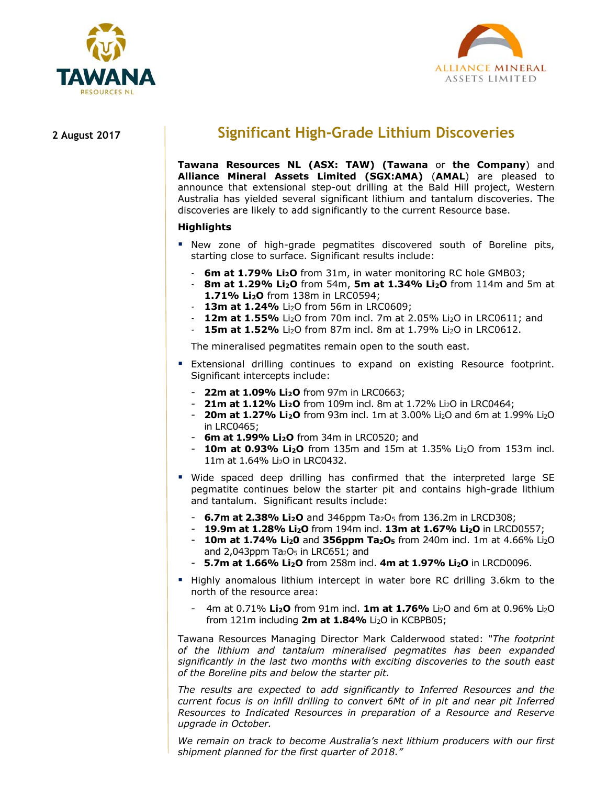



# **2 August 2017 Significant High-Grade Lithium Discoveries**

**Tawana Resources NL (ASX: TAW) (Tawana** or **the Company**) and **Alliance Mineral Assets Limited (SGX:AMA)** (**AMAL**) are pleased to announce that extensional step-out drilling at the Bald Hill project, Western Australia has yielded several significant lithium and tantalum discoveries. The discoveries are likely to add significantly to the current Resource base.

### **Highlights**

- New zone of high-grade pegmatites discovered south of Boreline pits, starting close to surface. Significant results include:
	- **6m at 1.79% Li2O** from 31m, in water monitoring RC hole GMB03;
	- **8m at 1.29% Li2O** from 54m, **5m at 1.34% Li2O** from 114m and 5m at **1.71% Li2O** from 138m in LRC0594;
	- **13m at 1.24%** Li2O from 56m in LRC0609;
	- **12m at 1.55%** Li2O from 70m incl. 7m at 2.05% Li2O in LRC0611; and
	- **15m at 1.52%** Li<sub>2</sub>O from 87m incl. 8m at 1.79% Li<sub>2</sub>O in LRC0612.

The mineralised pegmatites remain open to the south east.

- Extensional drilling continues to expand on existing Resource footprint. Significant intercepts include:
	- **22m at 1.09% Li2O** from 97m in LRC0663;
	- **21m at 1.12% Li2O** from 109m incl. 8m at 1.72% Li2O in LRC0464;
	- **20m at 1.27% Li2O** from 93m incl. 1m at 3.00% Li2O and 6m at 1.99% Li2O in LRC0465;
	- **6m at 1.99% Li2O** from 34m in LRC0520; and
	- **10m at 0.93% Li<sub>2</sub>O** from 135m and 15m at 1.35% Li<sub>2</sub>O from 153m incl. 11m at 1.64% Li2O in LRC0432.
- Wide spaced deep drilling has confirmed that the interpreted large SE pegmatite continues below the starter pit and contains high-grade lithium and tantalum. Significant results include:
	- **6.7m at 2.38% Li2O** and 346ppm Ta2O5 from 136.2m in LRCD308;
	- **19.9m at 1.28% Li2O** from 194m incl. **13m at 1.67% Li2O** in LRCD0557;
	- **10m at 1.74% Li20** and **356ppm Ta2O5** from 240m incl. 1m at 4.66% Li2O and  $2,043$ ppm Ta<sub>2</sub>O<sub>5</sub> in LRC651; and
	- **5.7m at 1.66% Li2O** from 258m incl. **4m at 1.97% Li2O** in LRCD0096.
- **Highly anomalous lithium intercept in water bore RC drilling 3.6km to the** north of the resource area:
	- 4m at 0.71% **Li2O** from 91m incl. **1m at 1.76%** Li2O and 6m at 0.96% Li2O from 121m including **2m at 1.84%** Li2O in KCBPB05;

Tawana Resources Managing Director Mark Calderwood stated: *"The footprint of the lithium and tantalum mineralised pegmatites has been expanded significantly in the last two months with exciting discoveries to the south east of the Boreline pits and below the starter pit.* 

*The results are expected to add significantly to Inferred Resources and the current focus is on infill drilling to convert 6Mt of in pit and near pit Inferred Resources to Indicated Resources in preparation of a Resource and Reserve upgrade in October.* 

*We remain on track to become Australia's next lithium producers with our first shipment planned for the first quarter of 2018."*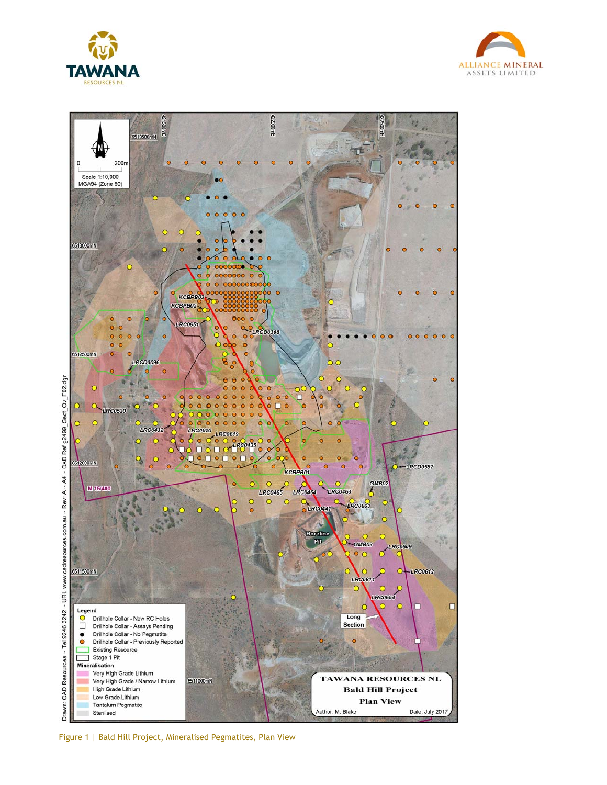



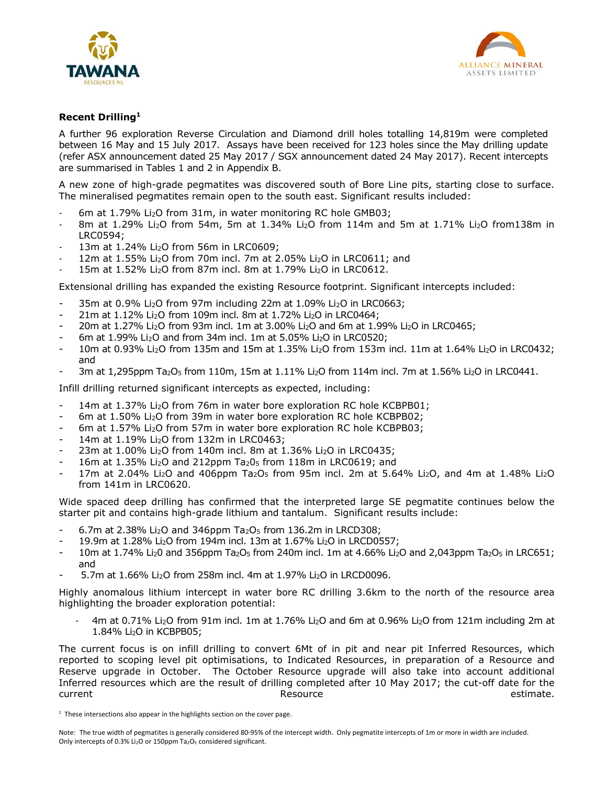



### **Recent Drilling1**

A further 96 exploration Reverse Circulation and Diamond drill holes totalling 14,819m were completed between 16 May and 15 July 2017. Assays have been received for 123 holes since the May drilling update (refer ASX announcement dated 25 May 2017 / SGX announcement dated 24 May 2017). Recent intercepts are summarised in Tables 1 and 2 in Appendix B.

A new zone of high-grade pegmatites was discovered south of Bore Line pits, starting close to surface. The mineralised pegmatites remain open to the south east. Significant results included:

- 6m at 1.79% Li<sub>2</sub>O from 31m, in water monitoring RC hole GMB03;
- 8m at 1.29% Li2O from 54m, 5m at 1.34% Li2O from 114m and 5m at 1.71% Li2O from138m in LRC0594;
- 13m at 1.24% Li2O from 56m in LRC0609;
- $-12$ m at 1.55% Li<sub>2</sub>O from 70m incl. 7m at 2.05% Li<sub>2</sub>O in LRC0611; and
- 15m at 1.52% Li2O from 87m incl. 8m at 1.79% Li2O in LRC0612.

Extensional drilling has expanded the existing Resource footprint. Significant intercepts included:

- 35m at 0.9% Li<sub>2</sub>O from 97m including 22m at 1.09% Li<sub>2</sub>O in LRC0663;
- 21m at 1.12% Li<sub>2</sub>O from 109m incl. 8m at 1.72% Li<sub>2</sub>O in LRC0464;
- 20m at 1.27% Li<sub>2</sub>O from 93m incl. 1m at 3.00% Li<sub>2</sub>O and 6m at 1.99% Li<sub>2</sub>O in LRC0465;
- 6m at 1.99% Li<sub>2</sub>O and from 34m incl. 1m at 5.05% Li<sub>2</sub>O in LRC0520;
- 10m at 0.93% Li2O from 135m and 15m at 1.35% Li2O from 153m incl. 11m at 1.64% Li2O in LRC0432; and
- 3m at 1,295ppm Ta<sub>2</sub>O<sub>5</sub> from 110m, 15m at 1.11% Li<sub>2</sub>O from 114m incl. 7m at 1.56% Li<sub>2</sub>O in LRC0441.

Infill drilling returned significant intercepts as expected, including:

- 14m at 1.37% Li2O from 76m in water bore exploration RC hole KCBPB01;
- 6m at 1.50% Li2O from 39m in water bore exploration RC hole KCBPB02;
- 6m at 1.57% Li2O from 57m in water bore exploration RC hole KCBPB03;
- 14m at 1.19% Li<sub>2</sub>O from 132m in LRC0463;
- 23m at 1.00% Li<sub>2</sub>O from 140m incl. 8m at 1.36% Li<sub>2</sub>O in LRC0435;
- 16m at 1.35% Li<sub>2</sub>O and 212ppm Ta<sub>2</sub>0<sub>5</sub> from 118m in LRC0619; and
- 17m at 2.04% Li<sub>2</sub>O and 406ppm Ta<sub>2</sub>O<sub>5</sub> from 95m incl. 2m at 5.64% Li<sub>2</sub>O, and 4m at 1.48% Li<sub>2</sub>O from 141m in LRC0620.

Wide spaced deep drilling has confirmed that the interpreted large SE pegmatite continues below the starter pit and contains high-grade lithium and tantalum. Significant results include:

- $-$  6.7m at 2.38% Li<sub>2</sub>O and 346ppm Ta<sub>2</sub>O<sub>5</sub> from 136.2m in LRCD308;
- 19.9m at 1.28% Li2O from 194m incl. 13m at 1.67% Li2O in LRCD0557;
- 10m at 1.74% Li<sub>2</sub>0 and 356ppm Ta<sub>2</sub>O<sub>5</sub> from 240m incl. 1m at 4.66% Li<sub>2</sub>O and 2,043ppm Ta<sub>2</sub>O<sub>5</sub> in LRC651; and
- 5.7m at 1.66% Li2O from 258m incl. 4m at 1.97% Li2O in LRCD0096.

Highly anomalous lithium intercept in water bore RC drilling 3.6km to the north of the resource area highlighting the broader exploration potential:

- 4m at 0.71% Li2O from 91m incl. 1m at 1.76% Li2O and 6m at 0.96% Li2O from 121m including 2m at 1.84% Li2O in KCBPB05;

The current focus is on infill drilling to convert 6Mt of in pit and near pit Inferred Resources, which reported to scoping level pit optimisations, to Indicated Resources, in preparation of a Resource and Reserve upgrade in October. The October Resource upgrade will also take into account additional Inferred resources which are the result of drilling completed after 10 May 2017; the cut-off date for the current estimate. The estimate estimate estimate estimate estimate estimate estimate estimate estimate estimate

 $1$  These intersections also appear in the highlights section on the cover page.

Note: The true width of pegmatites is generally considered 80‐95% of the intercept width. Only pegmatite intercepts of 1m or more in width are included. Only intercepts of 0.3% Li<sub>2</sub>O or 150ppm Ta<sub>2</sub>O<sub>5</sub> considered significant.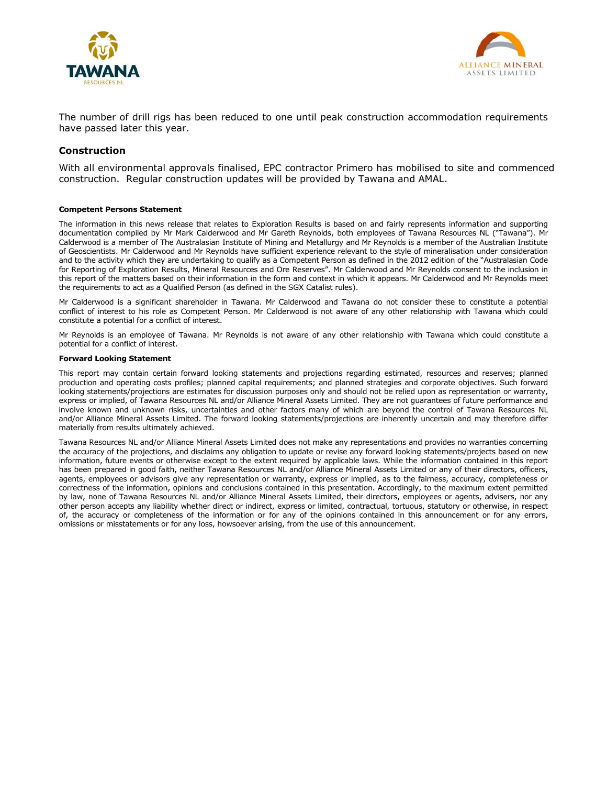



The number of drill rigs has been reduced to one until peak construction accommodation requirements have passed later this year.

#### **Construction**

With all environmental approvals finalised, EPC contractor Primero has mobilised to site and commenced construction. Regular construction updates will be provided by Tawana and AMAL.

#### **Competent Persons Statement**

The information in this news release that relates to Exploration Results is based on and fairly represents information and supporting documentation compiled by Mr Mark Calderwood and Mr Gareth Reynolds, both employees of Tawana Resources NL ("Tawana"). Mr Calderwood is a member of The Australasian Institute of Mining and Metallurgy and Mr Reynolds is a member of the Australian Institute of Geoscientists. Mr Calderwood and Mr Reynolds have sufficient experience relevant to the style of mineralisation under consideration and to the activity which they are undertaking to qualify as a Competent Person as defined in the 2012 edition of the "Australasian Code for Reporting of Exploration Results, Mineral Resources and Ore Reserves". Mr Calderwood and Mr Reynolds consent to the inclusion in this report of the matters based on their information in the form and context in which it appears. Mr Calderwood and Mr Reynolds meet the requirements to act as a Qualified Person (as defined in the SGX Catalist rules).

Mr Calderwood is a significant shareholder in Tawana. Mr Calderwood and Tawana do not consider these to constitute a potential conflict of interest to his role as Competent Person. Mr Calderwood is not aware of any other relationship with Tawana which could constitute a potential for a conflict of interest.

Mr Reynolds is an employee of Tawana. Mr Reynolds is not aware of any other relationship with Tawana which could constitute a potential for a conflict of interest.

#### **Forward Looking Statement**

This report may contain certain forward looking statements and projections regarding estimated, resources and reserves; planned production and operating costs profiles; planned capital requirements; and planned strategies and corporate objectives. Such forward looking statements/projections are estimates for discussion purposes only and should not be relied upon as representation or warranty, express or implied, of Tawana Resources NL and/or Alliance Mineral Assets Limited. They are not guarantees of future performance and involve known and unknown risks, uncertainties and other factors many of which are beyond the control of Tawana Resources NL and/or Alliance Mineral Assets Limited. The forward looking statements/projections are inherently uncertain and may therefore differ materially from results ultimately achieved.

Tawana Resources NL and/or Alliance Mineral Assets Limited does not make any representations and provides no warranties concerning the accuracy of the projections, and disclaims any obligation to update or revise any forward looking statements/projects based on new information, future events or otherwise except to the extent required by applicable laws. While the information contained in this report has been prepared in good faith, neither Tawana Resources NL and/or Alliance Mineral Assets Limited or any of their directors, officers, agents, employees or advisors give any representation or warranty, express or implied, as to the fairness, accuracy, completeness or correctness of the information, opinions and conclusions contained in this presentation. Accordingly, to the maximum extent permitted by law, none of Tawana Resources NL and/or Alliance Mineral Assets Limited, their directors, employees or agents, advisers, nor any other person accepts any liability whether direct or indirect, express or limited, contractual, tortuous, statutory or otherwise, in respect of, the accuracy or completeness of the information or for any of the opinions contained in this announcement or for any errors, omissions or misstatements or for any loss, howsoever arising, from the use of this announcement.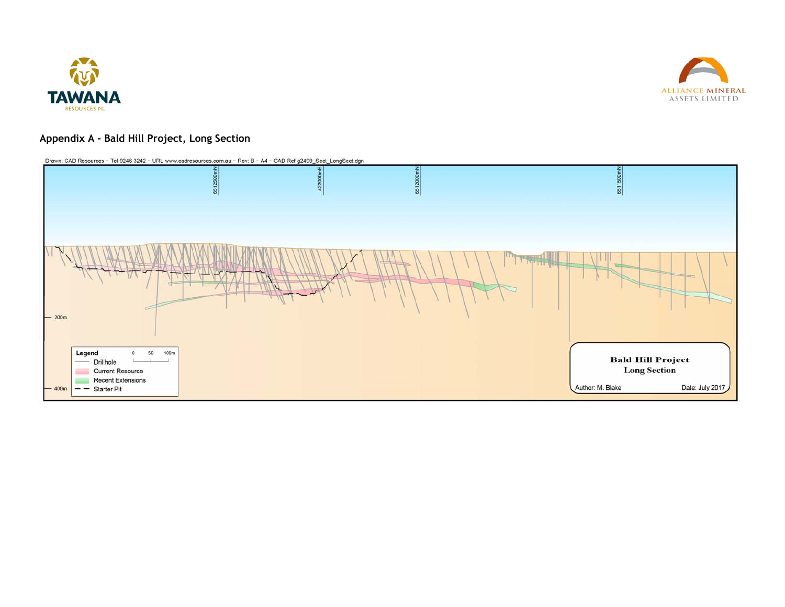



## **Appendix A - Bald Hill Project, Long Section**



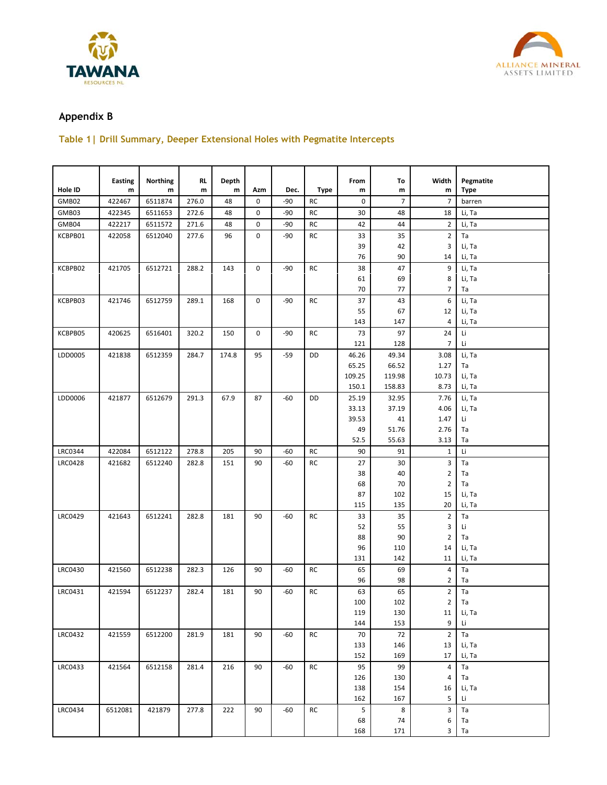



## **Appendix B**

## **Table 1| Drill Summary, Deeper Extensional Holes with Pegmatite Intercepts**

|                | <b>Easting</b> | <b>Northing</b> | RL.           | Depth |             |       |             | From      | To             | Width                            | Pegmatite        |
|----------------|----------------|-----------------|---------------|-------|-------------|-------|-------------|-----------|----------------|----------------------------------|------------------|
| Hole ID        | m              | m               | ${\mathsf m}$ | m     | Azm         | Dec.  | <b>Type</b> | m         | m              | m                                | Type             |
| GMB02          | 422467         | 6511874         | 276.0         | 48    | 0           | -90   | <b>RC</b>   | 0         | $\overline{7}$ | $\overline{7}$                   | barren           |
| GMB03          | 422345         | 6511653         | 272.6         | 48    | 0           | $-90$ | <b>RC</b>   | 30        | 48             | 18                               | Li, Ta           |
| GMB04          | 422217         | 6511572         | 271.6         | 48    | $\mathbf 0$ | -90   | <b>RC</b>   | 42        | 44             | $\overline{2}$                   | Li, Ta           |
| KCBPB01        | 422058         | 6512040         | 277.6         | 96    | 0           | -90   | <b>RC</b>   | 33        | 35             | $\overline{2}$                   | Ta               |
|                |                |                 |               |       |             |       |             | 39        | 42             | 3                                | Li, Ta           |
|                |                |                 |               |       |             |       |             | 76        | 90             | 14                               | Li, Ta           |
| KCBPB02        | 421705         | 6512721         | 288.2         | 143   | $\mathbf 0$ | $-90$ | RC          | 38        | 47             | 9                                | Li, Ta           |
|                |                |                 |               |       |             |       |             | 61        | 69             | 8                                | Li, Ta           |
|                |                |                 |               |       | $\mathbf 0$ |       | RC          | 70        | 77             | 7                                | Ta               |
| KCBPB03        | 421746         | 6512759         | 289.1         | 168   |             | $-90$ |             | 37<br>55  | 43             | 6                                | Li, Ta           |
|                |                |                 |               |       |             |       |             | 143       | 67<br>147      | 12<br>4                          | Li, Ta<br>Li, Ta |
| KCBPB05        | 420625         | 6516401         | 320.2         | 150   | 0           | $-90$ | <b>RC</b>   | 73        | 97             | 24                               | Li.              |
|                |                |                 |               |       |             |       |             | 121       | 128            | $\overline{7}$                   | Li               |
| LDD0005        | 421838         | 6512359         | 284.7         | 174.8 | 95          | -59   | DD          | 46.26     | 49.34          | 3.08                             | Li, Ta           |
|                |                |                 |               |       |             |       |             | 65.25     | 66.52          | 1.27                             | Ta               |
|                |                |                 |               |       |             |       |             | 109.25    | 119.98         | 10.73                            | Li, Ta           |
|                |                |                 |               |       |             |       |             | 150.1     | 158.83         | 8.73                             | Li, Ta           |
| LDD0006        | 421877         | 6512679         | 291.3         | 67.9  | 87          | -60   | DD          | 25.19     | 32.95          | 7.76                             | Li, Ta           |
|                |                |                 |               |       |             |       |             | 33.13     | 37.19          | 4.06                             | Li, Ta           |
|                |                |                 |               |       |             |       |             | 39.53     | 41             | 1.47                             | Li               |
|                |                |                 |               |       |             |       |             | 49        | 51.76          | 2.76                             | Ta               |
|                |                |                 |               |       |             |       |             | 52.5      | 55.63          | 3.13                             | Ta               |
| <b>LRC0344</b> | 422084         | 6512122         | 278.8         | 205   | 90          | -60   | <b>RC</b>   | 90        | 91             | $\mathbf{1}$                     | Li               |
| <b>LRC0428</b> | 421682         | 6512240         | 282.8         | 151   | 90          | $-60$ | <b>RC</b>   | 27        | 30             | 3                                | Ta               |
|                |                |                 |               |       |             |       |             | 38        | 40             | 2                                | Ta               |
|                |                |                 |               |       |             |       |             | 68        | 70             | $\overline{2}$                   | Ta               |
|                |                |                 |               |       |             |       |             | 87        | 102            | 15                               | Li, Ta           |
|                |                |                 |               |       |             |       |             | 115       | 135            | 20                               | Li, Ta           |
| <b>LRC0429</b> | 421643         | 6512241         | 282.8         | 181   | 90          | -60   | RC          | 33        | 35             | $\overline{2}$                   | Ta               |
|                |                |                 |               |       |             |       |             | 52        | 55             | 3                                | Li               |
|                |                |                 |               |       |             |       |             | 88        | 90             | $\overline{2}$                   | Ta               |
|                |                |                 |               |       |             |       |             | 96        | 110            | 14                               | Li, Ta           |
|                |                |                 |               |       |             |       |             | 131       | 142            | 11                               | Li, Ta           |
| <b>LRC0430</b> | 421560         | 6512238         | 282.3         | 126   | 90          | -60   | <b>RC</b>   | 65<br>96  | 69<br>98       | 4                                | Ta               |
| LRC0431        |                |                 |               |       |             |       |             |           |                | 2                                | Ta               |
|                | 421594         | 6512237         | 282.4         | 181   | 90          | -60   | RC          | 63<br>100 | 65<br>102      | $\overline{2}$<br>$\overline{2}$ | Ta<br>Ta         |
|                |                |                 |               |       |             |       |             | 119       | 130            | 11                               | Li, Ta           |
|                |                |                 |               |       |             |       |             | 144       | 153            | 9                                | Li               |
| <b>LRC0432</b> | 421559         | 6512200         | 281.9         | 181   | 90          | $-60$ | RC          | 70        | 72             | $\overline{2}$                   | Ta               |
|                |                |                 |               |       |             |       |             | 133       | 146            | 13                               | Li, Ta           |
|                |                |                 |               |       |             |       |             | 152       | 169            | 17                               | Li, Ta           |
| <b>LRC0433</b> | 421564         | 6512158         | 281.4         | 216   | 90          | $-60$ | <b>RC</b>   | 95        | 99             | 4                                | Ta               |
|                |                |                 |               |       |             |       |             | 126       | 130            | 4                                | Ta               |
|                |                |                 |               |       |             |       |             | 138       | 154            | 16                               | Li, Ta           |
|                |                |                 |               |       |             |       |             | 162       | 167            | 5                                | Li               |
| <b>LRC0434</b> | 6512081        | 421879          | 277.8         | 222   | 90          | -60   | <b>RC</b>   | 5         | 8              | 3                                | Ta               |
|                |                |                 |               |       |             |       |             | 68        | 74             | 6                                | Ta               |
|                |                |                 |               |       |             |       |             | 168       | 171            | 3                                | Ta               |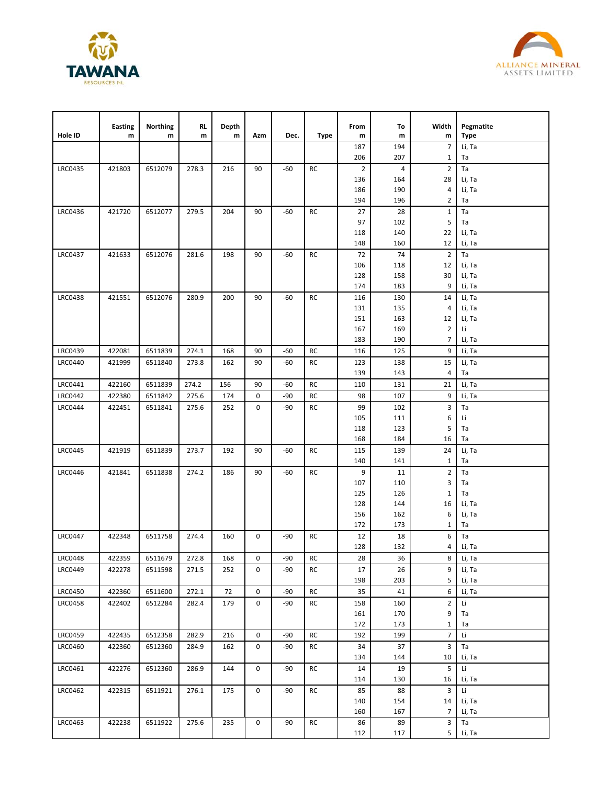



| Hole ID        | <b>Easting</b><br>${\sf m}$ | <b>Northing</b><br>${\sf m}$ | <b>RL</b><br>m | Depth<br>m | Azm         | Dec.  | <b>Type</b>   | From<br>m      | To<br>m    | Width<br>m     | Pegmatite<br>Type |
|----------------|-----------------------------|------------------------------|----------------|------------|-------------|-------|---------------|----------------|------------|----------------|-------------------|
|                |                             |                              |                |            |             |       |               | 187            | 194        | $\overline{7}$ | Li, Ta            |
|                |                             |                              |                |            |             |       |               | 206            | 207        | $\mathbf{1}$   | Ta                |
| <b>LRC0435</b> | 421803                      | 6512079                      | 278.3          | 216        | 90          | $-60$ | RC            | $\overline{2}$ | 4          | $\overline{2}$ | Ta                |
|                |                             |                              |                |            |             |       |               | 136<br>186     | 164<br>190 | 28<br>4        | Li, Ta<br>Li, Ta  |
|                |                             |                              |                |            |             |       |               | 194            | 196        | $\overline{2}$ | Ta                |
| <b>LRC0436</b> | 421720                      | 6512077                      | 279.5          | 204        | 90          | -60   | RC            | 27             | 28         | $1\,$          | Ta                |
|                |                             |                              |                |            |             |       |               | 97             | 102        | 5              | Ta                |
|                |                             |                              |                |            |             |       |               | 118            | 140        | 22             | Li, Ta            |
|                |                             |                              |                |            |             |       |               | 148            | 160        | 12             | Li, Ta            |
| <b>LRC0437</b> | 421633                      | 6512076                      | 281.6          | 198        | 90          | -60   | RC            | 72             | 74         | $\overline{2}$ | Ta                |
|                |                             |                              |                |            |             |       |               | 106            | 118        | 12             | Li, Ta            |
|                |                             |                              |                |            |             |       |               | 128            | 158        | 30             | Li, Ta            |
|                |                             |                              |                |            |             |       |               | 174            | 183        | 9              | Li, Ta            |
| <b>LRC0438</b> | 421551                      | 6512076                      | 280.9          | 200        | 90          | $-60$ | RC            | 116            | 130        | 14             | Li, Ta            |
|                |                             |                              |                |            |             |       |               | 131            | 135        | 4              | Li, Ta            |
|                |                             |                              |                |            |             |       |               | 151            | 163        | 12             | Li, Ta            |
|                |                             |                              |                |            |             |       |               | 167            | 169        | 2              | Li                |
|                |                             |                              |                |            |             |       |               | 183            | 190        | 7              | Li, Ta            |
| <b>LRC0439</b> | 422081                      | 6511839                      | 274.1          | 168        | 90          | -60   | RC            | 116            | 125        | 9              | Li, Ta            |
| <b>LRC0440</b> | 421999                      | 6511840                      | 273.8          | 162        | 90          | $-60$ | RC            | 123            | 138        | 15             | Li, Ta            |
|                |                             |                              |                |            |             |       |               | 139            | 143        | 4              | Ta                |
| LRC0441        | 422160                      | 6511839                      | 274.2          | 156        | 90          | -60   | RC            | 110            | 131        | 21             | Li, Ta            |
| <b>LRC0442</b> | 422380                      | 6511842                      | 275.6          | 174        | 0           | -90   | RC            | 98             | 107        | 9              | Li, Ta            |
| <b>LRC0444</b> | 422451                      | 6511841                      | 275.6          | 252        | 0           | -90   | RC            | 99             | 102        | 3              | Ta                |
|                |                             |                              |                |            |             |       |               | 105            | 111        | 6              | Li                |
|                |                             |                              |                |            |             |       |               | 118            | 123        | 5              | Ta                |
|                |                             |                              |                |            |             |       |               | 168            | 184        | 16             | Ta                |
| <b>LRC0445</b> | 421919                      | 6511839                      | 273.7          | 192        | 90          | -60   | RC            | 115            | 139        | 24             | Li, Ta            |
|                |                             |                              |                |            |             |       |               | 140            | 141        | $\mathbf{1}$   | Ta                |
| <b>LRC0446</b> | 421841                      | 6511838                      | 274.2          | 186        | 90          | -60   | RC            | 9              | 11         | 2              | Ta                |
|                |                             |                              |                |            |             |       |               | 107            | 110        | 3              | Ta                |
|                |                             |                              |                |            |             |       |               | 125            | 126        | $\mathbf{1}$   | Ta                |
|                |                             |                              |                |            |             |       |               | 128            | 144        | 16             | Li, Ta            |
|                |                             |                              |                |            |             |       |               | 156<br>172     | 162<br>173 | 6<br>1         | Li, Ta<br>Ta      |
| <b>LRC0447</b> | 422348                      | 6511758                      | 274.4          | 160        | 0           | -90   | RC            | 12             | 18         | 6              | Ta                |
|                |                             |                              |                |            |             |       |               | 128            | 132        | 4              | Li, Ta            |
| <b>LRC0448</b> | 422359                      | 6511679                      | 272.8          | 168        | $\mathbf 0$ | $-90$ | $\mathsf{RC}$ | 28             | 36         | 8 <sup>1</sup> | Li, Ta            |
| <b>LRC0449</b> | 422278                      | 6511598                      | 271.5          | 252        | 0           | -90   | RC            | 17             | 26         | 9              | Li, Ta            |
|                |                             |                              |                |            |             |       |               | 198            | 203        | 5              | Li, Ta            |
| <b>LRC0450</b> | 422360                      | 6511600                      | 272.1          | 72         | 0           | $-90$ | RC            | 35             | 41         | 6              | Li, Ta            |
| <b>LRC0458</b> | 422402                      | 6512284                      | 282.4          | 179        | 0           | -90   | <b>RC</b>     | 158            | 160        | 2              | Li                |
|                |                             |                              |                |            |             |       |               | 161            | 170        | 9              | Ta                |
|                |                             |                              |                |            |             |       |               | 172            | 173        | 1              | Ta                |
| <b>LRC0459</b> | 422435                      | 6512358                      | 282.9          | 216        | 0           | $-90$ | RC            | 192            | 199        | $\overline{7}$ | Li                |
| <b>LRC0460</b> | 422360                      | 6512360                      | 284.9          | 162        | 0           | -90   | RC            | 34             | 37         | 3              | Ta                |
|                |                             |                              |                |            |             |       |               | 134            | 144        | 10             | Li, Ta            |
| <b>LRC0461</b> | 422276                      | 6512360                      | 286.9          | 144        | 0           | -90   | RC            | 14             | 19         | 5              | Li.               |
|                |                             |                              |                |            |             |       |               | 114            | 130        | 16             | Li, Ta            |
| <b>LRC0462</b> | 422315                      | 6511921                      | 276.1          | 175        | 0           | -90   | RC            | 85             | 88         | 3              | Li                |
|                |                             |                              |                |            |             |       |               | 140            | 154        | 14             | Li, Ta            |
|                |                             |                              |                |            |             |       |               | 160            | 167        | $\overline{7}$ | Li, Ta            |
| <b>LRC0463</b> | 422238                      | 6511922                      | 275.6          | 235        | 0           | $-90$ | RC            | 86             | 89         | 3              | Ta                |
|                |                             |                              |                |            |             |       |               | 112            | 117        | 5              | Li, Ta            |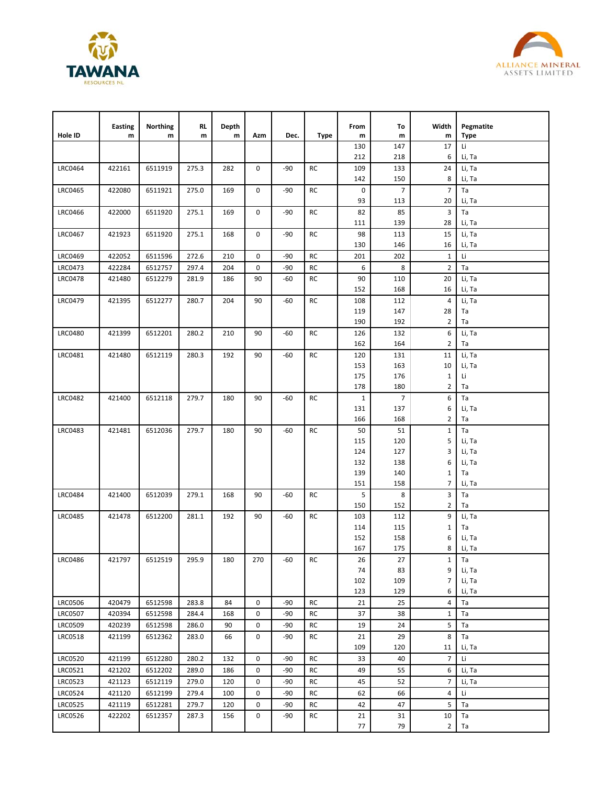



| Hole ID        | <b>Easting</b><br>m | <b>Northing</b><br>m | RL<br>m | Depth<br>m | Azm | Dec.  | <b>Type</b> | From<br>m    | To<br>m        | Width<br>m           | Pegmatite<br>Type |
|----------------|---------------------|----------------------|---------|------------|-----|-------|-------------|--------------|----------------|----------------------|-------------------|
|                |                     |                      |         |            |     |       |             | 130          | 147            | 17                   | Li                |
|                |                     |                      |         |            |     |       |             | 212          | 218            | 6                    | Li, Ta            |
| <b>LRC0464</b> | 422161              | 6511919              | 275.3   | 282        | 0   | -90   | RC          | 109<br>142   | 133<br>150     | 24<br>8              | Li, Ta<br>Li, Ta  |
| <b>LRC0465</b> | 422080              | 6511921              | 275.0   | 169        | 0   | -90   | RC          | 0            | $\overline{7}$ | $\overline{7}$       | Ta                |
|                |                     |                      |         |            |     |       |             | 93           | 113            | 20                   | Li, Ta            |
| <b>LRC0466</b> | 422000              | 6511920              | 275.1   | 169        | 0   | -90   | RC          | 82<br>111    | 85<br>139      | 3<br>28              | Ta<br>Li, Ta      |
| <b>LRC0467</b> | 421923              | 6511920              | 275.1   | 168        | 0   | -90   | RC          | 98           | 113            | 15                   | Li, Ta            |
| <b>LRC0469</b> | 422052              | 6511596              | 272.6   | 210        | 0   | -90   | <b>RC</b>   | 130<br>201   | 146<br>202     | 16<br>1              | Li, Ta<br>Li      |
| <b>LRC0473</b> | 422284              | 6512757              | 297.4   | 204        | 0   | $-90$ | <b>RC</b>   | 6            | 8              | $\overline{2}$       | Ta                |
| <b>LRC0478</b> | 421480              | 6512279              | 281.9   | 186        | 90  | -60   | <b>RC</b>   | 90           | 110            | 20                   | Li, Ta            |
|                |                     |                      |         |            |     |       |             | 152          | 168            | 16                   | Li, Ta            |
| <b>LRC0479</b> | 421395              | 6512277              | 280.7   | 204        | 90  | -60   | <b>RC</b>   | 108          | 112            | 4                    | Li, Ta            |
|                |                     |                      |         |            |     |       |             | 119          | 147            | 28                   | Ta                |
|                |                     |                      |         |            |     |       |             | 190          | 192            | 2                    | Ta                |
| <b>LRC0480</b> | 421399              | 6512201              | 280.2   | 210        | 90  | -60   | RC          | 126          | 132            | 6                    | Li, Ta            |
|                |                     |                      |         |            |     |       |             | 162          | 164            | $\overline{2}$       | Ta                |
| LRC0481        | 421480              | 6512119              | 280.3   | 192        | 90  | -60   | RC          | 120          | 131            | 11                   | Li, Ta            |
|                |                     |                      |         |            |     |       |             | 153          | 163            | 10                   | Li, Ta<br>Li      |
|                |                     |                      |         |            |     |       |             | 175<br>178   | 176<br>180     | $\mathbf{1}$<br>2    | Ta                |
| <b>LRC0482</b> | 421400              | 6512118              | 279.7   | 180        | 90  | $-60$ | <b>RC</b>   | $\mathbf{1}$ | $\overline{7}$ | 6                    | Ta                |
|                |                     |                      |         |            |     |       |             | 131          | 137            | 6                    | Li, Ta            |
|                |                     |                      |         |            |     |       |             | 166          | 168            | 2                    | Ta                |
| <b>LRC0483</b> | 421481              | 6512036              | 279.7   | 180        | 90  | $-60$ | RC          | 50           | 51             | $\mathbf{1}$         | Ta                |
|                |                     |                      |         |            |     |       |             | 115          | 120            | 5                    | Li, Ta            |
|                |                     |                      |         |            |     |       |             | 124          | 127            | 3                    | Li, Ta            |
|                |                     |                      |         |            |     |       |             | 132          | 138            | 6                    | Li, Ta            |
|                |                     |                      |         |            |     |       |             | 139          | 140            | $\mathbf{1}$         | Ta                |
|                |                     |                      |         |            |     |       |             | 151          | 158            | $\overline{7}$       | Li, Ta            |
| <b>LRC0484</b> | 421400              | 6512039              | 279.1   | 168        | 90  | -60   | RC          | 5<br>150     | 8<br>152       | 3<br>$\overline{2}$  | Ta<br>Ta          |
| <b>LRC0485</b> | 421478              | 6512200              | 281.1   | 192        | 90  | -60   | RC          | 103          | 112            | 9                    | Li, Ta            |
|                |                     |                      |         |            |     |       |             | 114          | 115            | $\mathbf{1}$         | Ta                |
|                |                     |                      |         |            |     |       |             | 152          | 158            | 6                    | Li, Ta            |
|                |                     |                      |         |            |     |       |             | 167          | 175            | 8                    | Li, Ta            |
| <b>LRC0486</b> | 421797              | 6512519              | 295.9   | 180        | 270 | -60   | RC          | 26           | 27             | 1                    | 1a                |
|                |                     |                      |         |            |     |       |             | 74<br>102    | 83<br>109      | 9<br>$\overline{7}$  | Li, Ta<br>Li, Ta  |
|                |                     |                      |         |            |     |       |             | 123          | 129            | 6                    | Li, Ta            |
| <b>LRC0506</b> | 420479              | 6512598              | 283.8   | 84         | 0   | -90   | RC          | 21           | 25             | 4                    | Ta                |
| <b>LRC0507</b> | 420394              | 6512598              | 284.4   | 168        | 0   | -90   | RC          | 37           | 38             | $\mathbf{1}$         | Ta                |
| <b>LRC0509</b> | 420239              | 6512598              | 286.0   | 90         | 0   | -90   | RC          | 19           | 24             | 5                    | Ta                |
| <b>LRC0518</b> | 421199              | 6512362              | 283.0   | 66         | 0   | -90   | RC          | 21           | 29             | 8                    | Ta                |
|                |                     |                      |         |            |     |       |             | 109          | 120            | 11                   | Li, Ta            |
| <b>LRC0520</b> | 421199              | 6512280              | 280.2   | 132        | 0   | -90   | RC          | 33           | 40             | $\overline{7}$       | Li                |
| <b>LRC0521</b> | 421202              | 6512202              | 289.0   | 186        | 0   | -90   | RC          | 49           | 55             | 6                    | Li, Ta            |
| LRC0523        | 421123              | 6512119              | 279.0   | 120        | 0   | -90   | RC          | 45           | 52             | $\overline{7}$       | Li, Ta            |
| <b>LRC0524</b> | 421120              | 6512199              | 279.4   | 100        | 0   | $-90$ | RC          | 62           | 66             | 4                    | Li                |
| <b>LRC0525</b> | 421119              | 6512281              | 279.7   | 120        | 0   | $-90$ | RC          | 42           | 47             | 5                    | Ta                |
| <b>LRC0526</b> | 422202              | 6512357              | 287.3   | 156        | 0   | -90   | RC          | 21<br>77     | 31<br>79       | 10<br>$\overline{2}$ | Ta<br>Ta          |
|                |                     |                      |         |            |     |       |             |              |                |                      |                   |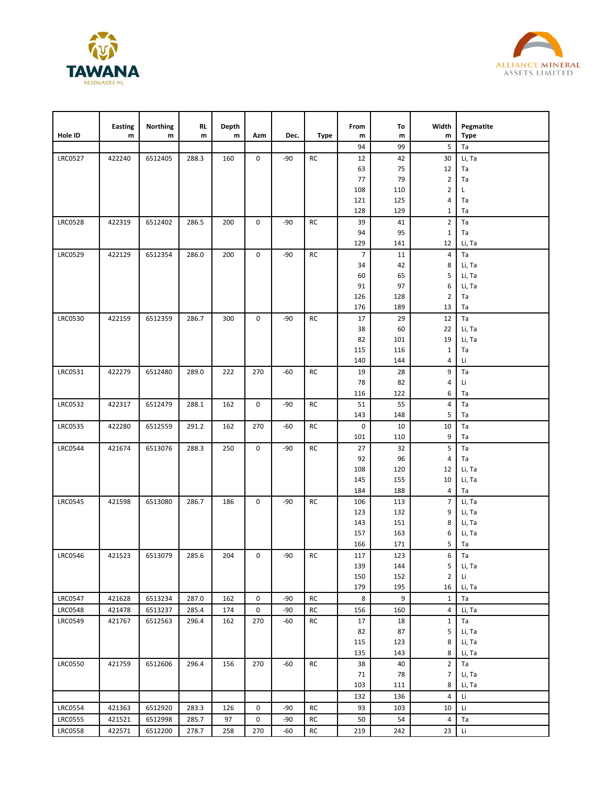



| 94<br>99<br>5<br>Ta<br>0<br>RC<br>422240<br>6512405<br>288.3<br>160<br>$-90$<br>Li, Ta<br><b>LRC0527</b><br>12<br>42<br>30<br>75<br>63<br>12<br>Ta<br>77<br>79<br>$\overline{2}$<br>Ta<br>$\overline{2}$<br>108<br>110<br>Г<br>121<br>125<br>Ta<br>4<br>128<br>129<br>Ta<br>1<br>422319<br>6512402<br>286.5<br>200<br>0<br>$-90$<br>RC<br>39<br>41<br>$\overline{2}$<br>Ta<br><b>LRC0528</b><br>94<br>95<br>Ta<br>1<br>129<br>141<br>12<br>Li, Ta<br>RC<br>Ta<br>422129<br>6512354<br>286.0<br>200<br>0<br>$-90$<br>$\overline{7}$<br><b>LRC0529</b><br>11<br>4<br>42<br>8<br>34<br>Li, Ta<br>5<br>Li, Ta<br>60<br>65<br>91<br>97<br>6<br>Li, Ta<br>126<br>$\overline{2}$<br>Ta<br>128<br>176<br>189<br>13<br>Ta<br>Ta<br><b>LRC0530</b><br>422159<br>6512359<br>286.7<br>300<br>0<br>$-90$<br>RC<br>17<br>29<br>12<br>38<br>Li, Ta<br>60<br>22<br>82<br>101<br>19<br>Li, Ta<br>115<br>116<br>$\mathbf{1}$<br>Та<br>140<br>144<br>Li<br>4<br><b>LRC0531</b><br>422279<br>6512480<br>289.0<br>222<br>270<br>$-60$<br>RC<br>19<br>9<br>Ta<br>28<br>78<br>82<br>Li<br>4<br>116<br>122<br>6<br>Ta<br>RC<br><b>LRC0532</b><br>422317<br>6512479<br>288.1<br>162<br>0<br>$-90$<br>51<br>55<br>4<br>Ta<br>143<br>148<br>5<br>Ta<br>270<br>RC<br>0<br>Ta<br><b>LRC0535</b><br>422280<br>6512559<br>291.2<br>162<br>-60<br>10<br>10<br>9<br>101<br>110<br>Ta<br><b>LRC0544</b><br>288.3<br>250<br>0<br>$-90$<br><b>RC</b><br>27<br>32<br>5<br>Ta<br>421674<br>6513076<br>92<br>96<br>Ta<br>4<br>108<br>120<br>12<br>Li, Ta<br>145<br>155<br>10<br>Li, Ta<br>184<br>188<br>4<br>Ta<br><b>LRC0545</b><br>421598<br>6513080<br>286.7<br>186<br>0<br>$-90$<br>RC<br>106<br>Li, Ta<br>113<br>7<br>123<br>132<br>9<br>Li, Ta<br>143<br>151<br>Li, Ta<br>8<br>157<br>163<br>6<br>Li, Ta<br>5<br>166<br>171<br>Ta<br>$\mathsf I$<br>117<br>123<br>6<br><b>LRC0546</b><br>421523<br>6513079<br>285.6<br>204<br>0<br>$-90$<br><b>RC</b><br>Ta<br>5<br>139<br>144<br>Li, Ta<br>150<br>152<br>$\overline{2}$<br>Li<br>179<br>195<br>16<br>Li, Ta<br>0<br>RC<br>9<br>Ta<br><b>LRC0547</b><br>421628<br>6513234<br>287.0<br>162<br>$-90$<br>8<br>$\mathbf{1}$<br><b>LRC0548</b><br>421478<br>6513237<br>285.4<br>174<br>0<br>$-90$<br><b>RC</b><br>160<br>156<br>4<br>Li, Ta<br>RC<br>Ta<br><b>LRC0549</b><br>421767<br>6512563<br>296.4<br>162<br>270<br>$-60$<br>17<br>18<br>$\mathbf{1}$<br>82<br>87<br>5<br>Li, Ta<br>115<br>123<br>8<br>Li, Ta<br>135<br>143<br>8<br>Li, Ta<br>Ta<br>421759<br>296.4<br>156<br>-60<br><b>RC</b><br>$\overline{2}$<br><b>LRC0550</b><br>6512606<br>270<br>38<br>40<br>71<br>78<br>7<br>Li, Ta<br>103<br>Li, Ta<br>111<br>8<br>132<br>136<br>4<br>Li<br><b>LRC0554</b><br>421363<br>6512920<br>283.3<br>0<br>RC<br>93<br>Li<br>126<br>-90<br>103<br>10<br>421521<br>97<br>0<br>$-90$<br>RC<br>50<br>54<br><b>LRC0555</b><br>6512998<br>285.7<br>4<br>Ta | Hole ID        | Easting<br>${\bf m}$ | Northing<br>m | <b>RL</b><br>m | Depth<br>m | Azm | Dec. | <b>Type</b> | From<br>m | To<br>m | Width<br>m | Pegmatite<br><b>Type</b> |
|---------------------------------------------------------------------------------------------------------------------------------------------------------------------------------------------------------------------------------------------------------------------------------------------------------------------------------------------------------------------------------------------------------------------------------------------------------------------------------------------------------------------------------------------------------------------------------------------------------------------------------------------------------------------------------------------------------------------------------------------------------------------------------------------------------------------------------------------------------------------------------------------------------------------------------------------------------------------------------------------------------------------------------------------------------------------------------------------------------------------------------------------------------------------------------------------------------------------------------------------------------------------------------------------------------------------------------------------------------------------------------------------------------------------------------------------------------------------------------------------------------------------------------------------------------------------------------------------------------------------------------------------------------------------------------------------------------------------------------------------------------------------------------------------------------------------------------------------------------------------------------------------------------------------------------------------------------------------------------------------------------------------------------------------------------------------------------------------------------------------------------------------------------------------------------------------------------------------------------------------------------------------------------------------------------------------------------------------------------------------------------------------------------------------------------------------------------------------------------------------------------------------------------------------------------------------------------------------------------------------------------------------------------------------------------------------------------------------------------------------------------------------------------------------------------------------------------------------------------------------|----------------|----------------------|---------------|----------------|------------|-----|------|-------------|-----------|---------|------------|--------------------------|
|                                                                                                                                                                                                                                                                                                                                                                                                                                                                                                                                                                                                                                                                                                                                                                                                                                                                                                                                                                                                                                                                                                                                                                                                                                                                                                                                                                                                                                                                                                                                                                                                                                                                                                                                                                                                                                                                                                                                                                                                                                                                                                                                                                                                                                                                                                                                                                                                                                                                                                                                                                                                                                                                                                                                                                                                                                                                     |                |                      |               |                |            |     |      |             |           |         |            |                          |
|                                                                                                                                                                                                                                                                                                                                                                                                                                                                                                                                                                                                                                                                                                                                                                                                                                                                                                                                                                                                                                                                                                                                                                                                                                                                                                                                                                                                                                                                                                                                                                                                                                                                                                                                                                                                                                                                                                                                                                                                                                                                                                                                                                                                                                                                                                                                                                                                                                                                                                                                                                                                                                                                                                                                                                                                                                                                     |                |                      |               |                |            |     |      |             |           |         |            |                          |
|                                                                                                                                                                                                                                                                                                                                                                                                                                                                                                                                                                                                                                                                                                                                                                                                                                                                                                                                                                                                                                                                                                                                                                                                                                                                                                                                                                                                                                                                                                                                                                                                                                                                                                                                                                                                                                                                                                                                                                                                                                                                                                                                                                                                                                                                                                                                                                                                                                                                                                                                                                                                                                                                                                                                                                                                                                                                     |                |                      |               |                |            |     |      |             |           |         |            |                          |
|                                                                                                                                                                                                                                                                                                                                                                                                                                                                                                                                                                                                                                                                                                                                                                                                                                                                                                                                                                                                                                                                                                                                                                                                                                                                                                                                                                                                                                                                                                                                                                                                                                                                                                                                                                                                                                                                                                                                                                                                                                                                                                                                                                                                                                                                                                                                                                                                                                                                                                                                                                                                                                                                                                                                                                                                                                                                     |                |                      |               |                |            |     |      |             |           |         |            |                          |
|                                                                                                                                                                                                                                                                                                                                                                                                                                                                                                                                                                                                                                                                                                                                                                                                                                                                                                                                                                                                                                                                                                                                                                                                                                                                                                                                                                                                                                                                                                                                                                                                                                                                                                                                                                                                                                                                                                                                                                                                                                                                                                                                                                                                                                                                                                                                                                                                                                                                                                                                                                                                                                                                                                                                                                                                                                                                     |                |                      |               |                |            |     |      |             |           |         |            |                          |
|                                                                                                                                                                                                                                                                                                                                                                                                                                                                                                                                                                                                                                                                                                                                                                                                                                                                                                                                                                                                                                                                                                                                                                                                                                                                                                                                                                                                                                                                                                                                                                                                                                                                                                                                                                                                                                                                                                                                                                                                                                                                                                                                                                                                                                                                                                                                                                                                                                                                                                                                                                                                                                                                                                                                                                                                                                                                     |                |                      |               |                |            |     |      |             |           |         |            |                          |
|                                                                                                                                                                                                                                                                                                                                                                                                                                                                                                                                                                                                                                                                                                                                                                                                                                                                                                                                                                                                                                                                                                                                                                                                                                                                                                                                                                                                                                                                                                                                                                                                                                                                                                                                                                                                                                                                                                                                                                                                                                                                                                                                                                                                                                                                                                                                                                                                                                                                                                                                                                                                                                                                                                                                                                                                                                                                     |                |                      |               |                |            |     |      |             |           |         |            |                          |
|                                                                                                                                                                                                                                                                                                                                                                                                                                                                                                                                                                                                                                                                                                                                                                                                                                                                                                                                                                                                                                                                                                                                                                                                                                                                                                                                                                                                                                                                                                                                                                                                                                                                                                                                                                                                                                                                                                                                                                                                                                                                                                                                                                                                                                                                                                                                                                                                                                                                                                                                                                                                                                                                                                                                                                                                                                                                     |                |                      |               |                |            |     |      |             |           |         |            |                          |
|                                                                                                                                                                                                                                                                                                                                                                                                                                                                                                                                                                                                                                                                                                                                                                                                                                                                                                                                                                                                                                                                                                                                                                                                                                                                                                                                                                                                                                                                                                                                                                                                                                                                                                                                                                                                                                                                                                                                                                                                                                                                                                                                                                                                                                                                                                                                                                                                                                                                                                                                                                                                                                                                                                                                                                                                                                                                     |                |                      |               |                |            |     |      |             |           |         |            |                          |
|                                                                                                                                                                                                                                                                                                                                                                                                                                                                                                                                                                                                                                                                                                                                                                                                                                                                                                                                                                                                                                                                                                                                                                                                                                                                                                                                                                                                                                                                                                                                                                                                                                                                                                                                                                                                                                                                                                                                                                                                                                                                                                                                                                                                                                                                                                                                                                                                                                                                                                                                                                                                                                                                                                                                                                                                                                                                     |                |                      |               |                |            |     |      |             |           |         |            |                          |
|                                                                                                                                                                                                                                                                                                                                                                                                                                                                                                                                                                                                                                                                                                                                                                                                                                                                                                                                                                                                                                                                                                                                                                                                                                                                                                                                                                                                                                                                                                                                                                                                                                                                                                                                                                                                                                                                                                                                                                                                                                                                                                                                                                                                                                                                                                                                                                                                                                                                                                                                                                                                                                                                                                                                                                                                                                                                     |                |                      |               |                |            |     |      |             |           |         |            |                          |
|                                                                                                                                                                                                                                                                                                                                                                                                                                                                                                                                                                                                                                                                                                                                                                                                                                                                                                                                                                                                                                                                                                                                                                                                                                                                                                                                                                                                                                                                                                                                                                                                                                                                                                                                                                                                                                                                                                                                                                                                                                                                                                                                                                                                                                                                                                                                                                                                                                                                                                                                                                                                                                                                                                                                                                                                                                                                     |                |                      |               |                |            |     |      |             |           |         |            |                          |
|                                                                                                                                                                                                                                                                                                                                                                                                                                                                                                                                                                                                                                                                                                                                                                                                                                                                                                                                                                                                                                                                                                                                                                                                                                                                                                                                                                                                                                                                                                                                                                                                                                                                                                                                                                                                                                                                                                                                                                                                                                                                                                                                                                                                                                                                                                                                                                                                                                                                                                                                                                                                                                                                                                                                                                                                                                                                     |                |                      |               |                |            |     |      |             |           |         |            |                          |
|                                                                                                                                                                                                                                                                                                                                                                                                                                                                                                                                                                                                                                                                                                                                                                                                                                                                                                                                                                                                                                                                                                                                                                                                                                                                                                                                                                                                                                                                                                                                                                                                                                                                                                                                                                                                                                                                                                                                                                                                                                                                                                                                                                                                                                                                                                                                                                                                                                                                                                                                                                                                                                                                                                                                                                                                                                                                     |                |                      |               |                |            |     |      |             |           |         |            |                          |
|                                                                                                                                                                                                                                                                                                                                                                                                                                                                                                                                                                                                                                                                                                                                                                                                                                                                                                                                                                                                                                                                                                                                                                                                                                                                                                                                                                                                                                                                                                                                                                                                                                                                                                                                                                                                                                                                                                                                                                                                                                                                                                                                                                                                                                                                                                                                                                                                                                                                                                                                                                                                                                                                                                                                                                                                                                                                     |                |                      |               |                |            |     |      |             |           |         |            |                          |
|                                                                                                                                                                                                                                                                                                                                                                                                                                                                                                                                                                                                                                                                                                                                                                                                                                                                                                                                                                                                                                                                                                                                                                                                                                                                                                                                                                                                                                                                                                                                                                                                                                                                                                                                                                                                                                                                                                                                                                                                                                                                                                                                                                                                                                                                                                                                                                                                                                                                                                                                                                                                                                                                                                                                                                                                                                                                     |                |                      |               |                |            |     |      |             |           |         |            |                          |
|                                                                                                                                                                                                                                                                                                                                                                                                                                                                                                                                                                                                                                                                                                                                                                                                                                                                                                                                                                                                                                                                                                                                                                                                                                                                                                                                                                                                                                                                                                                                                                                                                                                                                                                                                                                                                                                                                                                                                                                                                                                                                                                                                                                                                                                                                                                                                                                                                                                                                                                                                                                                                                                                                                                                                                                                                                                                     |                |                      |               |                |            |     |      |             |           |         |            |                          |
|                                                                                                                                                                                                                                                                                                                                                                                                                                                                                                                                                                                                                                                                                                                                                                                                                                                                                                                                                                                                                                                                                                                                                                                                                                                                                                                                                                                                                                                                                                                                                                                                                                                                                                                                                                                                                                                                                                                                                                                                                                                                                                                                                                                                                                                                                                                                                                                                                                                                                                                                                                                                                                                                                                                                                                                                                                                                     |                |                      |               |                |            |     |      |             |           |         |            |                          |
|                                                                                                                                                                                                                                                                                                                                                                                                                                                                                                                                                                                                                                                                                                                                                                                                                                                                                                                                                                                                                                                                                                                                                                                                                                                                                                                                                                                                                                                                                                                                                                                                                                                                                                                                                                                                                                                                                                                                                                                                                                                                                                                                                                                                                                                                                                                                                                                                                                                                                                                                                                                                                                                                                                                                                                                                                                                                     |                |                      |               |                |            |     |      |             |           |         |            |                          |
|                                                                                                                                                                                                                                                                                                                                                                                                                                                                                                                                                                                                                                                                                                                                                                                                                                                                                                                                                                                                                                                                                                                                                                                                                                                                                                                                                                                                                                                                                                                                                                                                                                                                                                                                                                                                                                                                                                                                                                                                                                                                                                                                                                                                                                                                                                                                                                                                                                                                                                                                                                                                                                                                                                                                                                                                                                                                     |                |                      |               |                |            |     |      |             |           |         |            |                          |
|                                                                                                                                                                                                                                                                                                                                                                                                                                                                                                                                                                                                                                                                                                                                                                                                                                                                                                                                                                                                                                                                                                                                                                                                                                                                                                                                                                                                                                                                                                                                                                                                                                                                                                                                                                                                                                                                                                                                                                                                                                                                                                                                                                                                                                                                                                                                                                                                                                                                                                                                                                                                                                                                                                                                                                                                                                                                     |                |                      |               |                |            |     |      |             |           |         |            |                          |
|                                                                                                                                                                                                                                                                                                                                                                                                                                                                                                                                                                                                                                                                                                                                                                                                                                                                                                                                                                                                                                                                                                                                                                                                                                                                                                                                                                                                                                                                                                                                                                                                                                                                                                                                                                                                                                                                                                                                                                                                                                                                                                                                                                                                                                                                                                                                                                                                                                                                                                                                                                                                                                                                                                                                                                                                                                                                     |                |                      |               |                |            |     |      |             |           |         |            |                          |
|                                                                                                                                                                                                                                                                                                                                                                                                                                                                                                                                                                                                                                                                                                                                                                                                                                                                                                                                                                                                                                                                                                                                                                                                                                                                                                                                                                                                                                                                                                                                                                                                                                                                                                                                                                                                                                                                                                                                                                                                                                                                                                                                                                                                                                                                                                                                                                                                                                                                                                                                                                                                                                                                                                                                                                                                                                                                     |                |                      |               |                |            |     |      |             |           |         |            |                          |
|                                                                                                                                                                                                                                                                                                                                                                                                                                                                                                                                                                                                                                                                                                                                                                                                                                                                                                                                                                                                                                                                                                                                                                                                                                                                                                                                                                                                                                                                                                                                                                                                                                                                                                                                                                                                                                                                                                                                                                                                                                                                                                                                                                                                                                                                                                                                                                                                                                                                                                                                                                                                                                                                                                                                                                                                                                                                     |                |                      |               |                |            |     |      |             |           |         |            |                          |
|                                                                                                                                                                                                                                                                                                                                                                                                                                                                                                                                                                                                                                                                                                                                                                                                                                                                                                                                                                                                                                                                                                                                                                                                                                                                                                                                                                                                                                                                                                                                                                                                                                                                                                                                                                                                                                                                                                                                                                                                                                                                                                                                                                                                                                                                                                                                                                                                                                                                                                                                                                                                                                                                                                                                                                                                                                                                     |                |                      |               |                |            |     |      |             |           |         |            |                          |
|                                                                                                                                                                                                                                                                                                                                                                                                                                                                                                                                                                                                                                                                                                                                                                                                                                                                                                                                                                                                                                                                                                                                                                                                                                                                                                                                                                                                                                                                                                                                                                                                                                                                                                                                                                                                                                                                                                                                                                                                                                                                                                                                                                                                                                                                                                                                                                                                                                                                                                                                                                                                                                                                                                                                                                                                                                                                     |                |                      |               |                |            |     |      |             |           |         |            |                          |
|                                                                                                                                                                                                                                                                                                                                                                                                                                                                                                                                                                                                                                                                                                                                                                                                                                                                                                                                                                                                                                                                                                                                                                                                                                                                                                                                                                                                                                                                                                                                                                                                                                                                                                                                                                                                                                                                                                                                                                                                                                                                                                                                                                                                                                                                                                                                                                                                                                                                                                                                                                                                                                                                                                                                                                                                                                                                     |                |                      |               |                |            |     |      |             |           |         |            |                          |
|                                                                                                                                                                                                                                                                                                                                                                                                                                                                                                                                                                                                                                                                                                                                                                                                                                                                                                                                                                                                                                                                                                                                                                                                                                                                                                                                                                                                                                                                                                                                                                                                                                                                                                                                                                                                                                                                                                                                                                                                                                                                                                                                                                                                                                                                                                                                                                                                                                                                                                                                                                                                                                                                                                                                                                                                                                                                     |                |                      |               |                |            |     |      |             |           |         |            |                          |
|                                                                                                                                                                                                                                                                                                                                                                                                                                                                                                                                                                                                                                                                                                                                                                                                                                                                                                                                                                                                                                                                                                                                                                                                                                                                                                                                                                                                                                                                                                                                                                                                                                                                                                                                                                                                                                                                                                                                                                                                                                                                                                                                                                                                                                                                                                                                                                                                                                                                                                                                                                                                                                                                                                                                                                                                                                                                     |                |                      |               |                |            |     |      |             |           |         |            |                          |
|                                                                                                                                                                                                                                                                                                                                                                                                                                                                                                                                                                                                                                                                                                                                                                                                                                                                                                                                                                                                                                                                                                                                                                                                                                                                                                                                                                                                                                                                                                                                                                                                                                                                                                                                                                                                                                                                                                                                                                                                                                                                                                                                                                                                                                                                                                                                                                                                                                                                                                                                                                                                                                                                                                                                                                                                                                                                     |                |                      |               |                |            |     |      |             |           |         |            |                          |
|                                                                                                                                                                                                                                                                                                                                                                                                                                                                                                                                                                                                                                                                                                                                                                                                                                                                                                                                                                                                                                                                                                                                                                                                                                                                                                                                                                                                                                                                                                                                                                                                                                                                                                                                                                                                                                                                                                                                                                                                                                                                                                                                                                                                                                                                                                                                                                                                                                                                                                                                                                                                                                                                                                                                                                                                                                                                     |                |                      |               |                |            |     |      |             |           |         |            |                          |
|                                                                                                                                                                                                                                                                                                                                                                                                                                                                                                                                                                                                                                                                                                                                                                                                                                                                                                                                                                                                                                                                                                                                                                                                                                                                                                                                                                                                                                                                                                                                                                                                                                                                                                                                                                                                                                                                                                                                                                                                                                                                                                                                                                                                                                                                                                                                                                                                                                                                                                                                                                                                                                                                                                                                                                                                                                                                     |                |                      |               |                |            |     |      |             |           |         |            |                          |
|                                                                                                                                                                                                                                                                                                                                                                                                                                                                                                                                                                                                                                                                                                                                                                                                                                                                                                                                                                                                                                                                                                                                                                                                                                                                                                                                                                                                                                                                                                                                                                                                                                                                                                                                                                                                                                                                                                                                                                                                                                                                                                                                                                                                                                                                                                                                                                                                                                                                                                                                                                                                                                                                                                                                                                                                                                                                     |                |                      |               |                |            |     |      |             |           |         |            |                          |
|                                                                                                                                                                                                                                                                                                                                                                                                                                                                                                                                                                                                                                                                                                                                                                                                                                                                                                                                                                                                                                                                                                                                                                                                                                                                                                                                                                                                                                                                                                                                                                                                                                                                                                                                                                                                                                                                                                                                                                                                                                                                                                                                                                                                                                                                                                                                                                                                                                                                                                                                                                                                                                                                                                                                                                                                                                                                     |                |                      |               |                |            |     |      |             |           |         |            |                          |
|                                                                                                                                                                                                                                                                                                                                                                                                                                                                                                                                                                                                                                                                                                                                                                                                                                                                                                                                                                                                                                                                                                                                                                                                                                                                                                                                                                                                                                                                                                                                                                                                                                                                                                                                                                                                                                                                                                                                                                                                                                                                                                                                                                                                                                                                                                                                                                                                                                                                                                                                                                                                                                                                                                                                                                                                                                                                     |                |                      |               |                |            |     |      |             |           |         |            |                          |
|                                                                                                                                                                                                                                                                                                                                                                                                                                                                                                                                                                                                                                                                                                                                                                                                                                                                                                                                                                                                                                                                                                                                                                                                                                                                                                                                                                                                                                                                                                                                                                                                                                                                                                                                                                                                                                                                                                                                                                                                                                                                                                                                                                                                                                                                                                                                                                                                                                                                                                                                                                                                                                                                                                                                                                                                                                                                     |                |                      |               |                |            |     |      |             |           |         |            |                          |
|                                                                                                                                                                                                                                                                                                                                                                                                                                                                                                                                                                                                                                                                                                                                                                                                                                                                                                                                                                                                                                                                                                                                                                                                                                                                                                                                                                                                                                                                                                                                                                                                                                                                                                                                                                                                                                                                                                                                                                                                                                                                                                                                                                                                                                                                                                                                                                                                                                                                                                                                                                                                                                                                                                                                                                                                                                                                     |                |                      |               |                |            |     |      |             |           |         |            |                          |
|                                                                                                                                                                                                                                                                                                                                                                                                                                                                                                                                                                                                                                                                                                                                                                                                                                                                                                                                                                                                                                                                                                                                                                                                                                                                                                                                                                                                                                                                                                                                                                                                                                                                                                                                                                                                                                                                                                                                                                                                                                                                                                                                                                                                                                                                                                                                                                                                                                                                                                                                                                                                                                                                                                                                                                                                                                                                     |                |                      |               |                |            |     |      |             |           |         |            |                          |
|                                                                                                                                                                                                                                                                                                                                                                                                                                                                                                                                                                                                                                                                                                                                                                                                                                                                                                                                                                                                                                                                                                                                                                                                                                                                                                                                                                                                                                                                                                                                                                                                                                                                                                                                                                                                                                                                                                                                                                                                                                                                                                                                                                                                                                                                                                                                                                                                                                                                                                                                                                                                                                                                                                                                                                                                                                                                     |                |                      |               |                |            |     |      |             |           |         |            |                          |
|                                                                                                                                                                                                                                                                                                                                                                                                                                                                                                                                                                                                                                                                                                                                                                                                                                                                                                                                                                                                                                                                                                                                                                                                                                                                                                                                                                                                                                                                                                                                                                                                                                                                                                                                                                                                                                                                                                                                                                                                                                                                                                                                                                                                                                                                                                                                                                                                                                                                                                                                                                                                                                                                                                                                                                                                                                                                     |                |                      |               |                |            |     |      |             |           |         |            |                          |
|                                                                                                                                                                                                                                                                                                                                                                                                                                                                                                                                                                                                                                                                                                                                                                                                                                                                                                                                                                                                                                                                                                                                                                                                                                                                                                                                                                                                                                                                                                                                                                                                                                                                                                                                                                                                                                                                                                                                                                                                                                                                                                                                                                                                                                                                                                                                                                                                                                                                                                                                                                                                                                                                                                                                                                                                                                                                     |                |                      |               |                |            |     |      |             |           |         |            |                          |
|                                                                                                                                                                                                                                                                                                                                                                                                                                                                                                                                                                                                                                                                                                                                                                                                                                                                                                                                                                                                                                                                                                                                                                                                                                                                                                                                                                                                                                                                                                                                                                                                                                                                                                                                                                                                                                                                                                                                                                                                                                                                                                                                                                                                                                                                                                                                                                                                                                                                                                                                                                                                                                                                                                                                                                                                                                                                     |                |                      |               |                |            |     |      |             |           |         |            |                          |
|                                                                                                                                                                                                                                                                                                                                                                                                                                                                                                                                                                                                                                                                                                                                                                                                                                                                                                                                                                                                                                                                                                                                                                                                                                                                                                                                                                                                                                                                                                                                                                                                                                                                                                                                                                                                                                                                                                                                                                                                                                                                                                                                                                                                                                                                                                                                                                                                                                                                                                                                                                                                                                                                                                                                                                                                                                                                     |                |                      |               |                |            |     |      |             |           |         |            |                          |
|                                                                                                                                                                                                                                                                                                                                                                                                                                                                                                                                                                                                                                                                                                                                                                                                                                                                                                                                                                                                                                                                                                                                                                                                                                                                                                                                                                                                                                                                                                                                                                                                                                                                                                                                                                                                                                                                                                                                                                                                                                                                                                                                                                                                                                                                                                                                                                                                                                                                                                                                                                                                                                                                                                                                                                                                                                                                     |                |                      |               |                |            |     |      |             |           |         |            |                          |
|                                                                                                                                                                                                                                                                                                                                                                                                                                                                                                                                                                                                                                                                                                                                                                                                                                                                                                                                                                                                                                                                                                                                                                                                                                                                                                                                                                                                                                                                                                                                                                                                                                                                                                                                                                                                                                                                                                                                                                                                                                                                                                                                                                                                                                                                                                                                                                                                                                                                                                                                                                                                                                                                                                                                                                                                                                                                     |                |                      |               |                |            |     |      |             |           |         |            |                          |
|                                                                                                                                                                                                                                                                                                                                                                                                                                                                                                                                                                                                                                                                                                                                                                                                                                                                                                                                                                                                                                                                                                                                                                                                                                                                                                                                                                                                                                                                                                                                                                                                                                                                                                                                                                                                                                                                                                                                                                                                                                                                                                                                                                                                                                                                                                                                                                                                                                                                                                                                                                                                                                                                                                                                                                                                                                                                     |                |                      |               |                |            |     |      |             |           |         |            |                          |
|                                                                                                                                                                                                                                                                                                                                                                                                                                                                                                                                                                                                                                                                                                                                                                                                                                                                                                                                                                                                                                                                                                                                                                                                                                                                                                                                                                                                                                                                                                                                                                                                                                                                                                                                                                                                                                                                                                                                                                                                                                                                                                                                                                                                                                                                                                                                                                                                                                                                                                                                                                                                                                                                                                                                                                                                                                                                     |                |                      |               |                |            |     |      |             |           |         |            |                          |
|                                                                                                                                                                                                                                                                                                                                                                                                                                                                                                                                                                                                                                                                                                                                                                                                                                                                                                                                                                                                                                                                                                                                                                                                                                                                                                                                                                                                                                                                                                                                                                                                                                                                                                                                                                                                                                                                                                                                                                                                                                                                                                                                                                                                                                                                                                                                                                                                                                                                                                                                                                                                                                                                                                                                                                                                                                                                     |                |                      |               |                |            |     |      |             |           |         |            |                          |
|                                                                                                                                                                                                                                                                                                                                                                                                                                                                                                                                                                                                                                                                                                                                                                                                                                                                                                                                                                                                                                                                                                                                                                                                                                                                                                                                                                                                                                                                                                                                                                                                                                                                                                                                                                                                                                                                                                                                                                                                                                                                                                                                                                                                                                                                                                                                                                                                                                                                                                                                                                                                                                                                                                                                                                                                                                                                     |                |                      |               |                |            |     |      |             |           |         |            |                          |
|                                                                                                                                                                                                                                                                                                                                                                                                                                                                                                                                                                                                                                                                                                                                                                                                                                                                                                                                                                                                                                                                                                                                                                                                                                                                                                                                                                                                                                                                                                                                                                                                                                                                                                                                                                                                                                                                                                                                                                                                                                                                                                                                                                                                                                                                                                                                                                                                                                                                                                                                                                                                                                                                                                                                                                                                                                                                     |                |                      |               |                |            |     |      |             |           |         |            |                          |
|                                                                                                                                                                                                                                                                                                                                                                                                                                                                                                                                                                                                                                                                                                                                                                                                                                                                                                                                                                                                                                                                                                                                                                                                                                                                                                                                                                                                                                                                                                                                                                                                                                                                                                                                                                                                                                                                                                                                                                                                                                                                                                                                                                                                                                                                                                                                                                                                                                                                                                                                                                                                                                                                                                                                                                                                                                                                     |                |                      |               |                |            |     |      |             |           |         |            |                          |
|                                                                                                                                                                                                                                                                                                                                                                                                                                                                                                                                                                                                                                                                                                                                                                                                                                                                                                                                                                                                                                                                                                                                                                                                                                                                                                                                                                                                                                                                                                                                                                                                                                                                                                                                                                                                                                                                                                                                                                                                                                                                                                                                                                                                                                                                                                                                                                                                                                                                                                                                                                                                                                                                                                                                                                                                                                                                     | <b>LRC0558</b> | 422571               | 6512200       | 278.7          | 258        | 270 | -60  | ${\sf RC}$  | 219       | 242     | 23         | Li                       |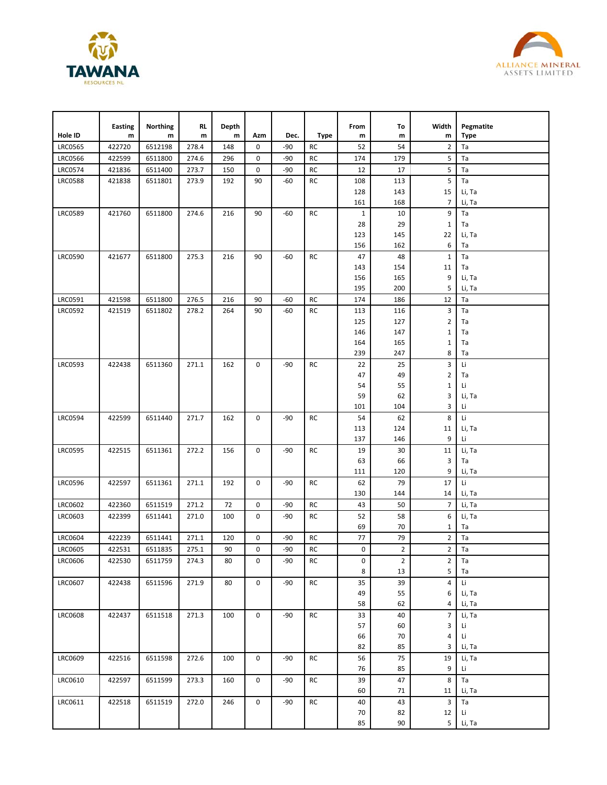



| 422720<br>6512198<br>148<br>0<br><b>RC</b><br>Ta<br><b>LRC0565</b><br>278.4<br>-90<br>52<br>54<br>2<br><b>LRC0566</b><br>0<br>$-90$<br><b>RC</b><br>179<br>5<br>422599<br>6511800<br>274.6<br>296<br>174<br>Ta<br>5<br><b>LRC0574</b><br>421836<br>6511400<br>273.7<br>150<br>0<br>$-90$<br><b>RC</b><br>12<br>17<br>Ta<br>RC<br>5<br><b>LRC0588</b><br>421838<br>273.9<br>192<br>90<br>$-60$<br>108<br>Ta<br>6511801<br>113<br>128<br>143<br>15<br>Li, Ta<br>161<br>168<br>7<br>Li, Ta<br>90<br>RC<br>421760<br>274.6<br>216<br>$-60$<br>$\mathbf{1}$<br>10<br>9<br>Ta<br><b>LRC0589</b><br>6511800<br>28<br>29<br>Ta<br>$\mathbf{1}$<br>123<br>145<br>22<br>Li, Ta<br>156<br>162<br>6<br>Ta<br>RC<br><b>LRC0590</b><br>421677<br>6511800<br>275.3<br>216<br>90<br>-60<br>47<br>48<br>Ta<br>$\mathbf{1}$<br>143<br>154<br>Ta<br>11<br>156<br>165<br>9<br>Li, Ta<br>195<br>200<br>5<br>Li, Ta<br><b>LRC0591</b><br>421598<br>6511800<br>276.5<br>216<br>90<br>$-60$<br>RC<br>186<br>174<br>12<br>Ta<br><b>LRC0592</b><br>421519<br>278.2<br>264<br>90<br>$-60$<br><b>RC</b><br>3<br>6511802<br>113<br>116<br>Ta<br>125<br>127<br>2<br>Ta<br>146<br>147<br>$\mathbf 1$<br>Ta<br>164<br>165<br>$1\,$<br>Ta<br>239<br>247<br>8<br>Ta<br>271.1<br>162<br><b>RC</b><br>Li<br><b>LRC0593</b><br>422438<br>6511360<br>0<br>-90<br>22<br>25<br>3<br>47<br>49<br>2<br>Ta<br>55<br>54<br>$1\,$<br>Li<br>59<br>3<br>62<br>Li, Ta<br>101<br>104<br>3<br>Li<br>162<br>RC<br>Li<br><b>LRC0594</b><br>422599<br>6511440<br>271.7<br>0<br>-90<br>54<br>62<br>8<br>113<br>124<br>Li, Ta<br>11<br>137<br>9<br>Li<br>146<br>422515<br>6511361<br>156<br>0<br>-90<br><b>RC</b><br>Li, Ta<br><b>LRC0595</b><br>272.2<br>19<br>30<br>11<br>63<br>66<br>3<br>Ta<br>111<br>120<br>9<br>Li, Ta<br>Li<br>RC<br><b>LRC0596</b><br>422597<br>6511361<br>271.1<br>192<br>0<br>-90<br>62<br>79<br>17<br>130<br>144<br>14<br>Li, Ta<br>RC<br>72<br>0<br>$-90$<br>50<br><b>LRC0602</b><br>422360<br>6511519<br>271.2<br>43<br>7<br>Li, Ta<br>-90<br><b>RC</b><br>52<br>58<br><b>LRC0603</b><br>422399<br>6511441<br>271.0<br>100<br>0<br>6<br>Li, Ta<br>69<br>70<br>$1\,$<br>Ta<br>79<br>$\mathbf 2$<br><b>LRC0604</b><br>422239<br>6511441<br>271.1<br>120<br>0<br>$-90$<br>RC<br>77<br>Ta<br>$\mathsf{RC}$<br>90<br>$-90$<br>$\pmb{0}$<br>$\overline{2}$<br><b>LRC0605</b><br>422531<br>6511835<br>275.1<br>0<br>$\overline{2}$<br>Ta<br>422530<br>6511759<br>80<br>0<br>$-90$<br>$\sf RC$<br>0<br>$\overline{2}$<br>$\overline{2}$<br><b>LRC0606</b><br>274.3<br>Ta<br>5<br>8<br>13<br>Ta<br>RC<br><b>LRC0607</b><br>422438<br>6511596<br>271.9<br>80<br>0<br>-90<br>35<br>39<br>4<br>Li<br>49<br>55<br>6<br>Li, Ta<br>58<br>62<br>4<br>Li, Ta<br>0<br>$\sf RC$<br><b>LRC0608</b><br>422437<br>271.3<br>100<br>-90<br>33<br>40<br>$\overline{7}$<br>6511518<br>Li, Ta<br>57<br>3<br>Li<br>60<br>Li<br>66<br>70<br>4<br>82<br>85<br>Li, Ta<br>3<br>0<br>-90<br>RC<br>Li, Ta<br><b>LRC0609</b><br>422516<br>6511598<br>272.6<br>100<br>56<br>75<br>19<br>85<br>76<br>9<br>Li<br>0<br>-90<br><b>RC</b><br>47<br>8<br>Ta<br><b>LRC0610</b><br>422597<br>6511599<br>273.3<br>160<br>39<br>60<br>71<br>11<br>Li, Ta<br>422518<br>272.0<br>0<br>RC<br>Ta<br>LRC0611<br>6511519<br>246<br>-90<br>40<br>43<br>3<br>70<br>82<br>12<br>Li<br>85<br>90<br>5<br>Li, Ta | Hole ID | Easting<br>${\bf m}$ | Northing<br>m | RL<br>m | Depth<br>m | Azm | Dec. | <b>Type</b> | From<br>m | To<br>m | Width<br>m | Pegmatite<br>Type |
|------------------------------------------------------------------------------------------------------------------------------------------------------------------------------------------------------------------------------------------------------------------------------------------------------------------------------------------------------------------------------------------------------------------------------------------------------------------------------------------------------------------------------------------------------------------------------------------------------------------------------------------------------------------------------------------------------------------------------------------------------------------------------------------------------------------------------------------------------------------------------------------------------------------------------------------------------------------------------------------------------------------------------------------------------------------------------------------------------------------------------------------------------------------------------------------------------------------------------------------------------------------------------------------------------------------------------------------------------------------------------------------------------------------------------------------------------------------------------------------------------------------------------------------------------------------------------------------------------------------------------------------------------------------------------------------------------------------------------------------------------------------------------------------------------------------------------------------------------------------------------------------------------------------------------------------------------------------------------------------------------------------------------------------------------------------------------------------------------------------------------------------------------------------------------------------------------------------------------------------------------------------------------------------------------------------------------------------------------------------------------------------------------------------------------------------------------------------------------------------------------------------------------------------------------------------------------------------------------------------------------------------------------------------------------------------------------------------------------------------------------------------------------------------------------------------------------------------------------------------------------------------------------------------------------------------------------------------------------------------------------------------------------------------------------------------------------------------------------------------------------------------------------------------------------------------------------------------------------------------------------------------------------------------------------------------------------|---------|----------------------|---------------|---------|------------|-----|------|-------------|-----------|---------|------------|-------------------|
|                                                                                                                                                                                                                                                                                                                                                                                                                                                                                                                                                                                                                                                                                                                                                                                                                                                                                                                                                                                                                                                                                                                                                                                                                                                                                                                                                                                                                                                                                                                                                                                                                                                                                                                                                                                                                                                                                                                                                                                                                                                                                                                                                                                                                                                                                                                                                                                                                                                                                                                                                                                                                                                                                                                                                                                                                                                                                                                                                                                                                                                                                                                                                                                                                                                                                                                              |         |                      |               |         |            |     |      |             |           |         |            |                   |
|                                                                                                                                                                                                                                                                                                                                                                                                                                                                                                                                                                                                                                                                                                                                                                                                                                                                                                                                                                                                                                                                                                                                                                                                                                                                                                                                                                                                                                                                                                                                                                                                                                                                                                                                                                                                                                                                                                                                                                                                                                                                                                                                                                                                                                                                                                                                                                                                                                                                                                                                                                                                                                                                                                                                                                                                                                                                                                                                                                                                                                                                                                                                                                                                                                                                                                                              |         |                      |               |         |            |     |      |             |           |         |            |                   |
|                                                                                                                                                                                                                                                                                                                                                                                                                                                                                                                                                                                                                                                                                                                                                                                                                                                                                                                                                                                                                                                                                                                                                                                                                                                                                                                                                                                                                                                                                                                                                                                                                                                                                                                                                                                                                                                                                                                                                                                                                                                                                                                                                                                                                                                                                                                                                                                                                                                                                                                                                                                                                                                                                                                                                                                                                                                                                                                                                                                                                                                                                                                                                                                                                                                                                                                              |         |                      |               |         |            |     |      |             |           |         |            |                   |
|                                                                                                                                                                                                                                                                                                                                                                                                                                                                                                                                                                                                                                                                                                                                                                                                                                                                                                                                                                                                                                                                                                                                                                                                                                                                                                                                                                                                                                                                                                                                                                                                                                                                                                                                                                                                                                                                                                                                                                                                                                                                                                                                                                                                                                                                                                                                                                                                                                                                                                                                                                                                                                                                                                                                                                                                                                                                                                                                                                                                                                                                                                                                                                                                                                                                                                                              |         |                      |               |         |            |     |      |             |           |         |            |                   |
|                                                                                                                                                                                                                                                                                                                                                                                                                                                                                                                                                                                                                                                                                                                                                                                                                                                                                                                                                                                                                                                                                                                                                                                                                                                                                                                                                                                                                                                                                                                                                                                                                                                                                                                                                                                                                                                                                                                                                                                                                                                                                                                                                                                                                                                                                                                                                                                                                                                                                                                                                                                                                                                                                                                                                                                                                                                                                                                                                                                                                                                                                                                                                                                                                                                                                                                              |         |                      |               |         |            |     |      |             |           |         |            |                   |
|                                                                                                                                                                                                                                                                                                                                                                                                                                                                                                                                                                                                                                                                                                                                                                                                                                                                                                                                                                                                                                                                                                                                                                                                                                                                                                                                                                                                                                                                                                                                                                                                                                                                                                                                                                                                                                                                                                                                                                                                                                                                                                                                                                                                                                                                                                                                                                                                                                                                                                                                                                                                                                                                                                                                                                                                                                                                                                                                                                                                                                                                                                                                                                                                                                                                                                                              |         |                      |               |         |            |     |      |             |           |         |            |                   |
|                                                                                                                                                                                                                                                                                                                                                                                                                                                                                                                                                                                                                                                                                                                                                                                                                                                                                                                                                                                                                                                                                                                                                                                                                                                                                                                                                                                                                                                                                                                                                                                                                                                                                                                                                                                                                                                                                                                                                                                                                                                                                                                                                                                                                                                                                                                                                                                                                                                                                                                                                                                                                                                                                                                                                                                                                                                                                                                                                                                                                                                                                                                                                                                                                                                                                                                              |         |                      |               |         |            |     |      |             |           |         |            |                   |
|                                                                                                                                                                                                                                                                                                                                                                                                                                                                                                                                                                                                                                                                                                                                                                                                                                                                                                                                                                                                                                                                                                                                                                                                                                                                                                                                                                                                                                                                                                                                                                                                                                                                                                                                                                                                                                                                                                                                                                                                                                                                                                                                                                                                                                                                                                                                                                                                                                                                                                                                                                                                                                                                                                                                                                                                                                                                                                                                                                                                                                                                                                                                                                                                                                                                                                                              |         |                      |               |         |            |     |      |             |           |         |            |                   |
|                                                                                                                                                                                                                                                                                                                                                                                                                                                                                                                                                                                                                                                                                                                                                                                                                                                                                                                                                                                                                                                                                                                                                                                                                                                                                                                                                                                                                                                                                                                                                                                                                                                                                                                                                                                                                                                                                                                                                                                                                                                                                                                                                                                                                                                                                                                                                                                                                                                                                                                                                                                                                                                                                                                                                                                                                                                                                                                                                                                                                                                                                                                                                                                                                                                                                                                              |         |                      |               |         |            |     |      |             |           |         |            |                   |
|                                                                                                                                                                                                                                                                                                                                                                                                                                                                                                                                                                                                                                                                                                                                                                                                                                                                                                                                                                                                                                                                                                                                                                                                                                                                                                                                                                                                                                                                                                                                                                                                                                                                                                                                                                                                                                                                                                                                                                                                                                                                                                                                                                                                                                                                                                                                                                                                                                                                                                                                                                                                                                                                                                                                                                                                                                                                                                                                                                                                                                                                                                                                                                                                                                                                                                                              |         |                      |               |         |            |     |      |             |           |         |            |                   |
|                                                                                                                                                                                                                                                                                                                                                                                                                                                                                                                                                                                                                                                                                                                                                                                                                                                                                                                                                                                                                                                                                                                                                                                                                                                                                                                                                                                                                                                                                                                                                                                                                                                                                                                                                                                                                                                                                                                                                                                                                                                                                                                                                                                                                                                                                                                                                                                                                                                                                                                                                                                                                                                                                                                                                                                                                                                                                                                                                                                                                                                                                                                                                                                                                                                                                                                              |         |                      |               |         |            |     |      |             |           |         |            |                   |
|                                                                                                                                                                                                                                                                                                                                                                                                                                                                                                                                                                                                                                                                                                                                                                                                                                                                                                                                                                                                                                                                                                                                                                                                                                                                                                                                                                                                                                                                                                                                                                                                                                                                                                                                                                                                                                                                                                                                                                                                                                                                                                                                                                                                                                                                                                                                                                                                                                                                                                                                                                                                                                                                                                                                                                                                                                                                                                                                                                                                                                                                                                                                                                                                                                                                                                                              |         |                      |               |         |            |     |      |             |           |         |            |                   |
|                                                                                                                                                                                                                                                                                                                                                                                                                                                                                                                                                                                                                                                                                                                                                                                                                                                                                                                                                                                                                                                                                                                                                                                                                                                                                                                                                                                                                                                                                                                                                                                                                                                                                                                                                                                                                                                                                                                                                                                                                                                                                                                                                                                                                                                                                                                                                                                                                                                                                                                                                                                                                                                                                                                                                                                                                                                                                                                                                                                                                                                                                                                                                                                                                                                                                                                              |         |                      |               |         |            |     |      |             |           |         |            |                   |
|                                                                                                                                                                                                                                                                                                                                                                                                                                                                                                                                                                                                                                                                                                                                                                                                                                                                                                                                                                                                                                                                                                                                                                                                                                                                                                                                                                                                                                                                                                                                                                                                                                                                                                                                                                                                                                                                                                                                                                                                                                                                                                                                                                                                                                                                                                                                                                                                                                                                                                                                                                                                                                                                                                                                                                                                                                                                                                                                                                                                                                                                                                                                                                                                                                                                                                                              |         |                      |               |         |            |     |      |             |           |         |            |                   |
|                                                                                                                                                                                                                                                                                                                                                                                                                                                                                                                                                                                                                                                                                                                                                                                                                                                                                                                                                                                                                                                                                                                                                                                                                                                                                                                                                                                                                                                                                                                                                                                                                                                                                                                                                                                                                                                                                                                                                                                                                                                                                                                                                                                                                                                                                                                                                                                                                                                                                                                                                                                                                                                                                                                                                                                                                                                                                                                                                                                                                                                                                                                                                                                                                                                                                                                              |         |                      |               |         |            |     |      |             |           |         |            |                   |
|                                                                                                                                                                                                                                                                                                                                                                                                                                                                                                                                                                                                                                                                                                                                                                                                                                                                                                                                                                                                                                                                                                                                                                                                                                                                                                                                                                                                                                                                                                                                                                                                                                                                                                                                                                                                                                                                                                                                                                                                                                                                                                                                                                                                                                                                                                                                                                                                                                                                                                                                                                                                                                                                                                                                                                                                                                                                                                                                                                                                                                                                                                                                                                                                                                                                                                                              |         |                      |               |         |            |     |      |             |           |         |            |                   |
|                                                                                                                                                                                                                                                                                                                                                                                                                                                                                                                                                                                                                                                                                                                                                                                                                                                                                                                                                                                                                                                                                                                                                                                                                                                                                                                                                                                                                                                                                                                                                                                                                                                                                                                                                                                                                                                                                                                                                                                                                                                                                                                                                                                                                                                                                                                                                                                                                                                                                                                                                                                                                                                                                                                                                                                                                                                                                                                                                                                                                                                                                                                                                                                                                                                                                                                              |         |                      |               |         |            |     |      |             |           |         |            |                   |
|                                                                                                                                                                                                                                                                                                                                                                                                                                                                                                                                                                                                                                                                                                                                                                                                                                                                                                                                                                                                                                                                                                                                                                                                                                                                                                                                                                                                                                                                                                                                                                                                                                                                                                                                                                                                                                                                                                                                                                                                                                                                                                                                                                                                                                                                                                                                                                                                                                                                                                                                                                                                                                                                                                                                                                                                                                                                                                                                                                                                                                                                                                                                                                                                                                                                                                                              |         |                      |               |         |            |     |      |             |           |         |            |                   |
|                                                                                                                                                                                                                                                                                                                                                                                                                                                                                                                                                                                                                                                                                                                                                                                                                                                                                                                                                                                                                                                                                                                                                                                                                                                                                                                                                                                                                                                                                                                                                                                                                                                                                                                                                                                                                                                                                                                                                                                                                                                                                                                                                                                                                                                                                                                                                                                                                                                                                                                                                                                                                                                                                                                                                                                                                                                                                                                                                                                                                                                                                                                                                                                                                                                                                                                              |         |                      |               |         |            |     |      |             |           |         |            |                   |
|                                                                                                                                                                                                                                                                                                                                                                                                                                                                                                                                                                                                                                                                                                                                                                                                                                                                                                                                                                                                                                                                                                                                                                                                                                                                                                                                                                                                                                                                                                                                                                                                                                                                                                                                                                                                                                                                                                                                                                                                                                                                                                                                                                                                                                                                                                                                                                                                                                                                                                                                                                                                                                                                                                                                                                                                                                                                                                                                                                                                                                                                                                                                                                                                                                                                                                                              |         |                      |               |         |            |     |      |             |           |         |            |                   |
|                                                                                                                                                                                                                                                                                                                                                                                                                                                                                                                                                                                                                                                                                                                                                                                                                                                                                                                                                                                                                                                                                                                                                                                                                                                                                                                                                                                                                                                                                                                                                                                                                                                                                                                                                                                                                                                                                                                                                                                                                                                                                                                                                                                                                                                                                                                                                                                                                                                                                                                                                                                                                                                                                                                                                                                                                                                                                                                                                                                                                                                                                                                                                                                                                                                                                                                              |         |                      |               |         |            |     |      |             |           |         |            |                   |
|                                                                                                                                                                                                                                                                                                                                                                                                                                                                                                                                                                                                                                                                                                                                                                                                                                                                                                                                                                                                                                                                                                                                                                                                                                                                                                                                                                                                                                                                                                                                                                                                                                                                                                                                                                                                                                                                                                                                                                                                                                                                                                                                                                                                                                                                                                                                                                                                                                                                                                                                                                                                                                                                                                                                                                                                                                                                                                                                                                                                                                                                                                                                                                                                                                                                                                                              |         |                      |               |         |            |     |      |             |           |         |            |                   |
|                                                                                                                                                                                                                                                                                                                                                                                                                                                                                                                                                                                                                                                                                                                                                                                                                                                                                                                                                                                                                                                                                                                                                                                                                                                                                                                                                                                                                                                                                                                                                                                                                                                                                                                                                                                                                                                                                                                                                                                                                                                                                                                                                                                                                                                                                                                                                                                                                                                                                                                                                                                                                                                                                                                                                                                                                                                                                                                                                                                                                                                                                                                                                                                                                                                                                                                              |         |                      |               |         |            |     |      |             |           |         |            |                   |
|                                                                                                                                                                                                                                                                                                                                                                                                                                                                                                                                                                                                                                                                                                                                                                                                                                                                                                                                                                                                                                                                                                                                                                                                                                                                                                                                                                                                                                                                                                                                                                                                                                                                                                                                                                                                                                                                                                                                                                                                                                                                                                                                                                                                                                                                                                                                                                                                                                                                                                                                                                                                                                                                                                                                                                                                                                                                                                                                                                                                                                                                                                                                                                                                                                                                                                                              |         |                      |               |         |            |     |      |             |           |         |            |                   |
|                                                                                                                                                                                                                                                                                                                                                                                                                                                                                                                                                                                                                                                                                                                                                                                                                                                                                                                                                                                                                                                                                                                                                                                                                                                                                                                                                                                                                                                                                                                                                                                                                                                                                                                                                                                                                                                                                                                                                                                                                                                                                                                                                                                                                                                                                                                                                                                                                                                                                                                                                                                                                                                                                                                                                                                                                                                                                                                                                                                                                                                                                                                                                                                                                                                                                                                              |         |                      |               |         |            |     |      |             |           |         |            |                   |
|                                                                                                                                                                                                                                                                                                                                                                                                                                                                                                                                                                                                                                                                                                                                                                                                                                                                                                                                                                                                                                                                                                                                                                                                                                                                                                                                                                                                                                                                                                                                                                                                                                                                                                                                                                                                                                                                                                                                                                                                                                                                                                                                                                                                                                                                                                                                                                                                                                                                                                                                                                                                                                                                                                                                                                                                                                                                                                                                                                                                                                                                                                                                                                                                                                                                                                                              |         |                      |               |         |            |     |      |             |           |         |            |                   |
|                                                                                                                                                                                                                                                                                                                                                                                                                                                                                                                                                                                                                                                                                                                                                                                                                                                                                                                                                                                                                                                                                                                                                                                                                                                                                                                                                                                                                                                                                                                                                                                                                                                                                                                                                                                                                                                                                                                                                                                                                                                                                                                                                                                                                                                                                                                                                                                                                                                                                                                                                                                                                                                                                                                                                                                                                                                                                                                                                                                                                                                                                                                                                                                                                                                                                                                              |         |                      |               |         |            |     |      |             |           |         |            |                   |
|                                                                                                                                                                                                                                                                                                                                                                                                                                                                                                                                                                                                                                                                                                                                                                                                                                                                                                                                                                                                                                                                                                                                                                                                                                                                                                                                                                                                                                                                                                                                                                                                                                                                                                                                                                                                                                                                                                                                                                                                                                                                                                                                                                                                                                                                                                                                                                                                                                                                                                                                                                                                                                                                                                                                                                                                                                                                                                                                                                                                                                                                                                                                                                                                                                                                                                                              |         |                      |               |         |            |     |      |             |           |         |            |                   |
|                                                                                                                                                                                                                                                                                                                                                                                                                                                                                                                                                                                                                                                                                                                                                                                                                                                                                                                                                                                                                                                                                                                                                                                                                                                                                                                                                                                                                                                                                                                                                                                                                                                                                                                                                                                                                                                                                                                                                                                                                                                                                                                                                                                                                                                                                                                                                                                                                                                                                                                                                                                                                                                                                                                                                                                                                                                                                                                                                                                                                                                                                                                                                                                                                                                                                                                              |         |                      |               |         |            |     |      |             |           |         |            |                   |
|                                                                                                                                                                                                                                                                                                                                                                                                                                                                                                                                                                                                                                                                                                                                                                                                                                                                                                                                                                                                                                                                                                                                                                                                                                                                                                                                                                                                                                                                                                                                                                                                                                                                                                                                                                                                                                                                                                                                                                                                                                                                                                                                                                                                                                                                                                                                                                                                                                                                                                                                                                                                                                                                                                                                                                                                                                                                                                                                                                                                                                                                                                                                                                                                                                                                                                                              |         |                      |               |         |            |     |      |             |           |         |            |                   |
|                                                                                                                                                                                                                                                                                                                                                                                                                                                                                                                                                                                                                                                                                                                                                                                                                                                                                                                                                                                                                                                                                                                                                                                                                                                                                                                                                                                                                                                                                                                                                                                                                                                                                                                                                                                                                                                                                                                                                                                                                                                                                                                                                                                                                                                                                                                                                                                                                                                                                                                                                                                                                                                                                                                                                                                                                                                                                                                                                                                                                                                                                                                                                                                                                                                                                                                              |         |                      |               |         |            |     |      |             |           |         |            |                   |
|                                                                                                                                                                                                                                                                                                                                                                                                                                                                                                                                                                                                                                                                                                                                                                                                                                                                                                                                                                                                                                                                                                                                                                                                                                                                                                                                                                                                                                                                                                                                                                                                                                                                                                                                                                                                                                                                                                                                                                                                                                                                                                                                                                                                                                                                                                                                                                                                                                                                                                                                                                                                                                                                                                                                                                                                                                                                                                                                                                                                                                                                                                                                                                                                                                                                                                                              |         |                      |               |         |            |     |      |             |           |         |            |                   |
|                                                                                                                                                                                                                                                                                                                                                                                                                                                                                                                                                                                                                                                                                                                                                                                                                                                                                                                                                                                                                                                                                                                                                                                                                                                                                                                                                                                                                                                                                                                                                                                                                                                                                                                                                                                                                                                                                                                                                                                                                                                                                                                                                                                                                                                                                                                                                                                                                                                                                                                                                                                                                                                                                                                                                                                                                                                                                                                                                                                                                                                                                                                                                                                                                                                                                                                              |         |                      |               |         |            |     |      |             |           |         |            |                   |
|                                                                                                                                                                                                                                                                                                                                                                                                                                                                                                                                                                                                                                                                                                                                                                                                                                                                                                                                                                                                                                                                                                                                                                                                                                                                                                                                                                                                                                                                                                                                                                                                                                                                                                                                                                                                                                                                                                                                                                                                                                                                                                                                                                                                                                                                                                                                                                                                                                                                                                                                                                                                                                                                                                                                                                                                                                                                                                                                                                                                                                                                                                                                                                                                                                                                                                                              |         |                      |               |         |            |     |      |             |           |         |            |                   |
|                                                                                                                                                                                                                                                                                                                                                                                                                                                                                                                                                                                                                                                                                                                                                                                                                                                                                                                                                                                                                                                                                                                                                                                                                                                                                                                                                                                                                                                                                                                                                                                                                                                                                                                                                                                                                                                                                                                                                                                                                                                                                                                                                                                                                                                                                                                                                                                                                                                                                                                                                                                                                                                                                                                                                                                                                                                                                                                                                                                                                                                                                                                                                                                                                                                                                                                              |         |                      |               |         |            |     |      |             |           |         |            |                   |
|                                                                                                                                                                                                                                                                                                                                                                                                                                                                                                                                                                                                                                                                                                                                                                                                                                                                                                                                                                                                                                                                                                                                                                                                                                                                                                                                                                                                                                                                                                                                                                                                                                                                                                                                                                                                                                                                                                                                                                                                                                                                                                                                                                                                                                                                                                                                                                                                                                                                                                                                                                                                                                                                                                                                                                                                                                                                                                                                                                                                                                                                                                                                                                                                                                                                                                                              |         |                      |               |         |            |     |      |             |           |         |            |                   |
|                                                                                                                                                                                                                                                                                                                                                                                                                                                                                                                                                                                                                                                                                                                                                                                                                                                                                                                                                                                                                                                                                                                                                                                                                                                                                                                                                                                                                                                                                                                                                                                                                                                                                                                                                                                                                                                                                                                                                                                                                                                                                                                                                                                                                                                                                                                                                                                                                                                                                                                                                                                                                                                                                                                                                                                                                                                                                                                                                                                                                                                                                                                                                                                                                                                                                                                              |         |                      |               |         |            |     |      |             |           |         |            |                   |
|                                                                                                                                                                                                                                                                                                                                                                                                                                                                                                                                                                                                                                                                                                                                                                                                                                                                                                                                                                                                                                                                                                                                                                                                                                                                                                                                                                                                                                                                                                                                                                                                                                                                                                                                                                                                                                                                                                                                                                                                                                                                                                                                                                                                                                                                                                                                                                                                                                                                                                                                                                                                                                                                                                                                                                                                                                                                                                                                                                                                                                                                                                                                                                                                                                                                                                                              |         |                      |               |         |            |     |      |             |           |         |            |                   |
|                                                                                                                                                                                                                                                                                                                                                                                                                                                                                                                                                                                                                                                                                                                                                                                                                                                                                                                                                                                                                                                                                                                                                                                                                                                                                                                                                                                                                                                                                                                                                                                                                                                                                                                                                                                                                                                                                                                                                                                                                                                                                                                                                                                                                                                                                                                                                                                                                                                                                                                                                                                                                                                                                                                                                                                                                                                                                                                                                                                                                                                                                                                                                                                                                                                                                                                              |         |                      |               |         |            |     |      |             |           |         |            |                   |
|                                                                                                                                                                                                                                                                                                                                                                                                                                                                                                                                                                                                                                                                                                                                                                                                                                                                                                                                                                                                                                                                                                                                                                                                                                                                                                                                                                                                                                                                                                                                                                                                                                                                                                                                                                                                                                                                                                                                                                                                                                                                                                                                                                                                                                                                                                                                                                                                                                                                                                                                                                                                                                                                                                                                                                                                                                                                                                                                                                                                                                                                                                                                                                                                                                                                                                                              |         |                      |               |         |            |     |      |             |           |         |            |                   |
|                                                                                                                                                                                                                                                                                                                                                                                                                                                                                                                                                                                                                                                                                                                                                                                                                                                                                                                                                                                                                                                                                                                                                                                                                                                                                                                                                                                                                                                                                                                                                                                                                                                                                                                                                                                                                                                                                                                                                                                                                                                                                                                                                                                                                                                                                                                                                                                                                                                                                                                                                                                                                                                                                                                                                                                                                                                                                                                                                                                                                                                                                                                                                                                                                                                                                                                              |         |                      |               |         |            |     |      |             |           |         |            |                   |
|                                                                                                                                                                                                                                                                                                                                                                                                                                                                                                                                                                                                                                                                                                                                                                                                                                                                                                                                                                                                                                                                                                                                                                                                                                                                                                                                                                                                                                                                                                                                                                                                                                                                                                                                                                                                                                                                                                                                                                                                                                                                                                                                                                                                                                                                                                                                                                                                                                                                                                                                                                                                                                                                                                                                                                                                                                                                                                                                                                                                                                                                                                                                                                                                                                                                                                                              |         |                      |               |         |            |     |      |             |           |         |            |                   |
|                                                                                                                                                                                                                                                                                                                                                                                                                                                                                                                                                                                                                                                                                                                                                                                                                                                                                                                                                                                                                                                                                                                                                                                                                                                                                                                                                                                                                                                                                                                                                                                                                                                                                                                                                                                                                                                                                                                                                                                                                                                                                                                                                                                                                                                                                                                                                                                                                                                                                                                                                                                                                                                                                                                                                                                                                                                                                                                                                                                                                                                                                                                                                                                                                                                                                                                              |         |                      |               |         |            |     |      |             |           |         |            |                   |
|                                                                                                                                                                                                                                                                                                                                                                                                                                                                                                                                                                                                                                                                                                                                                                                                                                                                                                                                                                                                                                                                                                                                                                                                                                                                                                                                                                                                                                                                                                                                                                                                                                                                                                                                                                                                                                                                                                                                                                                                                                                                                                                                                                                                                                                                                                                                                                                                                                                                                                                                                                                                                                                                                                                                                                                                                                                                                                                                                                                                                                                                                                                                                                                                                                                                                                                              |         |                      |               |         |            |     |      |             |           |         |            |                   |
|                                                                                                                                                                                                                                                                                                                                                                                                                                                                                                                                                                                                                                                                                                                                                                                                                                                                                                                                                                                                                                                                                                                                                                                                                                                                                                                                                                                                                                                                                                                                                                                                                                                                                                                                                                                                                                                                                                                                                                                                                                                                                                                                                                                                                                                                                                                                                                                                                                                                                                                                                                                                                                                                                                                                                                                                                                                                                                                                                                                                                                                                                                                                                                                                                                                                                                                              |         |                      |               |         |            |     |      |             |           |         |            |                   |
|                                                                                                                                                                                                                                                                                                                                                                                                                                                                                                                                                                                                                                                                                                                                                                                                                                                                                                                                                                                                                                                                                                                                                                                                                                                                                                                                                                                                                                                                                                                                                                                                                                                                                                                                                                                                                                                                                                                                                                                                                                                                                                                                                                                                                                                                                                                                                                                                                                                                                                                                                                                                                                                                                                                                                                                                                                                                                                                                                                                                                                                                                                                                                                                                                                                                                                                              |         |                      |               |         |            |     |      |             |           |         |            |                   |
|                                                                                                                                                                                                                                                                                                                                                                                                                                                                                                                                                                                                                                                                                                                                                                                                                                                                                                                                                                                                                                                                                                                                                                                                                                                                                                                                                                                                                                                                                                                                                                                                                                                                                                                                                                                                                                                                                                                                                                                                                                                                                                                                                                                                                                                                                                                                                                                                                                                                                                                                                                                                                                                                                                                                                                                                                                                                                                                                                                                                                                                                                                                                                                                                                                                                                                                              |         |                      |               |         |            |     |      |             |           |         |            |                   |
|                                                                                                                                                                                                                                                                                                                                                                                                                                                                                                                                                                                                                                                                                                                                                                                                                                                                                                                                                                                                                                                                                                                                                                                                                                                                                                                                                                                                                                                                                                                                                                                                                                                                                                                                                                                                                                                                                                                                                                                                                                                                                                                                                                                                                                                                                                                                                                                                                                                                                                                                                                                                                                                                                                                                                                                                                                                                                                                                                                                                                                                                                                                                                                                                                                                                                                                              |         |                      |               |         |            |     |      |             |           |         |            |                   |
|                                                                                                                                                                                                                                                                                                                                                                                                                                                                                                                                                                                                                                                                                                                                                                                                                                                                                                                                                                                                                                                                                                                                                                                                                                                                                                                                                                                                                                                                                                                                                                                                                                                                                                                                                                                                                                                                                                                                                                                                                                                                                                                                                                                                                                                                                                                                                                                                                                                                                                                                                                                                                                                                                                                                                                                                                                                                                                                                                                                                                                                                                                                                                                                                                                                                                                                              |         |                      |               |         |            |     |      |             |           |         |            |                   |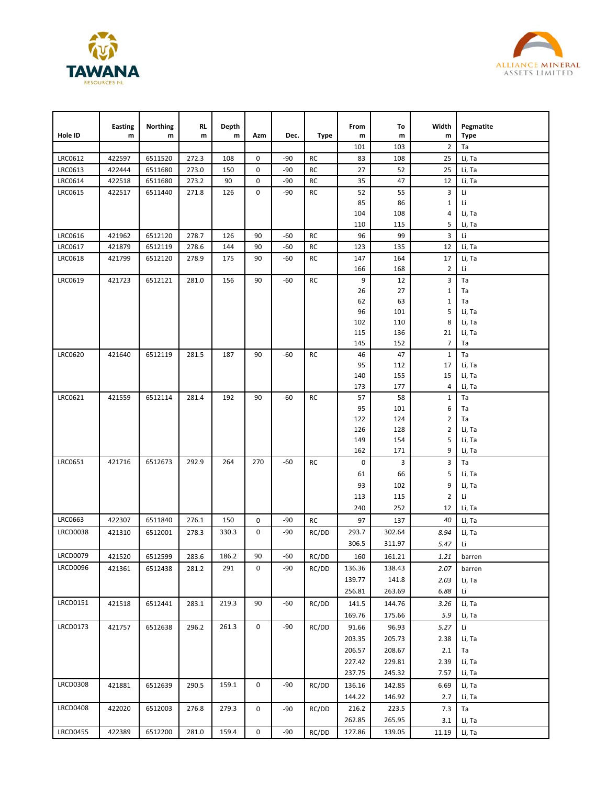



| Hole ID         | <b>Easting</b><br>${\bf m}$ | Northing<br>m | <b>RL</b><br>m | Depth<br>m | Azm         | Dec.  | <b>Type</b> | From<br>m  | To<br>m    | Width<br>m                     | Pegmatite<br>Type |
|-----------------|-----------------------------|---------------|----------------|------------|-------------|-------|-------------|------------|------------|--------------------------------|-------------------|
|                 |                             |               |                |            |             |       |             | 101        | 103        | 2                              | Ta                |
| LRC0612         | 422597                      | 6511520       | 272.3          | 108        | 0           | -90   | <b>RC</b>   | 83         | 108        | 25                             | Li, Ta            |
| LRC0613         | 422444                      | 6511680       | 273.0          | 150        | 0           | -90   | RC          | 27         | 52         | 25                             | Li, Ta            |
| LRC0614         | 422518                      | 6511680       | 273.2          | 90         | 0           | -90   | <b>RC</b>   | 35         | 47         | 12                             | Li, Ta            |
| <b>LRC0615</b>  | 422517                      | 6511440       | 271.8          | 126        | 0           | -90   | RC          | 52         | 55         | 3                              | Li                |
|                 |                             |               |                |            |             |       |             | 85         | 86         | 1                              | Li                |
|                 |                             |               |                |            |             |       |             | 104        | 108        | 4                              | Li, Ta            |
|                 |                             |               |                |            |             |       |             | 110        | 115        | 5                              | Li, Ta            |
| LRC0616         | 421962                      | 6512120       | 278.7          | 126        | 90          | $-60$ | <b>RC</b>   | 96         | 99         | 3                              | Li                |
| <b>LRC0617</b>  | 421879                      | 6512119       | 278.6          | 144        | 90          | $-60$ | <b>RC</b>   | 123        | 135        | 12                             | Li, Ta            |
| <b>LRC0618</b>  | 421799                      | 6512120       | 278.9          | 175        | 90          | -60   | <b>RC</b>   | 147<br>166 | 164<br>168 | 17<br>2                        | Li, Ta<br>Li      |
| LRC0619         | 421723                      | 6512121       | 281.0          | 156        | 90          | -60   | RC          | 9          | 12         | 3                              | Ta                |
|                 |                             |               |                |            |             |       |             | 26         | 27         | $\mathbf{1}$                   | Ta                |
|                 |                             |               |                |            |             |       |             | 62         | 63         | $\mathbf 1$                    | Ta                |
|                 |                             |               |                |            |             |       |             | 96         | 101        | 5                              | Li, Ta            |
|                 |                             |               |                |            |             |       |             | 102        | 110        | 8                              | Li, Ta            |
|                 |                             |               |                |            |             |       |             | 115        | 136        | 21                             | Li, Ta            |
| <b>LRC0620</b>  | 421640                      | 6512119       | 281.5          | 187        | 90          | -60   | RC          | 145        | 152<br>47  | $\overline{7}$<br>$\mathbf{1}$ | Ta<br>Ta          |
|                 |                             |               |                |            |             |       |             | 46<br>95   | 112        | 17                             | Li, Ta            |
|                 |                             |               |                |            |             |       |             | 140        | 155        | 15                             | Li, Ta            |
|                 |                             |               |                |            |             |       |             | 173        | 177        | 4                              | Li, Ta            |
| LRC0621         | 421559                      | 6512114       | 281.4          | 192        | 90          | $-60$ | RC          | 57         | 58         | $\mathbf{1}$                   | Ta                |
|                 |                             |               |                |            |             |       |             | 95         | 101        | 6                              | Ta                |
|                 |                             |               |                |            |             |       |             | 122        | 124        | 2                              | Ta                |
|                 |                             |               |                |            |             |       |             | 126        | 128        | 2                              | Li, Ta            |
|                 |                             |               |                |            |             |       |             | 149        | 154        | 5                              | Li, Ta            |
|                 |                             |               |                |            |             |       |             | 162        | 171        | 9                              | Li, Ta            |
| <b>LRC0651</b>  | 421716                      | 6512673       | 292.9          | 264        | 270         | $-60$ | RC          | 0          | 3          | 3                              | Ta                |
|                 |                             |               |                |            |             |       |             | 61         | 66         | 5                              | Li, Ta            |
|                 |                             |               |                |            |             |       |             | 93         | 102        | 9                              | Li, Ta            |
|                 |                             |               |                |            |             |       |             | 113        | 115        | 2                              | Li                |
|                 |                             |               |                |            |             |       |             | 240        | 252        | 12                             | Li, Ta            |
| <b>LRC0663</b>  | 422307                      | 6511840       | 276.1          | 150        | 0           | $-90$ | RC          | 97         | 137        | 40                             | Li, Ta            |
| <b>LRCD0038</b> | 421310                      | 6512001       | 278.3          | 330.3      | 0           | -90   | RC/DD       | 293.7      | 302.64     | 8.94                           | Li, Ta            |
|                 |                             |               |                |            |             |       |             | 306.5      | 311.97     | 5.47                           | Li                |
| <b>LRCD0079</b> | 421520                      | 6512599       | 283.6          | 186.2      | 90          | -60   | RC/DD       | 160        | 161.21     | $1.21\,$                       | barren            |
| <b>LRCD0096</b> | 421361                      | 6512438       | 281.2          | 291        | 0           | -90   | RC/DD       | 136.36     | 138.43     | 2.07                           | barren            |
|                 |                             |               |                |            |             |       |             | 139.77     | 141.8      | 2.03                           | Li, Ta            |
|                 |                             |               |                |            |             |       |             | 256.81     | 263.69     | 6.88                           | Li .              |
| LRCD0151        | 421518                      | 6512441       | 283.1          | 219.3      | 90          | $-60$ | RC/DD       | 141.5      | 144.76     | 3.26                           | Li, Ta            |
|                 |                             |               |                |            |             |       |             | 169.76     | 175.66     | 5.9                            | Li, Ta            |
| LRCD0173        | 421757                      | 6512638       | 296.2          | 261.3      | $\mathbf 0$ | -90   | RC/DD       | 91.66      | 96.93      | 5.27                           | Li .              |
|                 |                             |               |                |            |             |       |             | 203.35     | 205.73     | 2.38                           | Li, Ta            |
|                 |                             |               |                |            |             |       |             | 206.57     | 208.67     | 2.1                            | Ta                |
|                 |                             |               |                |            |             |       |             | 227.42     | 229.81     | 2.39                           | Li, Ta            |
|                 |                             |               |                |            |             |       |             | 237.75     | 245.32     | 7.57                           | Li, Ta            |
| <b>LRCD0308</b> | 421881                      | 6512639       | 290.5          | 159.1      | 0           | -90   | RC/DD       | 136.16     | 142.85     | 6.69                           | Li, Ta            |
|                 |                             |               |                |            |             |       |             | 144.22     | 146.92     | 2.7                            | Li, Ta            |
| <b>LRCD0408</b> | 422020                      | 6512003       | 276.8          | 279.3      | 0           | -90   | RC/DD       | 216.2      | 223.5      | 7.3                            | Ta                |
|                 |                             |               |                |            |             |       |             | 262.85     | 265.95     | 3.1                            | Li, Ta            |
| <b>LRCD0455</b> | 422389                      | 6512200       | 281.0          | 159.4      | 0           | $-90$ | RC/DD       | 127.86     | 139.05     | 11.19                          | Li, Ta            |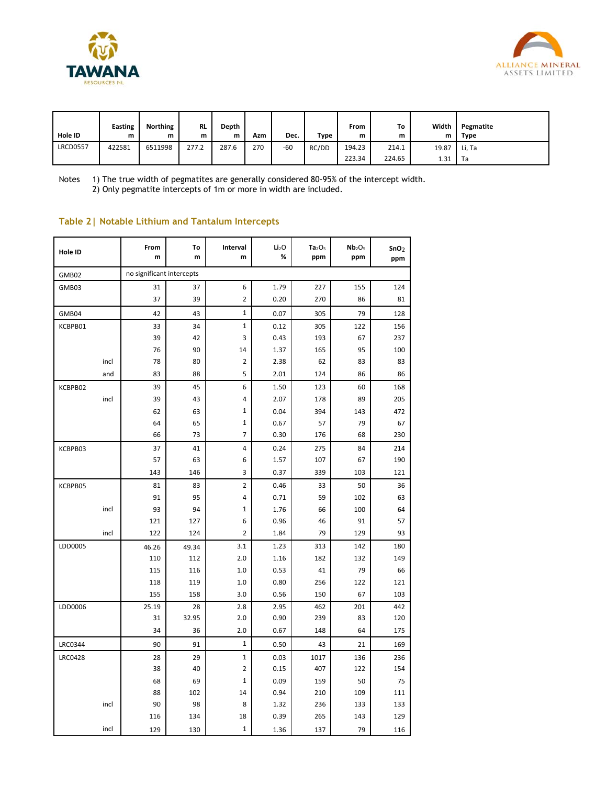



| Hole ID         | <b>Easting</b><br>m | Northing<br>m | -RL<br>m | Depth<br>m | Azm | Dec.  | Type  | From<br>m | To<br>m | Width<br>m | Pegmatite<br><b>Type</b> |
|-----------------|---------------------|---------------|----------|------------|-----|-------|-------|-----------|---------|------------|--------------------------|
| <b>LRCD0557</b> | 422581              | 6511998       | 277.2    | 287.6      | 270 | $-60$ | RC/DD | 194.23    | 214.1   | 19.87      | Li. Ta                   |
|                 |                     |               |          |            |     |       |       | 223.34    | 224.65  | 1.31       | Та                       |

Notes 1) The true width of pegmatites are generally considered 80-95% of the intercept width. 2) Only pegmatite intercepts of 1m or more in width are included.

#### **Table 2| Notable Lithium and Tantalum Intercepts**

| Hole ID        |      | From<br>m                 | To<br>m | Interval<br>m  | Li <sub>2</sub> O<br>% | Ta <sub>2</sub> O <sub>5</sub><br>ppm | Nb <sub>2</sub> O <sub>5</sub><br>ppm | SnO <sub>2</sub><br>ppm |
|----------------|------|---------------------------|---------|----------------|------------------------|---------------------------------------|---------------------------------------|-------------------------|
| GMB02          |      | no significant intercepts |         |                |                        |                                       |                                       |                         |
| GMB03          |      | 31                        | 37      | 6              | 1.79                   | 227                                   | 155                                   | 124                     |
|                |      | 37                        | 39      | $\overline{2}$ | 0.20                   | 270                                   | 86                                    | 81                      |
| GMB04          |      | 42                        | 43      | $\mathbf 1$    | 0.07                   | 305                                   | 79                                    | 128                     |
| KCBPB01        |      | 33                        | 34      | $\mathbf 1$    | 0.12                   | 305                                   | 122                                   | 156                     |
|                |      | 39                        | 42      | 3              | 0.43                   | 193                                   | 67                                    | 237                     |
|                |      | 76                        | 90      | 14             | 1.37                   | 165                                   | 95                                    | 100                     |
|                | incl | 78                        | 80      | $\overline{2}$ | 2.38                   | 62                                    | 83                                    | 83                      |
|                | and  | 83                        | 88      | 5              | 2.01                   | 124                                   | 86                                    | 86                      |
| KCBPB02        |      | 39                        | 45      | 6              | 1.50                   | 123                                   | 60                                    | 168                     |
|                | incl | 39                        | 43      | 4              | 2.07                   | 178                                   | 89                                    | 205                     |
|                |      | 62                        | 63      | $\mathbf{1}$   | 0.04                   | 394                                   | 143                                   | 472                     |
|                |      | 64                        | 65      | $\mathbf{1}$   | 0.67                   | 57                                    | 79                                    | 67                      |
|                |      | 66                        | 73      | $\overline{7}$ | 0.30                   | 176                                   | 68                                    | 230                     |
| KCBPB03        |      | 37                        | 41      | $\overline{4}$ | 0.24                   | 275                                   | 84                                    | 214                     |
|                |      | 57                        | 63      | 6              | 1.57                   | 107                                   | 67                                    | 190                     |
|                |      | 143                       | 146     | 3              | 0.37                   | 339                                   | 103                                   | 121                     |
| KCBPB05        |      | 81                        | 83      | $\overline{2}$ | 0.46                   | 33                                    | 50                                    | 36                      |
|                |      | 91                        | 95      | 4              | 0.71                   | 59                                    | 102                                   | 63                      |
|                | incl | 93                        | 94      | $\mathbf 1$    | 1.76                   | 66                                    | 100                                   | 64                      |
|                |      | 121                       | 127     | 6              | 0.96                   | 46                                    | 91                                    | 57                      |
|                | incl | 122                       | 124     | $\overline{2}$ | 1.84                   | 79                                    | 129                                   | 93                      |
| LDD0005        |      | 46.26                     | 49.34   | $3.1\,$        | 1.23                   | 313                                   | 142                                   | 180                     |
|                |      | 110                       | 112     | 2.0            | 1.16                   | 182                                   | 132                                   | 149                     |
|                |      | 115                       | 116     | 1.0            | 0.53                   | 41                                    | 79                                    | 66                      |
|                |      | 118                       | 119     | 1.0            | 0.80                   | 256                                   | 122                                   | 121                     |
|                |      | 155                       | 158     | 3.0            | 0.56                   | 150                                   | 67                                    | 103                     |
| LDD0006        |      | 25.19                     | 28      | 2.8            | 2.95                   | 462                                   | 201                                   | 442                     |
|                |      | 31                        | 32.95   | 2.0            | 0.90                   | 239                                   | 83                                    | 120                     |
|                |      | 34                        | 36      | 2.0            | 0.67                   | 148                                   | 64                                    | 175                     |
| <b>LRC0344</b> |      | 90                        | 91      | $\mathbf 1$    | 0.50                   | 43                                    | 21                                    | 169                     |
| <b>LRC0428</b> |      | 28                        | 29      | $\mathbf 1$    | 0.03                   | 1017                                  | 136                                   | 236                     |
|                |      | 38                        | 40      | $\overline{2}$ | 0.15                   | 407                                   | 122                                   | 154                     |
|                |      | 68                        | 69      | $\mathbf 1$    | 0.09                   | 159                                   | 50                                    | 75                      |
|                |      | 88                        | 102     | 14             | 0.94                   | 210                                   | 109                                   | 111                     |
|                | incl | 90                        | 98      | 8              | 1.32                   | 236                                   | 133                                   | 133                     |
|                |      | 116                       | 134     | 18             | 0.39                   | 265                                   | 143                                   | 129                     |
|                | incl | 129                       | 130     | $\mathbf 1$    | 1.36                   | 137                                   | 79                                    | 116                     |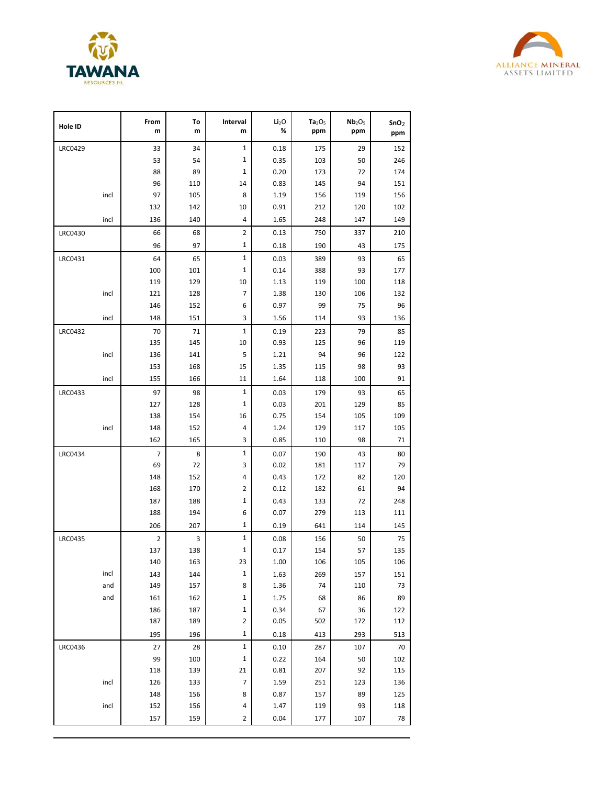



| Hole ID        | From<br>m      | To<br>m    | Interval<br>m              | Li <sub>2</sub> O<br>% | Ta <sub>2</sub> O <sub>5</sub><br>ppm | Nb <sub>2</sub> O <sub>5</sub><br>ppm | SnO <sub>2</sub><br>ppm |
|----------------|----------------|------------|----------------------------|------------------------|---------------------------------------|---------------------------------------|-------------------------|
| <b>LRC0429</b> | 33             | 34         | $\mathbf 1$                | 0.18                   | 175                                   | 29                                    | 152                     |
|                | 53             | 54         | 1                          | 0.35                   | 103                                   | 50                                    | 246                     |
|                | 88             | 89         | 1                          | 0.20                   | 173                                   | 72                                    | 174                     |
|                | 96             | 110        | 14                         | 0.83                   | 145                                   | 94                                    | 151                     |
| incl           | 97             | 105        | 8                          | 1.19                   | 156                                   | 119                                   | 156                     |
|                | 132            | 142        | 10                         | 0.91                   | 212                                   | 120                                   | 102                     |
| incl           | 136            | 140        | 4                          | 1.65                   | 248                                   | 147                                   | 149                     |
| <b>LRC0430</b> | 66             | 68         | $\overline{2}$             | 0.13                   | 750                                   | 337                                   | 210                     |
|                | 96             | 97         | 1                          | 0.18                   | 190                                   | 43                                    | 175                     |
| LRC0431        | 64             | 65         | 1                          | 0.03                   | 389                                   | 93                                    | 65                      |
|                | 100            | 101        | 1                          | 0.14                   | 388                                   | 93                                    | 177                     |
|                | 119            | 129        | 10                         | 1.13                   | 119                                   | 100                                   | 118                     |
| incl           | 121            | 128        | 7                          | 1.38                   | 130                                   | 106                                   | 132                     |
|                | 146            | 152        | 6                          | 0.97                   | 99                                    | 75                                    | 96                      |
| incl           | 148            | 151        | 3                          | 1.56                   | 114                                   | 93                                    | 136                     |
| <b>LRC0432</b> | 70             | 71         | 1                          | 0.19                   | 223                                   | 79                                    | 85                      |
|                | 135            | 145        | 10                         | 0.93                   | 125                                   | 96                                    | 119                     |
| incl           | 136            | 141        | 5                          | 1.21                   | 94                                    | 96                                    | 122                     |
|                | 153            | 168        | 15                         | 1.35                   | 115                                   | 98                                    | 93                      |
| incl           | 155            | 166        | 11                         | 1.64                   | 118                                   | 100                                   | 91                      |
| <b>LRC0433</b> | 97             | 98         | $\mathbf 1$                | 0.03                   | 179                                   | 93                                    | 65                      |
|                | 127            | 128        | 1                          | 0.03                   | 201                                   | 129                                   | 85                      |
|                | 138            | 154        | 16                         | 0.75                   | 154                                   | 105                                   | 109                     |
| incl           | 148            | 152        | 4                          | 1.24                   | 129                                   | 117                                   | 105                     |
|                | 162            | 165        | 3                          | 0.85                   | 110                                   | 98                                    | 71                      |
| <b>LRC0434</b> | $\overline{7}$ | 8          | 1                          | 0.07                   | 190                                   | 43                                    | 80                      |
|                | 69             | 72         | 3                          | 0.02                   | 181                                   | 117                                   | 79                      |
|                | 148            | 152        | 4                          | 0.43                   | 172                                   | 82                                    | 120                     |
|                | 168            | 170        | 2                          | 0.12                   | 182                                   | 61                                    | 94                      |
|                | 187            | 188        | 1                          | 0.43                   | 133                                   | 72                                    | 248                     |
|                | 188            | 194        | 6                          | 0.07                   | 279                                   | 113                                   | 111                     |
|                | 206            | 207        | 1                          | 0.19                   | 641                                   | 114                                   | 145                     |
| <b>LRC0435</b> | $\mathbf 2$    | 3          | 1                          | 0.08                   | 156                                   | 50                                    | 75                      |
|                | 137            | 138        | $\mathbf 1$                | 0.17                   | 154                                   | 57                                    | 135                     |
|                | 140            | 163        | 23                         | 1.00                   | 106                                   | 105                                   | 106                     |
| incl           | 143            | 144        | $\mathbf 1$                | 1.63                   | 269                                   | 157                                   | 151                     |
| and            | 149            | 157        | 8                          | 1.36                   | 74                                    | 110                                   | 73                      |
| and            | 161            | 162        | $\mathbf 1$                | 1.75                   | 68                                    | 86                                    | 89                      |
|                | 186<br>187     | 187        | $\mathbf 1$<br>$\mathbf 2$ | 0.34<br>0.05           | 67                                    | 36                                    | 122<br>112              |
|                |                | 189        | $\mathbf 1$                |                        | 502                                   | 172                                   |                         |
|                | 195            | 196        |                            | 0.18                   | 413                                   | 293                                   | 513                     |
| LRC0436        | 27             | 28         | $\mathbf 1$                | 0.10                   | 287                                   | 107                                   | 70                      |
|                | 99<br>118      | 100<br>139 | $\mathbf{1}$<br>21         | 0.22<br>0.81           | 164<br>207                            | 50<br>92                              | 102<br>115              |
| incl           | 126            | 133        | $\overline{7}$             | 1.59                   | 251                                   | 123                                   | 136                     |
|                | 148            | 156        | 8                          | 0.87                   | 157                                   | 89                                    | 125                     |
| incl           | 152            | 156        | 4                          | 1.47                   | 119                                   | 93                                    | 118                     |
|                | 157            | 159        | $\mathbf 2$                | 0.04                   | 177                                   | 107                                   | 78                      |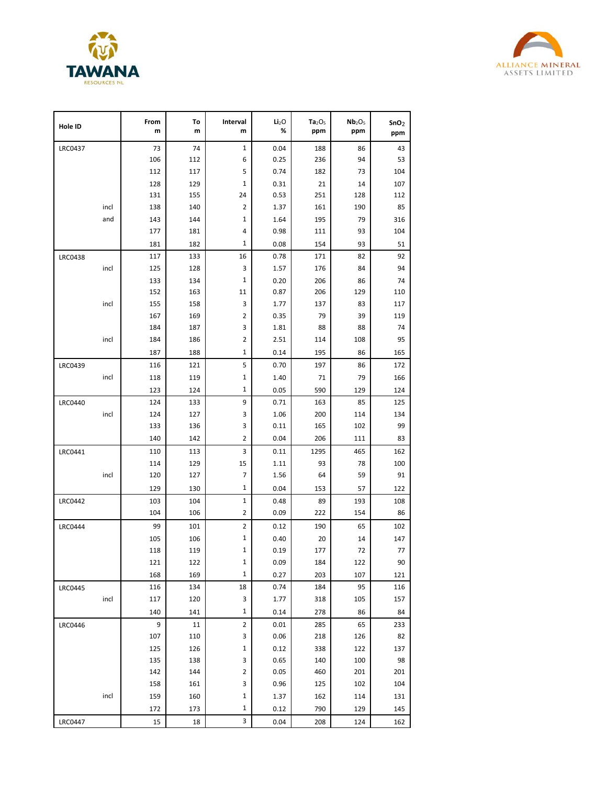



| Hole ID        |      | From<br>m  | To<br>m    | Interval<br>m  | Li <sub>2</sub> O<br>% | Ta <sub>2</sub> O <sub>5</sub><br>ppm | Nb <sub>2</sub> O <sub>5</sub><br>ppm | SnO <sub>2</sub><br>ppm |
|----------------|------|------------|------------|----------------|------------------------|---------------------------------------|---------------------------------------|-------------------------|
| <b>LRC0437</b> |      | 73         | 74         | 1              | 0.04                   | 188                                   | 86                                    | 43                      |
|                |      | 106        | 112        | 6              | 0.25                   | 236                                   | 94                                    | 53                      |
|                |      | 112        | 117        | 5              | 0.74                   | 182                                   | 73                                    | 104                     |
|                |      | 128        | 129        | $\mathbf 1$    | 0.31                   | 21                                    | 14                                    | 107                     |
|                |      | 131        | 155        | 24             | 0.53                   | 251                                   | 128                                   | 112                     |
|                | incl | 138        | 140        | 2              | 1.37                   | 161                                   | 190                                   | 85                      |
|                | and  | 143        | 144        | 1              | 1.64                   | 195                                   | 79                                    | 316                     |
|                |      | 177        | 181        | 4              | 0.98                   | 111                                   | 93                                    | 104                     |
|                |      | 181        | 182        | 1              | 0.08                   | 154                                   | 93                                    | 51                      |
| <b>LRC0438</b> |      | 117        | 133        | 16             | 0.78                   | 171                                   | 82                                    | 92                      |
|                | incl | 125        | 128        | 3              | 1.57                   | 176                                   | 84                                    | 94                      |
|                |      | 133        | 134        | 1              | 0.20                   | 206                                   | 86                                    | 74                      |
|                |      | 152        | 163        | 11             | 0.87                   | 206                                   | 129                                   | 110                     |
|                | incl | 155        | 158        | 3              | 1.77                   | 137                                   | 83                                    | 117                     |
|                |      | 167        | 169        | 2              | 0.35                   | 79                                    | 39                                    | 119                     |
|                |      | 184<br>184 | 187        | 3<br>2         | 1.81<br>2.51           | 88                                    | 88                                    | 74<br>95                |
|                | incl |            | 186        | 1              |                        | 114                                   | 108                                   |                         |
|                |      | 187        | 188        |                | 0.14                   | 195                                   | 86                                    | 165                     |
| <b>LRC0439</b> |      | 116        | 121        | 5              | 0.70                   | 197                                   | 86                                    | 172                     |
|                | incl | 118        | 119        | 1              | 1.40                   | 71                                    | 79                                    | 166                     |
|                |      | 123        | 124        | 1              | 0.05                   | 590                                   | 129                                   | 124                     |
| <b>LRC0440</b> |      | 124        | 133        | 9              | 0.71                   | 163                                   | 85                                    | 125                     |
|                | incl | 124<br>133 | 127        | 3<br>3         | 1.06                   | 200                                   | 114<br>102                            | 134<br>99               |
|                |      | 140        | 136<br>142 | $\overline{2}$ | 0.11<br>0.04           | 165<br>206                            | 111                                   | 83                      |
|                |      |            |            | 3              |                        |                                       |                                       |                         |
| LRC0441        |      | 110<br>114 | 113<br>129 | 15             | 0.11<br>1.11           | 1295<br>93                            | 465<br>78                             | 162<br>100              |
|                | incl | 120        | 127        | 7              | 1.56                   | 64                                    | 59                                    | 91                      |
|                |      | 129        | 130        | 1              | 0.04                   | 153                                   | 57                                    | 122                     |
| <b>LRC0442</b> |      | 103        |            | 1              | 0.48                   |                                       |                                       | 108                     |
|                |      | 104        | 104<br>106 | 2              | 0.09                   | 89<br>222                             | 193<br>154                            | 86                      |
|                |      | 99         | 101        | 2              | 0.12                   | 190                                   | 65                                    | 102                     |
| <b>LRC0444</b> |      | 105        | 106        | 1              | 0.40                   | 20                                    | 14                                    | 147                     |
|                |      | 118        | 119        | 1              | 0.19                   | 177                                   | 72                                    | 77                      |
|                |      | 121        | 122        | $\mathbf{1}$   | 0.09                   | 184                                   | 122                                   | 90                      |
|                |      | 168        | 169        | $\mathbf 1$    | 0.27                   | 203                                   | 107                                   | 121                     |
| <b>LRC0445</b> |      | 116        | 134        | 18             | 0.74                   | 184                                   | 95                                    | 116                     |
|                | incl | 117        | 120        | 3              | 1.77                   | 318                                   | 105                                   | 157                     |
|                |      | 140        | 141        | 1              | 0.14                   | 278                                   | 86                                    | 84                      |
| <b>LRC0446</b> |      | 9          | 11         | $\overline{2}$ | 0.01                   | 285                                   | 65                                    | 233                     |
|                |      | 107        | 110        | 3              | 0.06                   | 218                                   | 126                                   | 82                      |
|                |      | 125        | 126        | $\mathbf 1$    | 0.12                   | 338                                   | 122                                   | 137                     |
|                |      | 135        | 138        | 3              | 0.65                   | 140                                   | 100                                   | 98                      |
|                |      | 142        | 144        | $\mathbf 2$    | 0.05                   | 460                                   | 201                                   | 201                     |
|                |      | 158        | 161        | 3              | 0.96                   | 125                                   | 102                                   | 104                     |
|                | incl | 159        | 160        | 1              | 1.37                   | 162                                   | 114                                   | 131                     |
|                |      | 172        | 173        | 1              | 0.12                   | 790                                   | 129                                   | 145                     |
| <b>LRC0447</b> |      | 15         | 18         | 3              | 0.04                   | 208                                   | 124                                   | 162                     |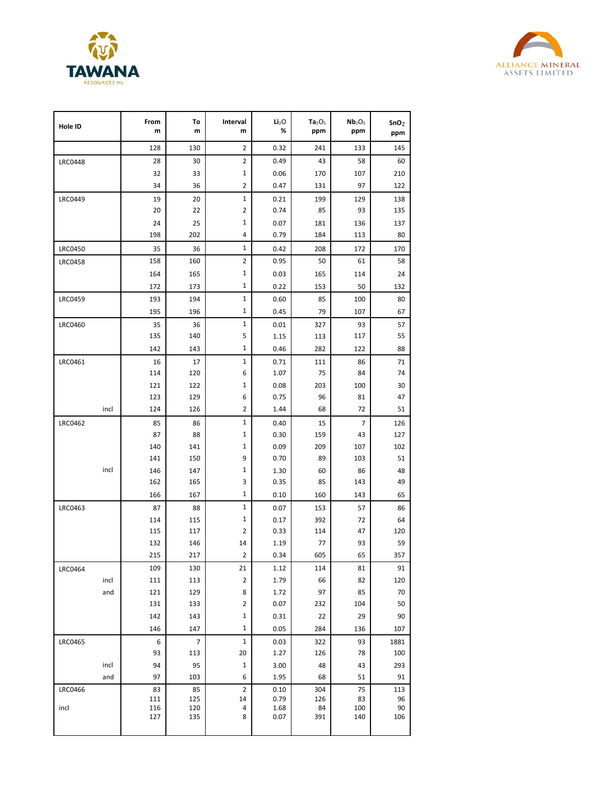



| Hole ID        |      | From<br>m  | To<br>m        | Interval<br>m  | Li <sub>2</sub> O<br>% | Ta <sub>2</sub> O <sub>5</sub><br>ppm | Nb <sub>2</sub> O <sub>5</sub><br>ppm | SnO <sub>2</sub><br>ppm |
|----------------|------|------------|----------------|----------------|------------------------|---------------------------------------|---------------------------------------|-------------------------|
|                |      | 128        | 130            | 2              | 0.32                   | 241                                   | 133                                   | 145                     |
| <b>LRC0448</b> |      | 28         | 30             | 2              | 0.49                   | 43                                    | 58                                    | 60                      |
|                |      | 32         | 33             | 1              | 0.06                   | 170                                   | 107                                   | 210                     |
|                |      | 34         | 36             | 2              | 0.47                   | 131                                   | 97                                    | 122                     |
| <b>LRC0449</b> |      | 19         | 20             | $\mathbf 1$    | 0.21                   | 199                                   | 129                                   | 138                     |
|                |      | 20         | 22             | 2              | 0.74                   | 85                                    | 93                                    | 135                     |
|                |      | 24         | 25             | 1              | 0.07                   | 181                                   | 136                                   | 137                     |
|                |      | 198        | 202            | 4              | 0.79                   | 184                                   | 113                                   | 80                      |
| <b>LRC0450</b> |      | 35         | 36             | 1              | 0.42                   | 208                                   | 172                                   | 170                     |
| <b>LRC0458</b> |      | 158        | 160            | $\overline{2}$ | 0.95                   | 50                                    | 61                                    | 58                      |
|                |      | 164        | 165            | 1              | 0.03                   | 165                                   | 114                                   | 24                      |
|                |      | 172        | 173            | 1              | 0.22                   | 153                                   | 50                                    | 132                     |
| <b>LRC0459</b> |      | 193        | 194            | $\mathbf 1$    | 0.60                   | 85                                    | 100                                   | 80                      |
|                |      | 195        | 196            | 1              | 0.45                   | 79                                    | 107                                   | 67                      |
| <b>LRC0460</b> |      | 35         | 36             | $\mathbf 1$    | 0.01                   | 327                                   | 93                                    | 57                      |
|                |      | 135        | 140            | 5              | 1.15                   | 113                                   | 117                                   | 55                      |
|                |      | 142        | 143            | $\mathbf 1$    | 0.46                   | 282                                   | 122                                   | 88                      |
| LRC0461        |      | 16         | 17             | 1              | 0.71                   | 111                                   | 86                                    | 71                      |
|                |      | 114        | 120            | 6              | 1.07                   | 75                                    | 84                                    | 74                      |
|                |      | 121        | 122            | 1              | 0.08                   | 203                                   | 100                                   | 30                      |
|                |      | 123        | 129            | 6              | 0.75                   | 96                                    | 81                                    | 47                      |
|                | incl | 124        | 126            | 2              | 1.44                   | 68                                    | 72                                    | 51                      |
| <b>LRC0462</b> |      | 85         | 86             | $\mathbf 1$    | 0.40                   | 15                                    | $\overline{7}$                        | 126                     |
|                |      | 87         | 88             | 1              | 0.30                   | 159                                   | 43                                    | 127                     |
|                |      | 140        | 141            | 1              | 0.09                   | 209                                   | 107                                   | 102                     |
|                | incl | 141        | 150            | 9              | 0.70                   | 89                                    | 103                                   | 51                      |
|                |      | 146<br>162 | 147<br>165     | 1<br>3         | 1.30<br>0.35           | 60<br>85                              | 86<br>143                             | 48<br>49                |
|                |      | 166        | 167            | 1              | 0.10                   |                                       | 143                                   | 65                      |
| <b>LRC0463</b> |      | 87         | 88             | $\mathbf 1$    |                        | 160                                   | 57                                    | 86                      |
|                |      | 114        | 115            | 1              | 0.07<br>0.17           | 153<br>392                            | 72                                    | 64                      |
|                |      | 115        | 117            | 2              | 0.33                   | 114                                   | 47                                    | 120                     |
|                |      | 132        | 146            | 14             | 1.19                   | 77                                    | 93                                    | 59                      |
|                |      | 215        | 217            | 2              | 0.34                   | 605                                   | 65                                    | 357                     |
| <b>LRC0464</b> |      | 109        | 130            | 21             | 1.12                   | 114                                   | 81                                    | 91                      |
|                | incl | $111\,$    | 113            | 2              | 1.79                   | 66                                    | 82                                    | 120                     |
|                | and  | 121        | 129            | 8              | 1.72                   | 97                                    | 85                                    | 70                      |
|                |      | 131        | 133            | 2              | 0.07                   | 232                                   | 104                                   | 50                      |
|                |      | 142        | 143            | 1              | 0.31                   | 22                                    | 29                                    | 90                      |
|                |      | 146        | 147            | 1              | 0.05                   | 284                                   | 136                                   | 107                     |
| <b>LRC0465</b> |      | 6          | $\overline{7}$ | $\mathbf 1$    | 0.03                   | 322                                   | 93                                    | 1881                    |
|                |      | 93         | 113            | 20             | $1.27\,$               | 126                                   | 78                                    | 100                     |
|                | incl | 94         | 95             | $\mathbf 1$    | 3.00                   | 48                                    | 43                                    | 293                     |
|                | and  | 97         | 103            | 6              | 1.95                   | 68                                    | 51                                    | 91                      |
| <b>LRC0466</b> |      | 83         | 85             | $\overline{2}$ | 0.10                   | 304                                   | 75                                    | 113                     |
| incl           |      | 111<br>116 | 125<br>120     | 14<br>4        | 0.79<br>1.68           | 126<br>84                             | 83<br>100                             | 96<br>90                |
|                |      | 127        | 135            | 8              | 0.07                   | 391                                   | 140                                   | 106                     |
|                |      |            |                |                |                        |                                       |                                       |                         |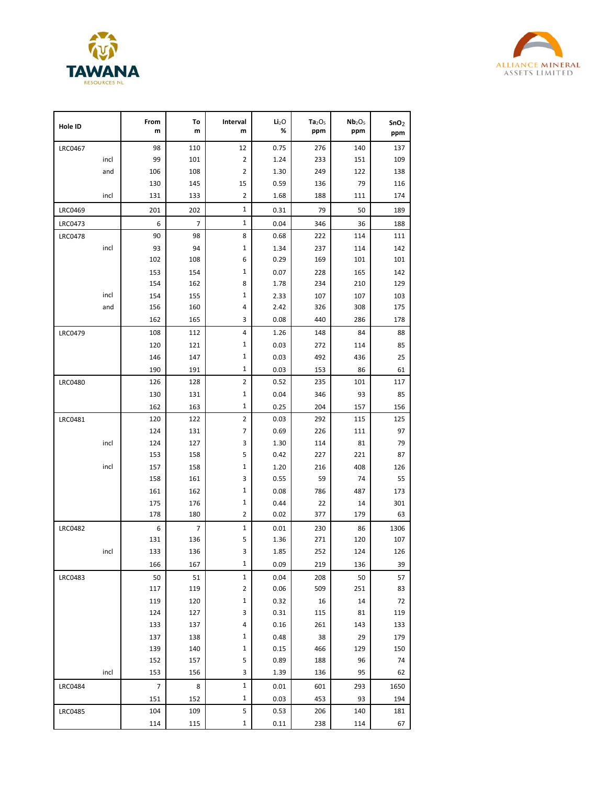



| Hole ID        | From<br>m      | To<br>m | Interval<br>m  | Li <sub>2</sub> O<br>% | Ta <sub>2</sub> O <sub>5</sub><br>ppm | Nb <sub>2</sub> O <sub>5</sub><br>ppm | SnO <sub>2</sub><br>ppm |
|----------------|----------------|---------|----------------|------------------------|---------------------------------------|---------------------------------------|-------------------------|
| <b>LRC0467</b> | 98             | 110     | 12             | 0.75                   | 276                                   | 140                                   | 137                     |
| incl           | 99             | 101     | 2              | 1.24                   | 233                                   | 151                                   | 109                     |
| and            | 106            | 108     | 2              | 1.30                   | 249                                   | 122                                   | 138                     |
|                | 130            | 145     | 15             | 0.59                   | 136                                   | 79                                    | 116                     |
| incl           | 131            | 133     | $\overline{2}$ | 1.68                   | 188                                   | 111                                   | 174                     |
| <b>LRC0469</b> | 201            | 202     | 1              | 0.31                   | 79                                    | 50                                    | 189                     |
| <b>LRC0473</b> | 6              | 7       | 1              | 0.04                   | 346                                   | 36                                    | 188                     |
| <b>LRC0478</b> | 90             | 98      | 8              | 0.68                   | 222                                   | 114                                   | 111                     |
| incl           | 93             | 94      | 1              | 1.34                   | 237                                   | 114                                   | 142                     |
|                | 102            | 108     | 6              | 0.29                   | 169                                   | 101                                   | 101                     |
|                | 153            | 154     | 1              | 0.07                   | 228                                   | 165                                   | 142                     |
|                | 154            | 162     | 8              | 1.78                   | 234                                   | 210                                   | 129                     |
| incl           | 154            | 155     | 1              | 2.33                   | 107                                   | 107                                   | 103                     |
| and            | 156            | 160     | 4              | 2.42                   | 326                                   | 308                                   | 175                     |
|                | 162            | 165     | 3              | 0.08                   | 440                                   | 286                                   | 178                     |
| <b>LRC0479</b> | 108            | 112     | 4              | 1.26                   | 148                                   | 84                                    | 88                      |
|                | 120            | 121     | 1              | 0.03                   | 272                                   | 114                                   | 85                      |
|                | 146            | 147     | 1              | 0.03                   | 492                                   | 436                                   | 25                      |
|                | 190            | 191     | 1              | 0.03                   | 153                                   | 86                                    | 61                      |
| <b>LRC0480</b> | 126            | 128     | $\overline{2}$ | 0.52                   | 235                                   | 101                                   | 117                     |
|                | 130            | 131     | 1              | 0.04                   | 346                                   | 93                                    | 85                      |
|                | 162            | 163     | 1              | 0.25                   | 204                                   | 157                                   | 156                     |
| <b>LRC0481</b> | 120            | 122     | 2              | 0.03                   | 292                                   | 115                                   | 125                     |
|                | 124            | 131     | 7              | 0.69                   | 226                                   | 111                                   | 97                      |
| incl           | 124            | 127     | 3              | 1.30                   | 114                                   | 81                                    | 79                      |
|                | 153            | 158     | 5              | 0.42                   | 227                                   | 221                                   | 87                      |
| incl           | 157            | 158     | 1              | 1.20                   | 216                                   | 408                                   | 126                     |
|                | 158            | 161     | 3              | 0.55                   | 59                                    | 74                                    | 55                      |
|                | 161            | 162     | 1              | 0.08                   | 786                                   | 487                                   | 173                     |
|                | 175            | 176     | 1              | 0.44                   | 22                                    | 14                                    | 301                     |
|                | 178            | 180     | 2              | 0.02                   | 377                                   | 179                                   | 63                      |
| <b>LRC0482</b> | 6              | 7       | 1              | 0.01                   | 230                                   | 86                                    | 1306                    |
|                | 131            | 136     | 5              | 1.36                   | 271                                   | 120                                   | 107                     |
| incl           | 133            | 136     | 3              | 1.85                   | 252                                   | 124                                   | 126                     |
|                | 166            | 167     | 1              | 0.09                   | 219                                   | 136                                   | 39                      |
| LRC0483        | 50             | 51      | 1              | 0.04                   | 208                                   | 50                                    | 57                      |
|                | 117            | 119     | 2              | 0.06                   | 509                                   | 251                                   | 83                      |
|                | 119            | 120     | 1              | 0.32                   | 16                                    | 14                                    | 72                      |
|                | 124            | 127     | 3              | 0.31                   | 115                                   | 81                                    | 119                     |
|                | 133            | 137     | 4              | 0.16                   | 261                                   | 143                                   | 133                     |
|                | 137            | 138     | 1              | 0.48                   | 38                                    | 29                                    | 179                     |
|                | 139            | 140     | 1              | 0.15                   | 466                                   | 129                                   | 150                     |
|                | 152            | 157     | 5              | 0.89                   | 188                                   | 96                                    | 74                      |
| incl           | 153            | 156     | 3              | 1.39                   | 136                                   | 95                                    | 62                      |
| <b>LRC0484</b> | $\overline{7}$ | 8       | 1              | 0.01                   | 601                                   | 293                                   | 1650                    |
|                | 151            | 152     | 1              | 0.03                   | 453                                   | 93                                    | 194                     |
| <b>LRC0485</b> | 104            | 109     | 5              | 0.53                   | 206                                   | 140                                   | 181                     |
|                | 114            | 115     | $\mathbf 1$    | 0.11                   | 238                                   | 114                                   | 67                      |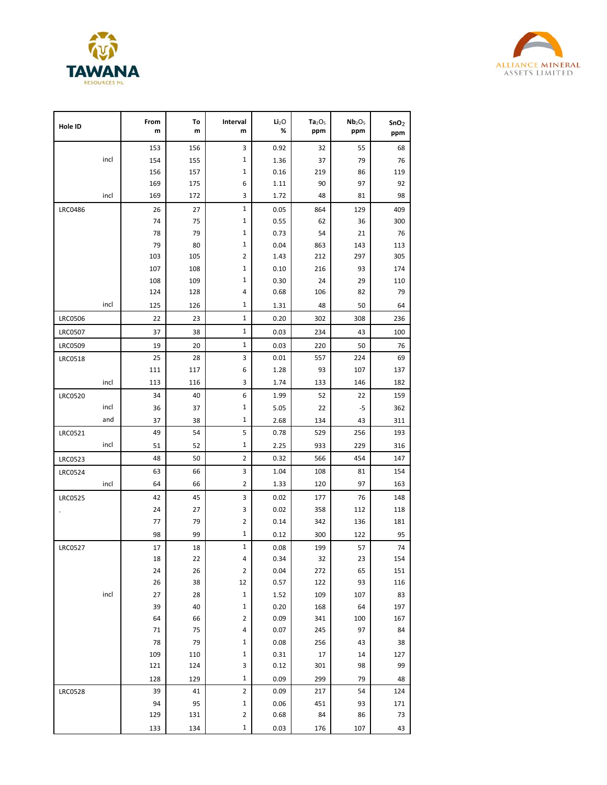



| Hole ID        | From<br>m  | To<br>m    | Interval<br>m                | Li <sub>2</sub> O<br>% | Ta <sub>2</sub> O <sub>5</sub><br>ppm | Nb <sub>2</sub> O <sub>5</sub><br>ppm | SnO <sub>2</sub><br>ppm |
|----------------|------------|------------|------------------------------|------------------------|---------------------------------------|---------------------------------------|-------------------------|
|                | 153        | 156        | 3                            | 0.92                   | 32                                    | 55                                    | 68                      |
| incl           | 154        | 155        | 1                            | 1.36                   | 37                                    | 79                                    | 76                      |
|                | 156        | 157        | 1                            | 0.16                   | 219                                   | 86                                    | 119                     |
|                | 169        | 175        | 6                            | 1.11                   | 90                                    | 97                                    | 92                      |
| incl           | 169        | 172        | 3                            | 1.72                   | 48                                    | 81                                    | 98                      |
| <b>LRC0486</b> | 26         | 27         | $\mathbf 1$                  | 0.05                   | 864                                   | 129                                   | 409                     |
|                | 74         | 75         | 1                            | 0.55                   | 62                                    | 36                                    | 300                     |
|                | 78         | 79         | 1                            | 0.73                   | 54                                    | 21                                    | 76                      |
|                | 79         | 80         | 1                            | 0.04                   | 863                                   | 143                                   | 113                     |
|                | 103        | 105        | 2                            | 1.43                   | 212                                   | 297                                   | 305                     |
|                | 107        | 108        | 1                            | 0.10                   | 216                                   | 93                                    | 174                     |
|                | 108        | 109        | 1                            | 0.30                   | 24                                    | 29                                    | 110                     |
|                | 124        | 128        | 4                            | 0.68                   | 106                                   | 82                                    | 79                      |
| incl           | 125        | 126        | 1                            | 1.31                   | 48                                    | 50                                    | 64                      |
| <b>LRC0506</b> | 22         | 23         | $\mathbf{1}$                 | 0.20                   | 302                                   | 308                                   | 236                     |
| <b>LRC0507</b> | 37         | 38         | 1                            | 0.03                   | 234                                   | 43                                    | 100                     |
| <b>LRC0509</b> | 19         | 20         | $\mathbf{1}$                 | 0.03                   | 220                                   | 50                                    | 76                      |
| <b>LRC0518</b> | 25         | 28         | 3                            | 0.01                   | 557                                   | 224                                   | 69                      |
|                | 111        | 117        | 6                            | 1.28                   | 93                                    | 107                                   | 137                     |
| incl           | 113        | 116        | 3                            | 1.74                   | 133                                   | 146                                   | 182                     |
| <b>LRC0520</b> | 34         | 40         | 6                            | 1.99                   | 52                                    | 22                                    | 159                     |
| incl           | 36         | 37         | 1                            | 5.05                   | 22                                    | -5                                    | 362                     |
| and            | 37         | 38         | 1                            | 2.68                   | 134                                   | 43                                    | 311                     |
| <b>LRC0521</b> | 49         | 54         | 5                            | 0.78                   | 529                                   | 256                                   | 193                     |
| incl           | 51         | 52         | $\mathbf{1}$                 | 2.25                   | 933                                   | 229                                   | 316                     |
| <b>LRC0523</b> | 48         | 50         | $\overline{2}$               | 0.32                   | 566                                   | 454                                   | 147                     |
| <b>LRC0524</b> | 63         | 66         | 3                            | 1.04                   | 108                                   | 81                                    | 154                     |
| incl           | 64         | 66         | $\overline{2}$               | 1.33                   | 120                                   | 97                                    | 163                     |
| <b>LRC0525</b> | 42         | 45         | 3                            | 0.02                   | 177                                   | 76                                    | 148                     |
|                | 24         | 27         | 3                            | 0.02                   | 358                                   | 112                                   | 118                     |
|                | 77         | 79         | 2                            | 0.14                   | 342                                   | 136                                   | 181                     |
|                | 98         | 99         | 1                            | 0.12                   | 300                                   | 122                                   | 95                      |
| <b>LRC0527</b> | 17         | 18         | 1                            | 0.08                   | 199                                   | 57                                    | 74                      |
|                | 18         | 22         | 4                            | 0.34                   | 32                                    | 23                                    | 154                     |
|                | 24         | 26         | $\overline{\mathbf{c}}$      | 0.04                   | 272                                   | 65                                    | 151                     |
|                | 26         | 38         | 12                           | 0.57                   | 122                                   | 93                                    | 116                     |
| incl           | 27         | 28         | $\mathbf 1$                  | 1.52                   | 109                                   | 107                                   | 83                      |
|                | 39         | 40         | $\mathbf{1}$                 | 0.20                   | 168                                   | 64                                    | 197                     |
|                | 64         | 66         | $\overline{2}$               | 0.09                   | 341                                   | 100                                   | 167                     |
|                | $71\,$     | 75         | 4                            | 0.07                   | 245                                   | 97                                    | 84                      |
|                | 78         | 79         | $\mathbf{1}$<br>$\mathbf{1}$ | 0.08                   | 256                                   | 43                                    | 38                      |
|                | 109<br>121 | 110<br>124 | 3                            | 0.31<br>0.12           | 17<br>301                             | 14<br>98                              | 127<br>99               |
|                | 128        | 129        | $\mathbf 1$                  | 0.09                   | 299                                   | 79                                    | 48                      |
|                | 39         | 41         | $\overline{2}$               | 0.09                   | 217                                   | 54                                    | 124                     |
| <b>LRC0528</b> | 94         | 95         | $\mathbf{1}$                 | 0.06                   | 451                                   | 93                                    | 171                     |
|                | 129        | 131        | $\overline{2}$               | 0.68                   | 84                                    | 86                                    | 73                      |
|                | 133        | 134        | $\mathbf 1$                  | 0.03                   | 176                                   | 107                                   | 43                      |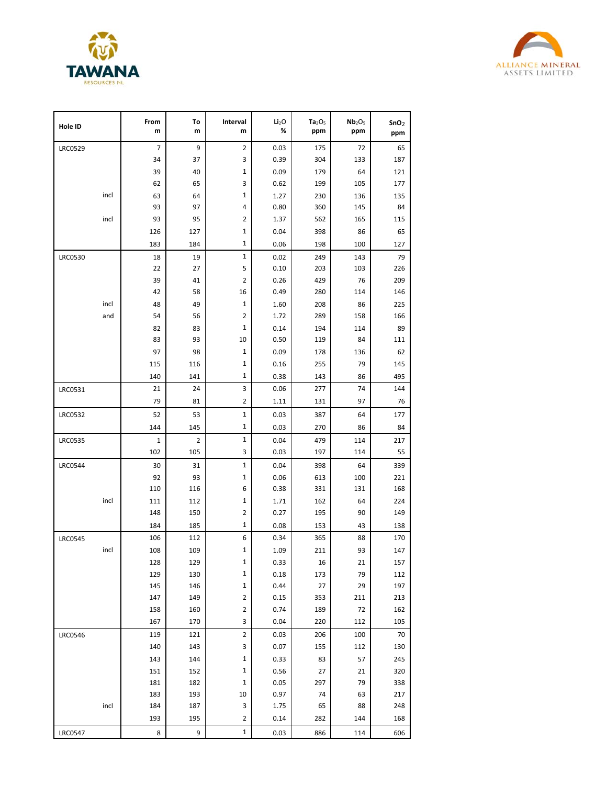



| Hole ID        |      | From<br>m      | To<br>m    | Interval<br>m    | Li <sub>2</sub> O<br>% | Ta <sub>2</sub> O <sub>5</sub><br>ppm | Nb <sub>2</sub> O <sub>5</sub><br>ppm | SnO <sub>2</sub><br>ppm |
|----------------|------|----------------|------------|------------------|------------------------|---------------------------------------|---------------------------------------|-------------------------|
| <b>LRC0529</b> |      | $\overline{7}$ | 9          | $\overline{2}$   | 0.03                   | 175                                   | 72                                    | 65                      |
|                |      | 34             | 37         | 3                | 0.39                   | 304                                   | 133                                   | 187                     |
|                |      | 39             | 40         | 1                | 0.09                   | 179                                   | 64                                    | 121                     |
|                |      | 62             | 65         | 3                | 0.62                   | 199                                   | 105                                   | 177                     |
|                | incl | 63             | 64         | 1                | 1.27                   | 230                                   | 136                                   | 135                     |
|                |      | 93             | 97         | 4                | 0.80                   | 360                                   | 145                                   | 84                      |
|                | incl | 93             | 95         | 2                | 1.37                   | 562                                   | 165                                   | 115                     |
|                |      | 126            | 127        | 1                | 0.04                   | 398                                   | 86                                    | 65                      |
|                |      | 183            | 184        | $\mathbf 1$      | 0.06                   | 198                                   | 100                                   | 127                     |
| <b>LRC0530</b> |      | 18             | 19         | 1                | 0.02                   | 249                                   | 143                                   | 79                      |
|                |      | 22             | 27         | 5                | 0.10                   | 203                                   | 103                                   | 226                     |
|                |      | 39             | 41         | 2                | 0.26                   | 429                                   | 76                                    | 209                     |
|                |      | 42             | 58         | 16               | 0.49                   | 280                                   | 114                                   | 146                     |
|                | incl | 48             | 49         | 1                | 1.60                   | 208                                   | 86                                    | 225                     |
|                | and  | 54             | 56         | 2                | 1.72                   | 289                                   | 158                                   | 166                     |
|                |      | 82             | 83         | 1                | 0.14                   | 194                                   | 114                                   | 89                      |
|                |      | 83             | 93         | 10               | 0.50                   | 119                                   | 84                                    | 111                     |
|                |      | 97             | 98         | 1                | 0.09                   | 178                                   | 136                                   | 62                      |
|                |      | 115            | 116        | 1<br>$\mathbf 1$ | 0.16                   | 255                                   | 79                                    | 145                     |
|                |      | 140            | 141        |                  | 0.38                   | 143                                   | 86                                    | 495                     |
| <b>LRC0531</b> |      | 21             | 24         | 3                | 0.06                   | 277                                   | 74                                    | 144                     |
|                |      | 79             | 81         | $\mathbf 2$      | 1.11                   | 131                                   | 97                                    | 76                      |
| <b>LRC0532</b> |      | 52             | 53         | $\mathbf 1$      | 0.03                   | 387                                   | 64                                    | 177                     |
|                |      | 144            | 145        | $\mathbf 1$      | 0.03                   | 270                                   | 86                                    | 84                      |
| <b>LRC0535</b> |      | 1              | 2          | $\mathbf 1$      | 0.04                   | 479                                   | 114                                   | 217                     |
|                |      | 102            | 105        | 3                | 0.03                   | 197                                   | 114                                   | 55                      |
| <b>LRC0544</b> |      | 30             | 31         | $\mathbf 1$      | 0.04                   | 398                                   | 64                                    | 339                     |
|                |      | 92             | 93         | 1                | 0.06                   | 613                                   | 100                                   | 221                     |
|                |      | 110            | 116        | 6                | 0.38                   | 331                                   | 131                                   | 168                     |
|                | incl | 111<br>148     | 112<br>150 | 1<br>2           | 1.71<br>0.27           | 162<br>195                            | 64<br>90                              | 224<br>149              |
|                |      |                |            | 1                |                        |                                       |                                       |                         |
|                |      | 184            | 185        |                  | 0.08                   | 153                                   | 43                                    | 138                     |
| <b>LRC0545</b> | incl | 106            | 112        | 6<br>$\mathbf 1$ | 0.34                   | 365                                   | 88                                    | 170                     |
|                |      | 108<br>128     | 109<br>129 | $\mathbf 1$      | 1.09<br>0.33           | 211<br>16                             | 93<br>21                              | 147<br>157              |
|                |      | 129            | 130        | $\mathbf 1$      | 0.18                   | 173                                   | 79                                    | 112                     |
|                |      | 145            | 146        | $\mathbf{1}$     | 0.44                   | 27                                    | 29                                    | 197                     |
|                |      | 147            | 149        | $\mathbf 2$      | 0.15                   | 353                                   | 211                                   | 213                     |
|                |      | 158            | 160        | $\mathbf 2$      | 0.74                   | 189                                   | 72                                    | 162                     |
|                |      | 167            | 170        | 3                | 0.04                   | 220                                   | 112                                   | 105                     |
| <b>LRC0546</b> |      | 119            | 121        | $\mathbf 2$      | 0.03                   | 206                                   | 100                                   | 70                      |
|                |      | 140            | 143        | 3                | 0.07                   | 155                                   | 112                                   | 130                     |
|                |      | 143            | 144        | $\mathbf{1}$     | 0.33                   | 83                                    | 57                                    | 245                     |
|                |      | 151            | 152        | $\mathbf{1}$     | 0.56                   | 27                                    | 21                                    | 320                     |
|                |      | 181            | 182        | $\mathbf{1}$     | 0.05                   | 297                                   | 79                                    | 338                     |
|                |      | 183            | 193        | 10               | 0.97                   | 74                                    | 63                                    | 217                     |
|                | incl | 184            | 187        | 3                | 1.75                   | 65                                    | 88                                    | 248                     |
|                |      | 193            | 195        | $\mathbf 2$      | 0.14                   | 282                                   | 144                                   | 168                     |
| <b>LRC0547</b> |      | 8              | 9          | $\mathbf{1}$     | 0.03                   | 886                                   | 114                                   | 606                     |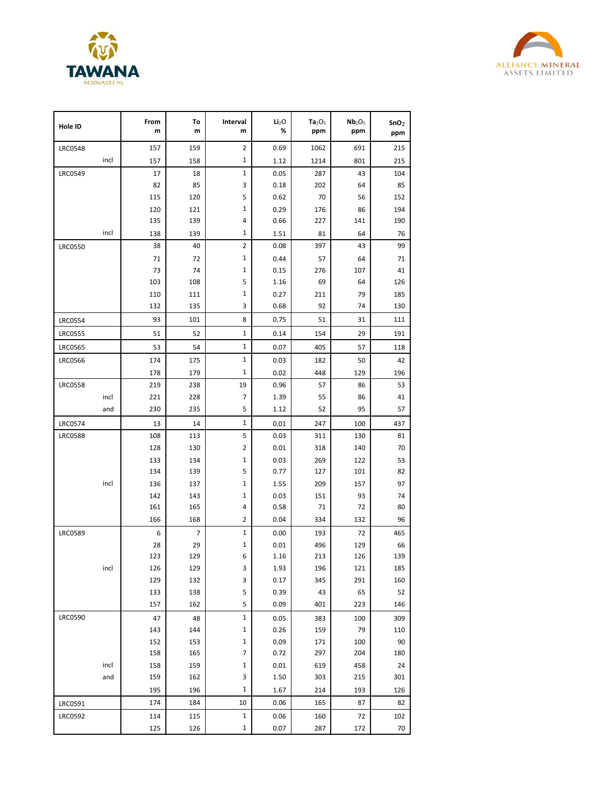



| Hole ID        |      | From<br>m  | To<br>m    | Interval<br>m     | Li <sub>2</sub> O<br>% | Ta <sub>2</sub> O <sub>5</sub><br>ppm | Nb <sub>2</sub> O <sub>5</sub><br>ppm | SnO <sub>2</sub><br>ppm |
|----------------|------|------------|------------|-------------------|------------------------|---------------------------------------|---------------------------------------|-------------------------|
| <b>LRC0548</b> |      | 157        | 159        | $\overline{2}$    | 0.69                   | 1062                                  | 691                                   | 215                     |
|                | incl | 157        | 158        | $\mathbf{1}$      | 1.12                   | 1214                                  | 801                                   | 215                     |
| <b>LRC0549</b> |      | 17         | 18         | $\mathbf{1}$      | 0.05                   | 287                                   | 43                                    | 104                     |
|                |      | 82         | 85         | 3                 | 0.18                   | 202                                   | 64                                    | 85                      |
|                |      | 115        | 120        | 5                 | 0.62                   | 70                                    | 56                                    | 152                     |
|                |      | 120        | 121        | 1                 | 0.29                   | 176                                   | 86                                    | 194                     |
|                |      | 135        | 139        | 4                 | 0.66                   | 227                                   | 141                                   | 190                     |
|                | incl | 138        | 139        | 1                 | 1.51                   | 81                                    | 64                                    | 76                      |
| <b>LRC0550</b> |      | 38         | 40         | $\overline{2}$    | 0.08                   | 397                                   | 43                                    | 99                      |
|                |      | 71         | 72         | 1                 | 0.44                   | 57                                    | 64                                    | 71                      |
|                |      | 73         | 74         | $\mathbf{1}$      | 0.15                   | 276                                   | 107                                   | 41                      |
|                |      | 103        | 108        | 5                 | 1.16                   | 69                                    | 64                                    | 126                     |
|                |      | 110        | 111        | 1                 | 0.27                   | 211                                   | 79                                    | 185                     |
|                |      | 132        | 135        | 3                 | 0.68                   | 92                                    | 74                                    | 130                     |
| <b>LRC0554</b> |      | 93         | 101        | 8                 | 0.75                   | 51                                    | 31                                    | 111                     |
| <b>LRC0555</b> |      | 51         | 52         | $\mathbf{1}$      | 0.14                   | 154                                   | 29                                    | 191                     |
| <b>LRC0565</b> |      | 53         | 54         | $\mathbf{1}$      | 0.07                   | 405                                   | 57                                    | 118                     |
| <b>LRC0566</b> |      | 174        | 175<br>179 | $\mathbf{1}$<br>1 | 0.03                   | 182                                   | 50<br>129                             | 42                      |
| <b>LRC0558</b> |      | 178<br>219 | 238        | 19                | 0.02<br>0.96           | 448<br>57                             | 86                                    | 196<br>53               |
|                | incl | 221        | 228        | 7                 | 1.39                   | 55                                    | 86                                    | 41                      |
|                | and  | 230        | 235        | 5                 | 1.12                   | 52                                    | 95                                    | 57                      |
| <b>LRC0574</b> |      | 13         | 14         | 1                 | 0.01                   | 247                                   | 100                                   | 437                     |
| <b>LRC0588</b> |      | 108        | 113        | 5                 | 0.03                   | 311                                   | 130                                   | 81                      |
|                |      | 128        | 130        | $\overline{2}$    | 0.01                   | 318                                   | 140                                   | 70                      |
|                |      | 133        | 134        | 1                 | 0.03                   | 269                                   | 122                                   | 53                      |
|                |      | 134        | 139        | 5                 | 0.77                   | 127                                   | 101                                   | 82                      |
|                | incl | 136        | 137        | 1                 | 1.55                   | 209                                   | 157                                   | 97                      |
|                |      | 142        | 143        | 1                 | 0.03                   | 151                                   | 93                                    | 74                      |
|                |      | 161        | 165        | 4                 | 0.58                   | 71                                    | 72                                    | 80                      |
|                |      | 166        | 168        | 2                 | 0.04                   | 334                                   | 132                                   | 96                      |
| <b>LRC0589</b> |      | 6          | 7          | 1                 | 0.00                   | 193                                   | 72                                    | 465                     |
|                |      | 28         | 29         | 1                 | 0.01                   | 496                                   | 129                                   | 66                      |
|                |      | 123        | 129        | 6                 | $1.16\,$               | 213                                   | 126                                   | 139                     |
|                | incl | 126        | 129        | 3                 | 1.93                   | 196                                   | 121                                   | 185                     |
|                |      | 129        | 132        | 3                 | 0.17                   | 345                                   | 291                                   | 160                     |
|                |      | 133<br>157 | 138<br>162 | 5<br>5            | 0.39<br>0.09           | 43<br>401                             | 65<br>223                             | 52<br>146               |
| <b>LRC0590</b> |      | 47         | 48         | $\mathbf 1$       | 0.05                   | 383                                   | 100                                   | 309                     |
|                |      | 143        | 144        | $\mathbf{1}$      | 0.26                   | 159                                   | 79                                    | 110                     |
|                |      | 152        | 153        | $\mathbf 1$       | 0.09                   | 171                                   | 100                                   | 90                      |
|                |      | 158        | 165        | 7                 | 0.72                   | 297                                   | 204                                   | 180                     |
|                | incl | 158        | 159        | $\mathbf 1$       | 0.01                   | 619                                   | 458                                   | 24                      |
|                | and  | 159        | 162        | 3                 | 1.50                   | 303                                   | 215                                   | 301                     |
|                |      | 195        | 196        | $\mathbf{1}$      | 1.67                   | 214                                   | 193                                   | 126                     |
| <b>LRC0591</b> |      | 174        | 184        | 10                | 0.06                   | 165                                   | 87                                    | 82                      |
| LRC0592        |      | 114        | 115        | $\mathbf 1$       | 0.06                   | 160                                   | 72                                    | 102                     |
|                |      | 125        | 126        | $\mathbf 1$       | 0.07                   | 287                                   | 172                                   | 70                      |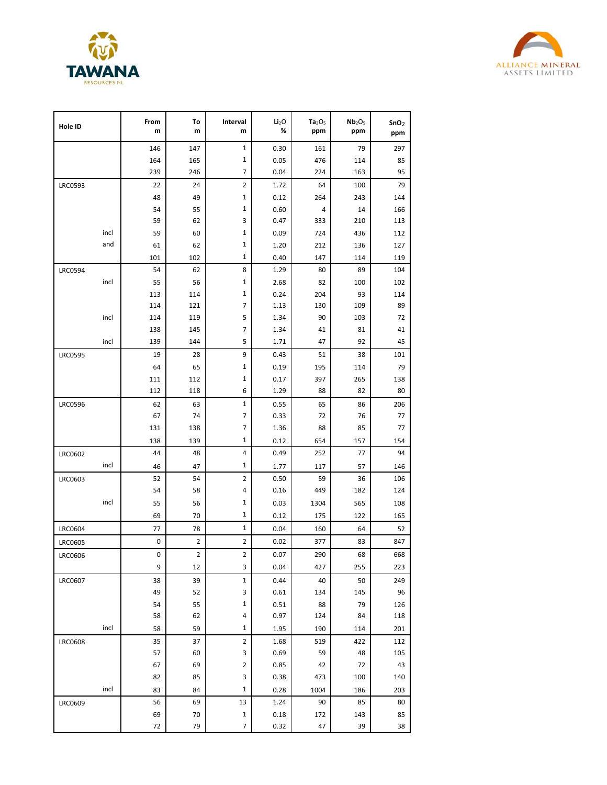



| Hole ID        |      | From<br>m  | To<br>m        | Interval<br>m    | Li <sub>2</sub> O<br>% | Ta <sub>2</sub> O <sub>5</sub><br>ppm | Nb <sub>2</sub> O <sub>5</sub><br>ppm | SnO <sub>2</sub><br>ppm |
|----------------|------|------------|----------------|------------------|------------------------|---------------------------------------|---------------------------------------|-------------------------|
|                |      | 146        | 147            | 1                | 0.30                   | 161                                   | 79                                    | 297                     |
|                |      | 164        | 165            | 1                | 0.05                   | 476                                   | 114                                   | 85                      |
|                |      | 239        | 246            | 7                | 0.04                   | 224                                   | 163                                   | 95                      |
| <b>LRC0593</b> |      | 22         | 24             | 2                | 1.72                   | 64                                    | 100                                   | 79                      |
|                |      | 48         | 49             | 1                | 0.12                   | 264                                   | 243                                   | 144                     |
|                |      | 54         | 55             | 1                | 0.60                   | 4                                     | 14                                    | 166                     |
|                |      | 59         | 62             | 3                | 0.47                   | 333                                   | 210                                   | 113                     |
|                | incl | 59         | 60             | 1                | 0.09                   | 724                                   | 436                                   | 112                     |
|                | and  | 61         | 62             | 1                | 1.20                   | 212                                   | 136                                   | 127                     |
|                |      | 101        | 102            | 1                | 0.40                   | 147                                   | 114                                   | 119                     |
| <b>LRC0594</b> |      | 54         | 62             | 8                | 1.29                   | 80                                    | 89                                    | 104                     |
|                | incl | 55         | 56             | 1                | 2.68                   | 82                                    | 100                                   | 102                     |
|                |      | 113        | 114            | 1                | 0.24                   | 204                                   | 93                                    | 114                     |
|                |      | 114        | 121            | 7                | 1.13                   | 130                                   | 109                                   | 89                      |
|                | incl | 114        | 119            | 5                | 1.34                   | 90                                    | 103                                   | 72                      |
|                |      | 138<br>139 | 145<br>144     | 7<br>5           | 1.34                   | 41<br>47                              | 81<br>92                              | 41<br>45                |
|                | incl |            |                |                  | 1.71                   |                                       |                                       |                         |
| <b>LRC0595</b> |      | 19         | 28             | 9                | 0.43                   | 51                                    | 38                                    | 101                     |
|                |      | 64         | 65             | 1<br>1           | 0.19                   | 195                                   | 114                                   | 79                      |
|                |      | 111<br>112 | 112<br>118     | 6                | 0.17<br>1.29           | 397<br>88                             | 265<br>82                             | 138<br>80               |
|                |      |            |                |                  |                        |                                       |                                       |                         |
| <b>LRC0596</b> |      | 62<br>67   | 63<br>74       | 1<br>7           | 0.55<br>0.33           | 65<br>72                              | 86<br>76                              | 206<br>77               |
|                |      | 131        | 138            | 7                | 1.36                   | 88                                    | 85                                    | 77                      |
|                |      | 138        | 139            | 1                | 0.12                   | 654                                   | 157                                   | 154                     |
| <b>LRC0602</b> |      | 44         | 48             | 4                | 0.49                   | 252                                   | 77                                    | 94                      |
|                | incl | 46         | 47             | 1                | 1.77                   | 117                                   | 57                                    | 146                     |
| <b>LRC0603</b> |      | 52         | 54             | 2                | 0.50                   | 59                                    | 36                                    | 106                     |
|                |      | 54         | 58             | 4                | 0.16                   | 449                                   | 182                                   | 124                     |
|                | incl | 55         | 56             | 1                | 0.03                   | 1304                                  | 565                                   | 108                     |
|                |      | 69         | 70             | 1                | 0.12                   | 175                                   | 122                                   | 165                     |
| LRC0604        |      | 77         | 78             | 1                | 0.04                   | 160                                   | 64                                    | 52                      |
| <b>LRC0605</b> |      | $\pmb{0}$  | $\mathbf 2$    | 2                | 0.02                   | 377                                   | 83                                    | 847                     |
|                |      | 0          | $\overline{2}$ | $\overline{2}$   | 0.07                   | 290                                   | 68                                    | 668                     |
| <b>LRC0606</b> |      | 9          | 12             | 3                | 0.04                   | 427                                   | 255                                   | 223                     |
| LRC0607        |      | 38         | 39             | 1                | 0.44                   | 40                                    |                                       | 249                     |
|                |      | 49         | 52             | 3                | 0.61                   | 134                                   | 50<br>145                             | 96                      |
|                |      | 54         | 55             | 1                | 0.51                   | 88                                    | 79                                    | 126                     |
|                |      | 58         | 62             | 4                | 0.97                   | 124                                   | 84                                    | 118                     |
|                | incl | 58         | 59             | 1                | 1.95                   | 190                                   | 114                                   | 201                     |
| <b>LRC0608</b> |      | 35         | 37             | $\overline{2}$   | 1.68                   | 519                                   | 422                                   | 112                     |
|                |      | 57         | 60             | 3                | 0.69                   | 59                                    | 48                                    | 105                     |
|                |      | 67         | 69             | $\mathbf 2$      | 0.85                   | 42                                    | 72                                    | 43                      |
|                |      | 82         | 85             | 3                | 0.38                   | 473                                   | 100                                   | 140                     |
|                | incl | 83         | 84             | 1                | 0.28                   | 1004                                  | 186                                   | 203                     |
| LRC0609        |      | 56         | 69             | 13               | 1.24                   | 90                                    | 85                                    | 80                      |
|                |      | 69         | 70             | $\mathbf 1$      | 0.18                   | 172                                   | 143                                   | 85                      |
|                |      | 72         | 79             | $\boldsymbol{7}$ | 0.32                   | 47                                    | 39                                    | 38                      |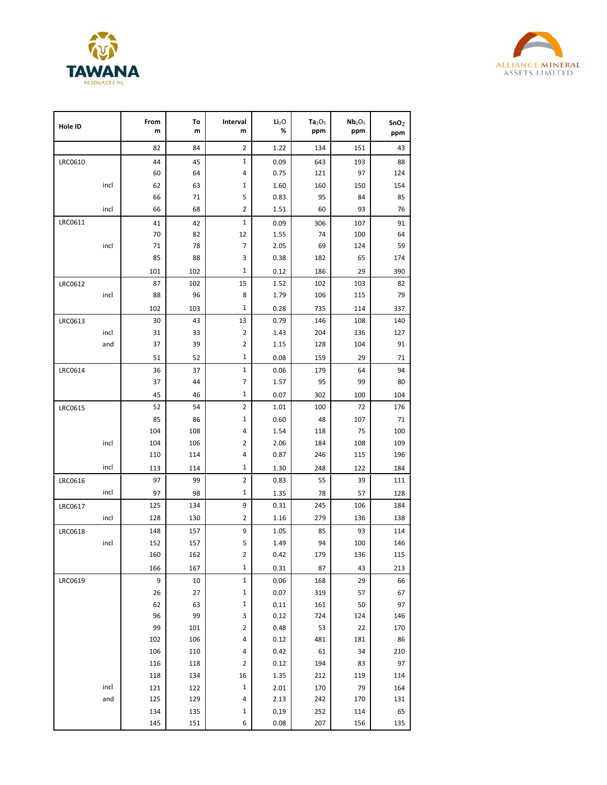



| Hole ID        |      | From<br>m | To<br>m | Interval<br>m  | Li <sub>2</sub> O<br>% | Ta <sub>2</sub> O <sub>5</sub><br>ppm | Nb <sub>2</sub> O <sub>5</sub><br>ppm | SnO <sub>2</sub><br>ppm |
|----------------|------|-----------|---------|----------------|------------------------|---------------------------------------|---------------------------------------|-------------------------|
|                |      | 82        | 84      | $\overline{2}$ | 1.22                   | 134                                   | 151                                   | 43                      |
| <b>LRC0610</b> |      | 44        | 45      | $\mathbf{1}$   | 0.09                   | 643                                   | 193                                   | 88                      |
|                |      | 60        | 64      | 4              | 0.75                   | 121                                   | 97                                    | 124                     |
|                | incl | 62        | 63      | 1              | 1.60                   | 160                                   | 150                                   | 154                     |
|                |      | 66        | 71      | 5              | 0.83                   | 95                                    | 84                                    | 85                      |
|                | incl | 66        | 68      | $\overline{2}$ | 1.51                   | 60                                    | 93                                    | 76                      |
| LRC0611        |      | 41        | 42      | $\mathbf{1}$   | 0.09                   | 306                                   | 107                                   | 91                      |
|                |      | 70        | 82      | 12             | 1.55                   | 74                                    | 100                                   | 64                      |
|                | incl | 71        | 78      | 7              | 2.05                   | 69                                    | 124                                   | 59                      |
|                |      | 85        | 88      | 3              | 0.38                   | 182                                   | 65                                    | 174                     |
|                |      | 101       | 102     | 1              | 0.12                   | 186                                   | 29                                    | 390                     |
| <b>LRC0612</b> |      | 87        | 102     | 15             | 1.52                   | 102                                   | 103                                   | 82                      |
|                | incl | 88        | 96      | 8              | 1.79                   | 106                                   | 115                                   | 79                      |
|                |      | 102       | 103     | $\mathbf{1}$   | 0.28                   | 735                                   | 114                                   | 337                     |
| LRC0613        |      | 30        | 43      | 13             | 0.79                   | 146                                   | 108                                   | 140                     |
|                | incl | 31        | 33      | 2              | 1.43                   | 204                                   | 136                                   | 127                     |
|                | and  | 37        | 39      | 2              | 1.15                   | 128                                   | 104                                   | 91                      |
|                |      | 51        | 52      | $\mathbf{1}$   | 0.08                   | 159                                   | 29                                    | 71                      |
| <b>LRC0614</b> |      | 36        | 37      | $\mathbf{1}$   | 0.06                   | 179                                   | 64                                    | 94                      |
|                |      | 37        | 44      | 7              | 1.57                   | 95                                    | 99                                    | 80                      |
|                |      | 45        | 46      | $\mathbf{1}$   | 0.07                   | 302                                   | 100                                   | 104                     |
| <b>LRC0615</b> |      | 52        | 54      | 2              | 1.01                   | 100                                   | 72                                    | 176                     |
|                |      | 85        | 86      | 1              | 0.60                   | 48                                    | 107                                   | 71                      |
|                |      | 104       | 108     | 4              | 1.54                   | 118                                   | 75                                    | 100                     |
|                | incl | 104       | 106     | 2              | 2.06                   | 184                                   | 108                                   | 109                     |
|                |      | 110       | 114     | 4              | 0.87                   | 246                                   | 115                                   | 196                     |
|                | incl | 113       | 114     | 1              | 1.30                   | 248                                   | 122                                   | 184                     |
| <b>LRC0616</b> |      | 97        | 99      | 2              | 0.83                   | 55                                    | 39                                    | 111                     |
|                | incl | 97        | 98      | $\mathbf{1}$   | 1.35                   | 78                                    | 57                                    | 128                     |
| <b>LRC0617</b> |      | 125       | 134     | 9              | 0.31                   | 245                                   | 106                                   | 184                     |
|                | incl | 128       | 130     | $\overline{2}$ | 1.16                   | 279                                   | 136                                   | 138                     |
| <b>LRC0618</b> |      | 148       | 157     | 9              | 1.05                   | 85                                    | 93                                    | 114                     |
|                | incl | 152       | 157     | 5              | 1.49                   | 94                                    | 100                                   | 146                     |
|                |      | 160       | 162     | $\overline{2}$ | 0.42                   | 179                                   | 136                                   | 115                     |
|                |      | 166       | 167     | $\mathbf{1}$   | 0.31                   | 87                                    | 43                                    | 213                     |
| LRC0619        |      | 9         | 10      | $\mathbf{1}$   | 0.06                   | 168                                   | 29                                    | 66                      |
|                |      | 26        | 27      | $\mathbf{1}$   | 0.07                   | 319                                   | 57                                    | 67                      |
|                |      | 62        | 63      | $\mathbf{1}$   | 0.11                   | 161                                   | 50                                    | 97                      |
|                |      | 96        | 99      | 3              | 0.12                   | 724                                   | 124                                   | 146                     |
|                |      | 99        | 101     | $\overline{2}$ | 0.48                   | 53                                    | 22                                    | 170                     |
|                |      | 102       | 106     | 4              | 0.12                   | 481                                   | 181                                   | 86                      |
|                |      | 106       | 110     | 4              | 0.42                   | 61                                    | 34                                    | 210                     |
|                |      | 116       | 118     | 2              | 0.12                   | 194                                   | 83                                    | 97                      |
|                |      | 118       | 134     | 16             | 1.35                   | 212                                   | 119                                   | 114                     |
|                | incl | 121       | 122     | $\mathbf{1}$   | 2.01                   | 170                                   | 79                                    | 164                     |
|                | and  | 125       | 129     | 4              | 2.13                   | 242                                   | 170                                   | 131                     |
|                |      | 134       | 135     | 1              | 0.19                   | 252                                   | 114                                   | 65                      |
|                |      | 145       | 151     | 6              | 0.08                   | 207                                   | 156                                   | 135                     |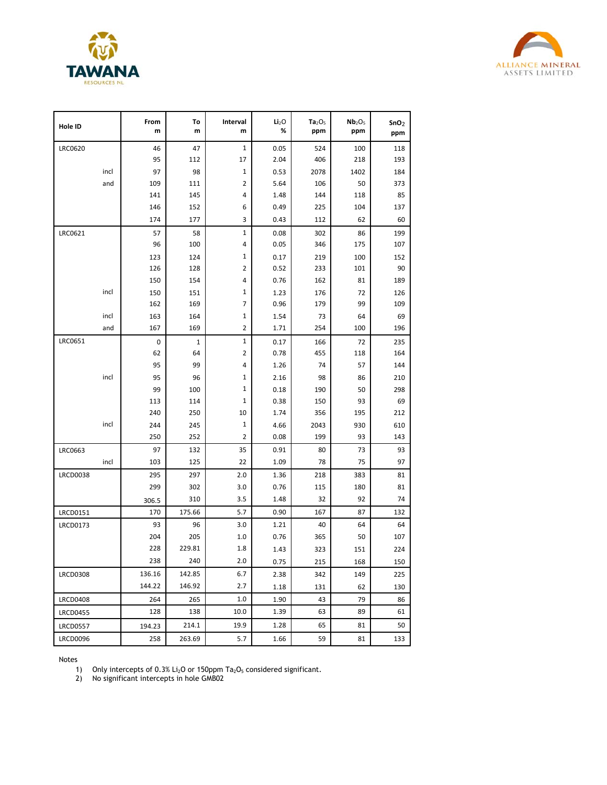



| Hole ID         | From<br>m | To<br>m | Interval<br>m  | Li <sub>2</sub> O<br>% | Ta <sub>2</sub> O <sub>5</sub><br>ppm | Nb <sub>2</sub> O <sub>5</sub><br>ppm | SnO <sub>2</sub><br>ppm |
|-----------------|-----------|---------|----------------|------------------------|---------------------------------------|---------------------------------------|-------------------------|
| <b>LRC0620</b>  | 46        | 47      | $\mathbf 1$    | 0.05                   | 524                                   | 100                                   | 118                     |
|                 | 95        | 112     | 17             | 2.04                   | 406                                   | 218                                   | 193                     |
| incl            | 97        | 98      | 1              | 0.53                   | 2078                                  | 1402                                  | 184                     |
| and             | 109       | 111     | 2              | 5.64                   | 106                                   | 50                                    | 373                     |
|                 | 141       | 145     | 4              | 1.48                   | 144                                   | 118                                   | 85                      |
|                 | 146       | 152     | 6              | 0.49                   | 225                                   | 104                                   | 137                     |
|                 | 174       | 177     | 3              | 0.43                   | 112                                   | 62                                    | 60                      |
| LRC0621         | 57        | 58      | 1              | 0.08                   | 302                                   | 86                                    | 199                     |
|                 | 96        | 100     | 4              | 0.05                   | 346                                   | 175                                   | 107                     |
|                 | 123       | 124     | 1              | 0.17                   | 219                                   | 100                                   | 152                     |
|                 | 126       | 128     | 2              | 0.52                   | 233                                   | 101                                   | 90                      |
|                 | 150       | 154     | 4              | 0.76                   | 162                                   | 81                                    | 189                     |
| incl            | 150       | 151     | 1              | 1.23                   | 176                                   | 72                                    | 126                     |
|                 | 162       | 169     | 7              | 0.96                   | 179                                   | 99                                    | 109                     |
| incl            | 163       | 164     | 1              | 1.54                   | 73                                    | 64                                    | 69                      |
| and             | 167       | 169     | 2              | 1.71                   | 254                                   | 100                                   | 196                     |
| LRC0651         | 0         | 1       | 1              | 0.17                   | 166                                   | 72                                    | 235                     |
|                 | 62        | 64      | $\overline{2}$ | 0.78                   | 455                                   | 118                                   | 164                     |
|                 | 95        | 99      | 4              | 1.26                   | 74                                    | 57                                    | 144                     |
| incl            | 95        | 96      | 1              | 2.16                   | 98                                    | 86                                    | 210                     |
|                 | 99        | 100     | 1              | 0.18                   | 190                                   | 50                                    | 298                     |
|                 | 113       | 114     | 1              | 0.38                   | 150                                   | 93                                    | 69                      |
|                 | 240       | 250     | 10             | 1.74                   | 356                                   | 195                                   | 212                     |
| incl            | 244       | 245     | 1              | 4.66                   | 2043                                  | 930                                   | 610                     |
|                 | 250       | 252     | $\overline{2}$ | 0.08                   | 199                                   | 93                                    | 143                     |
| <b>LRC0663</b>  | 97        | 132     | 35             | 0.91                   | 80                                    | 73                                    | 93                      |
| incl            | 103       | 125     | 22             | 1.09                   | 78                                    | 75                                    | 97                      |
| <b>LRCD0038</b> | 295       | 297     | 2.0            | 1.36                   | 218                                   | 383                                   | 81                      |
|                 | 299       | 302     | 3.0            | 0.76                   | 115                                   | 180                                   | 81                      |
|                 | 306.5     | 310     | 3.5            | 1.48                   | 32                                    | 92                                    | 74                      |
| <b>LRCD0151</b> | 170       | 175.66  | 5.7            | 0.90                   | 167                                   | 87                                    | 132                     |
| <b>LRCD0173</b> | 93        | 96      | 3.0            | 1.21                   | 40                                    | 64                                    | 64                      |
|                 | 204       | 205     | 1.0            | 0.76                   | 365                                   | 50                                    | 107                     |
|                 | 228       | 229.81  | 1.8            | 1.43                   | 323                                   | 151                                   | 224                     |
|                 | 238       | 240     | 2.0            | 0.75                   | 215                                   | 168                                   | 150                     |
| <b>LRCD0308</b> | 136.16    | 142.85  | 6.7            | 2.38                   | 342                                   | 149                                   | 225                     |
|                 | 144.22    | 146.92  | 2.7            | 1.18                   | 131                                   | 62                                    | 130                     |
| <b>LRCD0408</b> | 264       | 265     | 1.0            | 1.90                   | 43                                    | 79                                    | 86                      |
| <b>LRCD0455</b> | 128       | 138     | 10.0           | 1.39                   | 63                                    | 89                                    | 61                      |
| <b>LRCD0557</b> | 194.23    | 214.1   | 19.9           | 1.28                   | 65                                    | 81                                    | 50                      |
| <b>LRCD0096</b> | 258       | 263.69  | 5.7            | 1.66                   | 59                                    | 81                                    | 133                     |

Notes

1) Only intercepts of 0.3% Li<sub>2</sub>O or 150ppm  $Ta_2O_5$  considered significant.

2) No significant intercepts in hole GMB02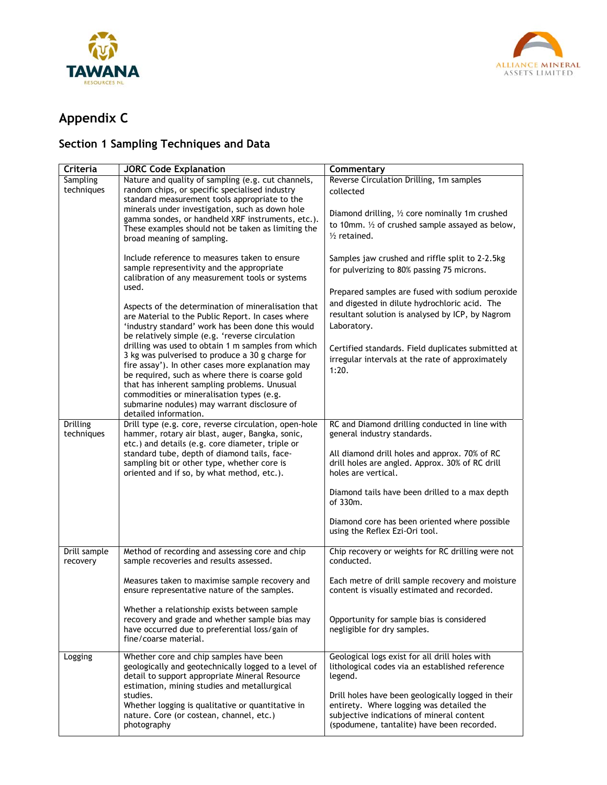



# **Appendix C**

## **Section 1 Sampling Techniques and Data**

| Criteria                      | <b>JORC Code Explanation</b>                                                                                                                                                                                                                                                                                                                                                         | Commentary                                                                                                                                                                                        |
|-------------------------------|--------------------------------------------------------------------------------------------------------------------------------------------------------------------------------------------------------------------------------------------------------------------------------------------------------------------------------------------------------------------------------------|---------------------------------------------------------------------------------------------------------------------------------------------------------------------------------------------------|
| Sampling<br>techniques        | Nature and quality of sampling (e.g. cut channels,<br>random chips, or specific specialised industry<br>standard measurement tools appropriate to the                                                                                                                                                                                                                                | Reverse Circulation Drilling, 1m samples<br>collected                                                                                                                                             |
|                               | minerals under investigation, such as down hole<br>gamma sondes, or handheld XRF instruments, etc.).<br>These examples should not be taken as limiting the<br>broad meaning of sampling.                                                                                                                                                                                             | Diamond drilling, 1/2 core nominally 1m crushed<br>to 10mm. $\frac{1}{2}$ of crushed sample assayed as below,<br>$\frac{1}{2}$ retained.                                                          |
|                               | Include reference to measures taken to ensure<br>sample representivity and the appropriate<br>calibration of any measurement tools or systems<br>used.                                                                                                                                                                                                                               | Samples jaw crushed and riffle split to 2-2.5kg<br>for pulverizing to 80% passing 75 microns.<br>Prepared samples are fused with sodium peroxide<br>and digested in dilute hydrochloric acid. The |
|                               | Aspects of the determination of mineralisation that<br>are Material to the Public Report. In cases where<br>'industry standard' work has been done this would<br>be relatively simple (e.g. 'reverse circulation                                                                                                                                                                     | resultant solution is analysed by ICP, by Nagrom<br>Laboratory.                                                                                                                                   |
|                               | drilling was used to obtain 1 m samples from which<br>3 kg was pulverised to produce a 30 g charge for<br>fire assay'). In other cases more explanation may<br>be required, such as where there is coarse gold<br>that has inherent sampling problems. Unusual<br>commodities or mineralisation types (e.g.<br>submarine nodules) may warrant disclosure of<br>detailed information. | Certified standards. Field duplicates submitted at<br>irregular intervals at the rate of approximately<br>1:20.                                                                                   |
| <b>Drilling</b><br>techniques | Drill type (e.g. core, reverse circulation, open-hole<br>hammer, rotary air blast, auger, Bangka, sonic,                                                                                                                                                                                                                                                                             | RC and Diamond drilling conducted in line with<br>general industry standards.                                                                                                                     |
|                               | etc.) and details (e.g. core diameter, triple or<br>standard tube, depth of diamond tails, face-<br>sampling bit or other type, whether core is<br>oriented and if so, by what method, etc.).                                                                                                                                                                                        | All diamond drill holes and approx. 70% of RC<br>drill holes are angled. Approx. 30% of RC drill<br>holes are vertical.                                                                           |
|                               |                                                                                                                                                                                                                                                                                                                                                                                      | Diamond tails have been drilled to a max depth<br>of 330m.                                                                                                                                        |
|                               |                                                                                                                                                                                                                                                                                                                                                                                      | Diamond core has been oriented where possible<br>using the Reflex Ezi-Ori tool.                                                                                                                   |
| Drill sample<br>recovery      | Method of recording and assessing core and chip<br>sample recoveries and results assessed.                                                                                                                                                                                                                                                                                           | Chip recovery or weights for RC drilling were not<br>conducted.                                                                                                                                   |
|                               | Measures taken to maximise sample recovery and<br>ensure representative nature of the samples.                                                                                                                                                                                                                                                                                       | Each metre of drill sample recovery and moisture<br>content is visually estimated and recorded.                                                                                                   |
|                               | Whether a relationship exists between sample<br>recovery and grade and whether sample bias may<br>have occurred due to preferential loss/gain of<br>fine/coarse material.                                                                                                                                                                                                            | Opportunity for sample bias is considered<br>negligible for dry samples.                                                                                                                          |
| Logging                       | Whether core and chip samples have been<br>geologically and geotechnically logged to a level of<br>detail to support appropriate Mineral Resource<br>estimation, mining studies and metallurgical                                                                                                                                                                                    | Geological logs exist for all drill holes with<br>lithological codes via an established reference<br>legend.                                                                                      |
|                               | studies.<br>Whether logging is qualitative or quantitative in<br>nature. Core (or costean, channel, etc.)<br>photography                                                                                                                                                                                                                                                             | Drill holes have been geologically logged in their<br>entirety. Where logging was detailed the<br>subjective indications of mineral content<br>(spodumene, tantalite) have been recorded.         |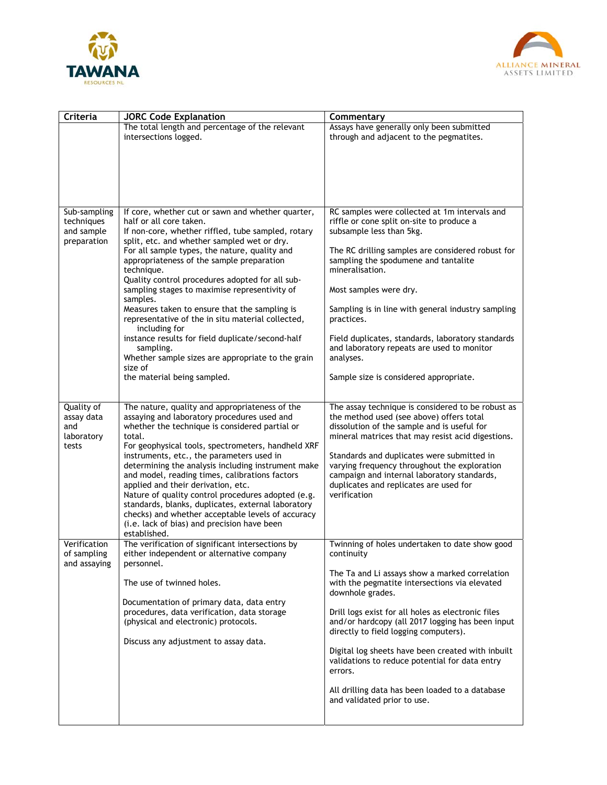



| Criteria                                                | <b>JORC Code Explanation</b>                                                                                                                                                                                                                                                                                                                                                                                                                                                                                                                                                                                                                                                                         | Commentary                                                                                                                                                                                                                                                                                                                                                                                                                                                                                                                                 |
|---------------------------------------------------------|------------------------------------------------------------------------------------------------------------------------------------------------------------------------------------------------------------------------------------------------------------------------------------------------------------------------------------------------------------------------------------------------------------------------------------------------------------------------------------------------------------------------------------------------------------------------------------------------------------------------------------------------------------------------------------------------------|--------------------------------------------------------------------------------------------------------------------------------------------------------------------------------------------------------------------------------------------------------------------------------------------------------------------------------------------------------------------------------------------------------------------------------------------------------------------------------------------------------------------------------------------|
|                                                         | The total length and percentage of the relevant<br>intersections logged.                                                                                                                                                                                                                                                                                                                                                                                                                                                                                                                                                                                                                             | Assays have generally only been submitted<br>through and adjacent to the pegmatites.                                                                                                                                                                                                                                                                                                                                                                                                                                                       |
| Sub-sampling<br>techniques<br>and sample<br>preparation | If core, whether cut or sawn and whether quarter,<br>half or all core taken.<br>If non-core, whether riffled, tube sampled, rotary<br>split, etc. and whether sampled wet or dry.<br>For all sample types, the nature, quality and<br>appropriateness of the sample preparation<br>technique.<br>Quality control procedures adopted for all sub-<br>sampling stages to maximise representivity of<br>samples.<br>Measures taken to ensure that the sampling is<br>representative of the in situ material collected,<br>including for<br>instance results for field duplicate/second-half<br>sampling.<br>Whether sample sizes are appropriate to the grain<br>size of<br>the material being sampled. | RC samples were collected at 1m intervals and<br>riffle or cone split on-site to produce a<br>subsample less than 5kg.<br>The RC drilling samples are considered robust for<br>sampling the spodumene and tantalite<br>mineralisation.<br>Most samples were dry.<br>Sampling is in line with general industry sampling<br>practices.<br>Field duplicates, standards, laboratory standards<br>and laboratory repeats are used to monitor<br>analyses.<br>Sample size is considered appropriate.                                             |
| Quality of<br>assay data<br>and<br>laboratory<br>tests  | The nature, quality and appropriateness of the<br>assaying and laboratory procedures used and<br>whether the technique is considered partial or<br>total.<br>For geophysical tools, spectrometers, handheld XRF<br>instruments, etc., the parameters used in<br>determining the analysis including instrument make<br>and model, reading times, calibrations factors<br>applied and their derivation, etc.<br>Nature of quality control procedures adopted (e.g.<br>standards, blanks, duplicates, external laboratory<br>checks) and whether acceptable levels of accuracy<br>(i.e. lack of bias) and precision have been<br>established.                                                           | The assay technique is considered to be robust as<br>the method used (see above) offers total<br>dissolution of the sample and is useful for<br>mineral matrices that may resist acid digestions.<br>Standards and duplicates were submitted in<br>varying frequency throughout the exploration<br>campaign and internal laboratory standards,<br>duplicates and replicates are used for<br>verification                                                                                                                                   |
| Verification<br>of sampling<br>and assaying             | The verification of significant intersections by<br>either independent or alternative company<br>personnel.<br>The use of twinned holes.<br>Documentation of primary data, data entry<br>procedures, data verification, data storage<br>(physical and electronic) protocols.<br>Discuss any adjustment to assay data.                                                                                                                                                                                                                                                                                                                                                                                | Twinning of holes undertaken to date show good<br>continuity<br>The Ta and Li assays show a marked correlation<br>with the pegmatite intersections via elevated<br>downhole grades.<br>Drill logs exist for all holes as electronic files<br>and/or hardcopy (all 2017 logging has been input<br>directly to field logging computers).<br>Digital log sheets have been created with inbuilt<br>validations to reduce potential for data entry<br>errors.<br>All drilling data has been loaded to a database<br>and validated prior to use. |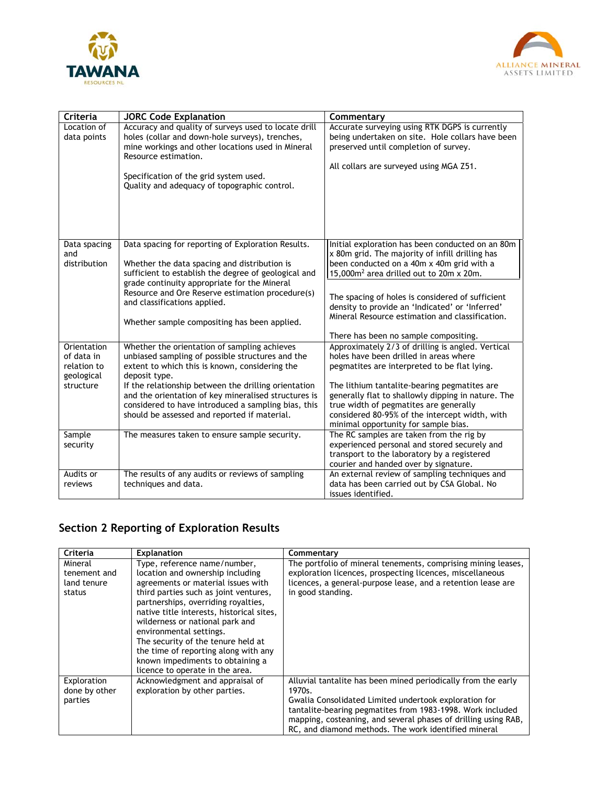



| Criteria                                                            | <b>JORC Code Explanation</b>                                                                                                                                                                                                                                                                                                                                                               | Commentary                                                                                                                                                                                                                                                                                                                                                                                                 |
|---------------------------------------------------------------------|--------------------------------------------------------------------------------------------------------------------------------------------------------------------------------------------------------------------------------------------------------------------------------------------------------------------------------------------------------------------------------------------|------------------------------------------------------------------------------------------------------------------------------------------------------------------------------------------------------------------------------------------------------------------------------------------------------------------------------------------------------------------------------------------------------------|
| Location of<br>data points                                          | Accuracy and quality of surveys used to locate drill<br>holes (collar and down-hole surveys), trenches,<br>mine workings and other locations used in Mineral<br>Resource estimation.<br>Specification of the grid system used.<br>Quality and adequacy of topographic control.                                                                                                             | Accurate surveying using RTK DGPS is currently<br>being undertaken on site. Hole collars have been<br>preserved until completion of survey.<br>All collars are surveyed using MGA Z51.                                                                                                                                                                                                                     |
| Data spacing<br>and<br>distribution                                 | Data spacing for reporting of Exploration Results.<br>Whether the data spacing and distribution is<br>sufficient to establish the degree of geological and<br>grade continuity appropriate for the Mineral<br>Resource and Ore Reserve estimation procedure(s)<br>and classifications applied.<br>Whether sample compositing has been applied.                                             | Initial exploration has been conducted on an 80m<br>x 80m grid. The majority of infill drilling has<br>been conducted on a 40m x 40m grid with a<br>15,000m <sup>2</sup> area drilled out to 20m x 20m.<br>The spacing of holes is considered of sufficient<br>density to provide an 'Indicated' or 'Inferred'<br>Mineral Resource estimation and classification.<br>There has been no sample compositing. |
| Orientation<br>of data in<br>relation to<br>geological<br>structure | Whether the orientation of sampling achieves<br>unbiased sampling of possible structures and the<br>extent to which this is known, considering the<br>deposit type.<br>If the relationship between the drilling orientation<br>and the orientation of key mineralised structures is<br>considered to have introduced a sampling bias, this<br>should be assessed and reported if material. | Approximately 2/3 of drilling is angled. Vertical<br>holes have been drilled in areas where<br>pegmatites are interpreted to be flat lying.<br>The lithium tantalite-bearing pegmatites are<br>generally flat to shallowly dipping in nature. The<br>true width of pegmatites are generally<br>considered 80-95% of the intercept width, with<br>minimal opportunity for sample bias.                      |
| Sample<br>security                                                  | The measures taken to ensure sample security.                                                                                                                                                                                                                                                                                                                                              | The RC samples are taken from the rig by<br>experienced personal and stored securely and<br>transport to the laboratory by a registered<br>courier and handed over by signature.                                                                                                                                                                                                                           |
| Audits or<br>reviews                                                | The results of any audits or reviews of sampling<br>techniques and data.                                                                                                                                                                                                                                                                                                                   | An external review of sampling techniques and<br>data has been carried out by CSA Global. No<br>issues identified.                                                                                                                                                                                                                                                                                         |

## **Section 2 Reporting of Exploration Results**

| Criteria                                         | <b>Explanation</b>                                                                                                                                                                                                                                                                                                                                                                                                                                     | Commentary                                                                                                                                                                                                                                                                                                               |
|--------------------------------------------------|--------------------------------------------------------------------------------------------------------------------------------------------------------------------------------------------------------------------------------------------------------------------------------------------------------------------------------------------------------------------------------------------------------------------------------------------------------|--------------------------------------------------------------------------------------------------------------------------------------------------------------------------------------------------------------------------------------------------------------------------------------------------------------------------|
| Mineral<br>tenement and<br>land tenure<br>status | Type, reference name/number,<br>location and ownership including<br>agreements or material issues with<br>third parties such as joint ventures,<br>partnerships, overriding royalties,<br>native title interests, historical sites,<br>wilderness or national park and<br>environmental settings.<br>The security of the tenure held at<br>the time of reporting along with any<br>known impediments to obtaining a<br>licence to operate in the area. | The portfolio of mineral tenements, comprising mining leases,<br>exploration licences, prospecting licences, miscellaneous<br>licences, a general-purpose lease, and a retention lease are<br>in good standing.                                                                                                          |
| Exploration<br>done by other<br>parties          | Acknowledgment and appraisal of<br>exploration by other parties.                                                                                                                                                                                                                                                                                                                                                                                       | Alluvial tantalite has been mined periodically from the early<br>1970s.<br>Gwalia Consolidated Limited undertook exploration for<br>tantalite-bearing pegmatites from 1983-1998. Work included<br>mapping, costeaning, and several phases of drilling using RAB,<br>RC, and diamond methods. The work identified mineral |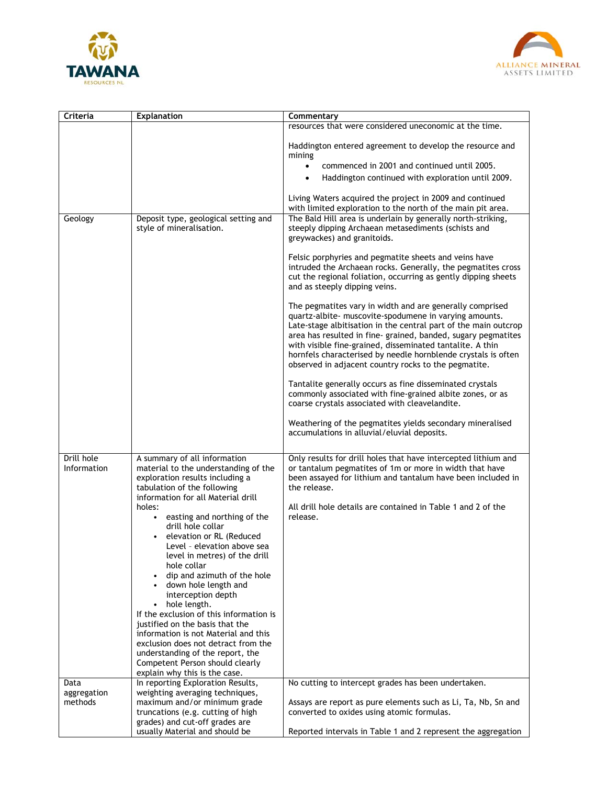



| Criteria                  | <b>Explanation</b>                                                                                                                                                                            | Commentary                                                                                                                                                                                                                                                                                                                                                                                                                                   |
|---------------------------|-----------------------------------------------------------------------------------------------------------------------------------------------------------------------------------------------|----------------------------------------------------------------------------------------------------------------------------------------------------------------------------------------------------------------------------------------------------------------------------------------------------------------------------------------------------------------------------------------------------------------------------------------------|
|                           |                                                                                                                                                                                               | resources that were considered uneconomic at the time.                                                                                                                                                                                                                                                                                                                                                                                       |
|                           |                                                                                                                                                                                               | Haddington entered agreement to develop the resource and<br>mining<br>commenced in 2001 and continued until 2005.<br>$\bullet$<br>Haddington continued with exploration until 2009.<br>$\bullet$                                                                                                                                                                                                                                             |
|                           |                                                                                                                                                                                               | Living Waters acquired the project in 2009 and continued<br>with limited exploration to the north of the main pit area.                                                                                                                                                                                                                                                                                                                      |
| Geology                   | Deposit type, geological setting and<br>style of mineralisation.                                                                                                                              | The Bald Hill area is underlain by generally north-striking,<br>steeply dipping Archaean metasediments (schists and<br>greywackes) and granitoids.                                                                                                                                                                                                                                                                                           |
|                           |                                                                                                                                                                                               | Felsic porphyries and pegmatite sheets and veins have<br>intruded the Archaean rocks. Generally, the pegmatites cross<br>cut the regional foliation, occurring as gently dipping sheets<br>and as steeply dipping veins.                                                                                                                                                                                                                     |
|                           |                                                                                                                                                                                               | The pegmatites vary in width and are generally comprised<br>quartz-albite- muscovite-spodumene in varying amounts.<br>Late-stage albitisation in the central part of the main outcrop<br>area has resulted in fine- grained, banded, sugary pegmatites<br>with visible fine-grained, disseminated tantalite. A thin<br>hornfels characterised by needle hornblende crystals is often<br>observed in adjacent country rocks to the pegmatite. |
|                           |                                                                                                                                                                                               | Tantalite generally occurs as fine disseminated crystals<br>commonly associated with fine-grained albite zones, or as<br>coarse crystals associated with cleavelandite.                                                                                                                                                                                                                                                                      |
|                           |                                                                                                                                                                                               | Weathering of the pegmatites yields secondary mineralised<br>accumulations in alluvial/eluvial deposits.                                                                                                                                                                                                                                                                                                                                     |
| Drill hole<br>Information | A summary of all information<br>material to the understanding of the<br>exploration results including a<br>tabulation of the following<br>information for all Material drill                  | Only results for drill holes that have intercepted lithium and<br>or tantalum pegmatites of 1m or more in width that have<br>been assayed for lithium and tantalum have been included in<br>the release.                                                                                                                                                                                                                                     |
|                           | holes:<br>easting and northing of the<br>$\bullet$<br>drill hole collar<br>elevation or RL (Reduced<br>Level - elevation above sea<br>level in metres) of the drill<br>hole collar            | All drill hole details are contained in Table 1 and 2 of the<br>release.                                                                                                                                                                                                                                                                                                                                                                     |
|                           | dip and azimuth of the hole<br>down hole length and<br>interception depth<br>hole length.<br>$\bullet$                                                                                        |                                                                                                                                                                                                                                                                                                                                                                                                                                              |
|                           | If the exclusion of this information is<br>justified on the basis that the<br>information is not Material and this<br>exclusion does not detract from the<br>understanding of the report, the |                                                                                                                                                                                                                                                                                                                                                                                                                                              |
|                           | Competent Person should clearly                                                                                                                                                               |                                                                                                                                                                                                                                                                                                                                                                                                                                              |
|                           | explain why this is the case.                                                                                                                                                                 |                                                                                                                                                                                                                                                                                                                                                                                                                                              |
| Data<br>aggregation       | In reporting Exploration Results,<br>weighting averaging techniques,                                                                                                                          | No cutting to intercept grades has been undertaken.                                                                                                                                                                                                                                                                                                                                                                                          |
| methods                   | maximum and/or minimum grade<br>truncations (e.g. cutting of high<br>grades) and cut-off grades are                                                                                           | Assays are report as pure elements such as Li, Ta, Nb, Sn and<br>converted to oxides using atomic formulas.                                                                                                                                                                                                                                                                                                                                  |
|                           | usually Material and should be                                                                                                                                                                | Reported intervals in Table 1 and 2 represent the aggregation                                                                                                                                                                                                                                                                                                                                                                                |